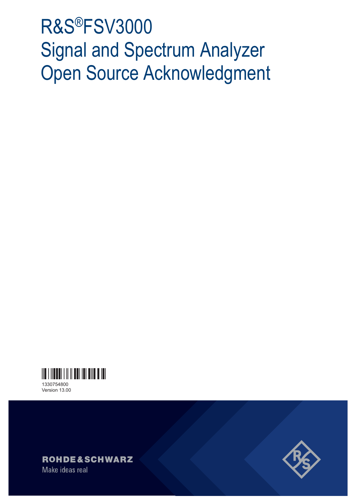# R&S®FSV3000 Signal and Spectrum Analyzer Open Source Acknowledgment



Version 13.00





Make ideas real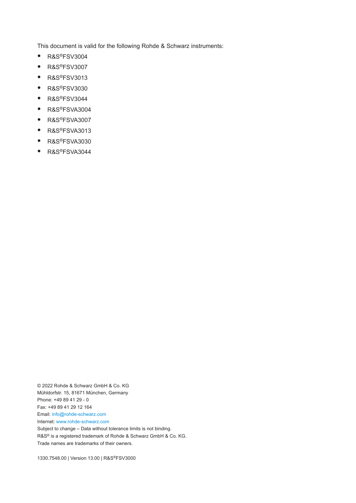This document is valid for the following Rohde & Schwarz instruments:

- R&S®FSV3004
- R&S®FSV3007
- R&S<sup>®</sup>FSV3013
- R&S®FSV3030
- R&S®FSV3044
- R&S<sup>®</sup>FSVA3004
- R&S<sup>®</sup>FSVA3007
- R&S®FSVA3013
- R&S<sup>®</sup>FSVA3030
- R&S<sup>®</sup>FSVA3044

© 2022 Rohde & Schwarz GmbH & Co. KG Mühldorfstr. 15, 81671 München, Germany Phone: +49 89 41 29 - 0 Fax: +49 89 41 29 12 164 Email: [info@rohde-schwarz.com](mailto:info@rohde-schwarz.com) Internet: [www.rohde-schwarz.com](http://www.rohde-schwarz.com) Subject to change – Data without tolerance limits is not binding.

R&S® is a registered trademark of Rohde & Schwarz GmbH & Co. KG. Trade names are trademarks of their owners.

1330.7548.00 | Version 13.00 | R&S®FSV3000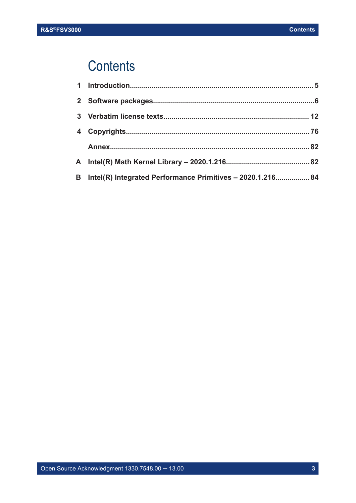## **Contents**

| B Intel(R) Integrated Performance Primitives - 2020.1.216 84 |  |
|--------------------------------------------------------------|--|
|                                                              |  |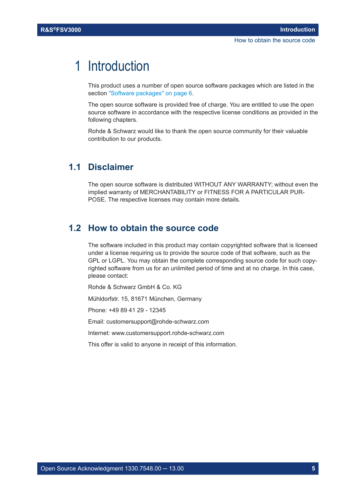## <span id="page-4-0"></span>1 Introduction

This product uses a number of open source software packages which are listed in the section ["Software packages" on page 6](#page-5-0).

The open source software is provided free of charge. You are entitled to use the open source software in accordance with the respective license conditions as provided in the following chapters.

Rohde & Schwarz would like to thank the open source community for their valuable contribution to our products.

## **1.1 Disclaimer**

The open source software is distributed WITHOUT ANY WARRANTY; without even the implied warranty of MERCHANTABILITY or FITNESS FOR A PARTICULAR PUR-POSE. The respective licenses may contain more details.

## **1.2 How to obtain the source code**

The software included in this product may contain copyrighted software that is licensed under a license requiring us to provide the source code of that software, such as the GPL or LGPL. You may obtain the complete corresponding source code for such copyrighted software from us for an unlimited period of time and at no charge. In this case, please contact:

Rohde & Schwarz GmbH & Co. KG

Mühldorfstr. 15, 81671 München, Germany

Phone: +49 89 41 29 - 12345

Email: customersupport@rohde-schwarz.com

Internet: www.customersupport.rohde-schwarz.com

This offer is valid to anyone in receipt of this information.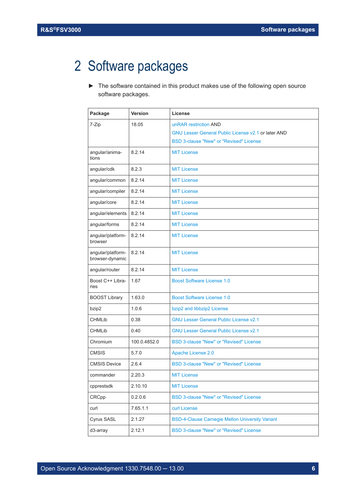## <span id="page-5-0"></span>2 Software packages

► The software contained in this product makes use of the following open source software packages.

| Package                              | <b>Version</b> | License                                                |
|--------------------------------------|----------------|--------------------------------------------------------|
| 7-Zip                                | 18.05          | unRAR restriction AND                                  |
|                                      |                | GNU Lesser General Public License v2.1 or later AND    |
|                                      |                | <b>BSD 3-clause "New" or "Revised" License</b>         |
| angular/anima-<br>tions              | 8.2.14         | <b>MIT License</b>                                     |
| angular/cdk                          | 8.2.3          | <b>MIT License</b>                                     |
| angular/common                       | 8.2.14         | <b>MIT License</b>                                     |
| angular/compiler                     | 8.2.14         | <b>MIT License</b>                                     |
| angular/core                         | 8.2.14         | <b>MIT License</b>                                     |
| angular/elements                     | 8.2.14         | <b>MIT License</b>                                     |
| angular/forms                        | 8.2.14         | <b>MIT License</b>                                     |
| angular/platform-<br>browser         | 8.2.14         | <b>MIT License</b>                                     |
| angular/platform-<br>browser-dynamic | 8.2.14         | <b>MIT License</b>                                     |
| angular/router                       | 8.2.14         | <b>MIT License</b>                                     |
| Boost C++ Libra-<br>ries             | 1.67           | <b>Boost Software License 1.0</b>                      |
| <b>BOOST Library</b>                 | 1.63.0         | <b>Boost Software License 1.0</b>                      |
| bzip2                                | 1.0.6          | bzip2 and libbzip2 License                             |
| <b>CHMLib</b>                        | 0.38           | <b>GNU Lesser General Public License v2.1</b>          |
| <b>CHMLib</b>                        | 0.40           | <b>GNU Lesser General Public License v2.1</b>          |
| Chromium                             | 100.0.4852.0   | BSD 3-clause "New" or "Revised" License                |
| <b>CMSIS</b>                         | 5.7.0          | Apache License 2.0                                     |
| <b>CMSIS Device</b>                  | 264            | <b>BSD 3-clause "New" or "Revised" License</b>         |
| commander                            | 2.20.3         | <b>MIT License</b>                                     |
| cpprestsdk                           | 2.10.10        | <b>MIT License</b>                                     |
| <b>CRCpp</b>                         | 0.2.0.6        | BSD 3-clause "New" or "Revised" License                |
| curl                                 | 7.65.1.1       | curl License                                           |
| Cyrus SASL                           | 2.1.27         | <b>BSD-4-Clause Carnegie Mellon University Variant</b> |
| d3-array                             | 2.12.1         | BSD 3-clause "New" or "Revised" License                |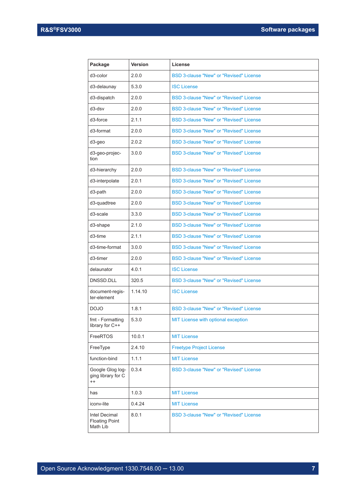| Package                                            | <b>Version</b> | License                                        |
|----------------------------------------------------|----------------|------------------------------------------------|
| d3-color                                           | 2.0.0          | <b>BSD 3-clause "New" or "Revised" License</b> |
| d3-delaunay                                        | 5.3.0          | <b>ISC License</b>                             |
| d3-dispatch                                        | 2.0.0          | <b>BSD 3-clause "New" or "Revised" License</b> |
| d3-dsv                                             | 2.0.0          | <b>BSD 3-clause "New" or "Revised" License</b> |
| d3-force                                           | 2.1.1          | <b>BSD 3-clause "New" or "Revised" License</b> |
| d3-format                                          | 2.0.0          | <b>BSD 3-clause "New" or "Revised" License</b> |
| d3-geo                                             | 2.0.2          | <b>BSD 3-clause "New" or "Revised" License</b> |
| d3-geo-projec-<br>tion                             | 3.0.0          | <b>BSD 3-clause "New" or "Revised" License</b> |
| d3-hierarchy                                       | 2.0.0          | <b>BSD 3-clause "New" or "Revised" License</b> |
| d3-interpolate                                     | 2.0.1          | <b>BSD 3-clause "New" or "Revised" License</b> |
| d3-path                                            | 2.0.0          | <b>BSD 3-clause "New" or "Revised" License</b> |
| d3-quadtree                                        | 2.0.0          | <b>BSD 3-clause "New" or "Revised" License</b> |
| d3-scale                                           | 3.3.0          | <b>BSD 3-clause "New" or "Revised" License</b> |
| d3-shape                                           | 2.1.0          | BSD 3-clause "New" or "Revised" License        |
| d3-time                                            | 2.1.1          | <b>BSD 3-clause "New" or "Revised" License</b> |
| d3-time-format                                     | 3.0.0          | <b>BSD 3-clause "New" or "Revised" License</b> |
| d3-timer                                           | 2.0.0          | <b>BSD 3-clause "New" or "Revised" License</b> |
| delaunator                                         | 4.0.1          | <b>ISC License</b>                             |
| DNSSD.DLL                                          | 320.5          | <b>BSD 3-clause "New" or "Revised" License</b> |
| document-regis-<br>ter-element                     | 1.14.10        | <b>ISC License</b>                             |
| <b>DOJO</b>                                        | 1.8.1          | <b>BSD 3-clause "New" or "Revised" License</b> |
| fmt - Formatting<br>library for C++                | 5.3.0          | MIT License with optional exception            |
| <b>FreeRTOS</b>                                    | 10.0.1         | <b>MIT License</b>                             |
| FreeType                                           | 2.4.10         | <b>Freetype Project License</b>                |
| function-bind                                      | 1.1.1          | <b>MIT License</b>                             |
| Google Glog log-<br>ging library for C<br>$^{++}$  | 0.3.4          | <b>BSD 3-clause "New" or "Revised" License</b> |
| has                                                | 1.0.3          | <b>MIT License</b>                             |
| iconv-lite                                         | 0.4.24         | <b>MIT License</b>                             |
| Intel Decimal<br><b>Floating Point</b><br>Math Lib | 8.0.1          | <b>BSD 3-clause "New" or "Revised" License</b> |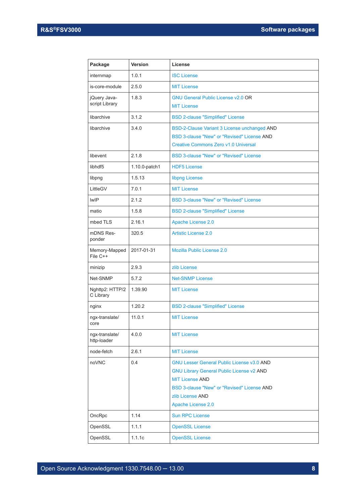| Package                        | <b>Version</b> | License                                                                                                                                                                                                                  |
|--------------------------------|----------------|--------------------------------------------------------------------------------------------------------------------------------------------------------------------------------------------------------------------------|
| internmap                      | 1.0.1          | <b>ISC License</b>                                                                                                                                                                                                       |
| is-core-module                 | 2.5.0          | <b>MIT License</b>                                                                                                                                                                                                       |
| jQuery Java-<br>script Library | 1.8.3          | <b>GNU General Public License v2.0 OR</b><br><b>MIT License</b>                                                                                                                                                          |
| libarchive                     | 3.1.2          | <b>BSD 2-clause "Simplified" License</b>                                                                                                                                                                                 |
| libarchive                     | 3.4.0          | BSD-2-Clause Variant 3 License unchanged AND<br>BSD 3-clause "New" or "Revised" License AND<br><b>Creative Commons Zero v1.0 Universal</b>                                                                               |
| libevent                       | 2.1.8          | <b>BSD 3-clause "New" or "Revised" License</b>                                                                                                                                                                           |
| libhdf5                        | 1.10.0-patch1  | <b>HDF5 License</b>                                                                                                                                                                                                      |
| libpng                         | 1.5.13         | libpng License                                                                                                                                                                                                           |
| LittleGV                       | 701            | <b>MIT License</b>                                                                                                                                                                                                       |
| <b>IwIP</b>                    | 2.1.2          | BSD 3-clause "New" or "Revised" License                                                                                                                                                                                  |
| matio                          | 1.5.8          | <b>BSD 2-clause "Simplified" License</b>                                                                                                                                                                                 |
| mbed TLS                       | 2.16.1         | Apache License 2.0                                                                                                                                                                                                       |
| mDNS Res-<br>ponder            | 320.5          | <b>Artistic License 2.0</b>                                                                                                                                                                                              |
| Memory-Mapped<br>File C++      | 2017-01-31     | <b>Mozilla Public License 2.0</b>                                                                                                                                                                                        |
| minizip                        | 2.9.3          | zlib License                                                                                                                                                                                                             |
| Net-SNMP                       | 5.7.2          | <b>Net-SNMP License</b>                                                                                                                                                                                                  |
| Nghttp2: HTTP/2<br>C Library   | 1.39.90        | <b>MIT License</b>                                                                                                                                                                                                       |
| nginx                          | 1.20.2         | <b>BSD 2-clause "Simplified" License</b>                                                                                                                                                                                 |
| ngx-translate/<br>core         | 11.0.1         | <b>MIT License</b>                                                                                                                                                                                                       |
| ngx-translate/<br>http-loader  | 4.0.0          | <b>MIT License</b>                                                                                                                                                                                                       |
| node-fetch                     | 2.6.1          | <b>MIT License</b>                                                                                                                                                                                                       |
| noVNC                          | 0.4            | <b>GNU Lesser General Public License v3.0 AND</b><br><b>GNU Library General Public License v2 AND</b><br><b>MIT License AND</b><br>BSD 3-clause "New" or "Revised" License AND<br>zlib License AND<br>Apache License 2.0 |
| OncRpc                         | 1.14           | <b>Sun RPC License</b>                                                                                                                                                                                                   |
| OpenSSL                        | 1.1.1          | <b>OpenSSL License</b>                                                                                                                                                                                                   |
| OpenSSL                        | 1.1.1c         | <b>OpenSSL License</b>                                                                                                                                                                                                   |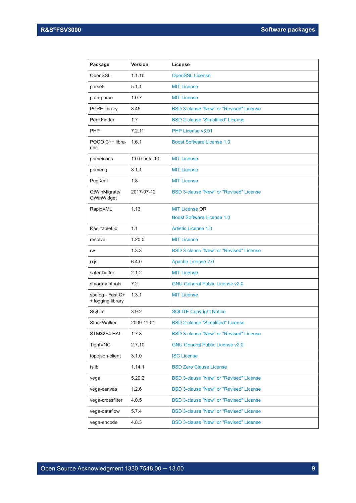| Package                               | <b>Version</b>     | License                                                    |
|---------------------------------------|--------------------|------------------------------------------------------------|
| OpenSSL                               | 1.1.1 <sub>b</sub> | <b>OpenSSL License</b>                                     |
| parse5                                | 5.1.1              | <b>MIT License</b>                                         |
| path-parse                            | 1.0.7              | <b>MIT License</b>                                         |
| PCRE library                          | 8.45               | <b>BSD 3-clause "New" or "Revised" License</b>             |
| PeakFinder                            | 1.7                | <b>BSD 2-clause "Simplified" License</b>                   |
| PHP                                   | 7.2.11             | PHP License v3.01                                          |
| POCO C++ libra-<br>ries               | 1.6.1              | Boost Software License 1.0                                 |
| primeicons                            | 1.0.0-beta.10      | <b>MIT License</b>                                         |
| primeng                               | 8.1.1              | <b>MIT License</b>                                         |
| PugiXml                               | 1.8                | <b>MIT License</b>                                         |
| QtWinMigrate/<br>QWinWidget           | 2017-07-12         | <b>BSD 3-clause "New" or "Revised" License</b>             |
| RapidXML                              | 1.13               | <b>MIT License OR</b><br><b>Boost Software License 1.0</b> |
| ResizableLib                          | 1.1                | <b>Artistic License 1.0</b>                                |
| resolve                               | 1.20.0             | <b>MIT License</b>                                         |
| rw                                    | 1.3.3              | <b>BSD 3-clause "New" or "Revised" License</b>             |
| rxjs                                  | 6.4.0              | Apache License 2.0                                         |
| safer-buffer                          | 2.1.2              | <b>MIT License</b>                                         |
| smartmontools                         | 7.2                | <b>GNU General Public License v2.0</b>                     |
| spdlog - Fast C+<br>+ logging library | 1.3.1              | <b>MIT License</b>                                         |
| SQLite                                | 3.9.2              | <b>SQLITE Copyright Notice</b>                             |
| <b>StackWalker</b>                    | 2009-11-01         | <b>BSD 2-clause "Simplified" License</b>                   |
| STM32F4 HAL                           | 1.7.8              | BSD 3-clause "New" or "Revised" License                    |
| TightVNC                              | 2.7.10             | <b>GNU General Public License v2.0</b>                     |
| topojson-client                       | 3.1.0              | <b>ISC License</b>                                         |
| tslib                                 | 1.14.1             | <b>BSD Zero Clause License</b>                             |
| vega                                  | 5.20.2             | BSD 3-clause "New" or "Revised" License                    |
| vega-canvas                           | 1.2.6              | BSD 3-clause "New" or "Revised" License                    |
| vega-crossfilter                      | 4.0.5              | BSD 3-clause "New" or "Revised" License                    |
| vega-dataflow                         | 5.7.4              | <b>BSD 3-clause "New" or "Revised" License</b>             |
| vega-encode                           | 4.8.3              | BSD 3-clause "New" or "Revised" License                    |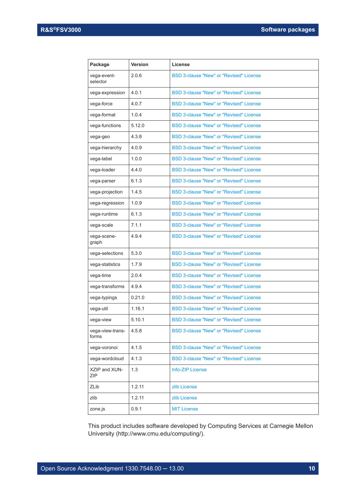| Package                     | <b>Version</b> | License                                        |
|-----------------------------|----------------|------------------------------------------------|
| vega-event-<br>selector     | 2.0.6          | BSD 3-clause "New" or "Revised" License        |
| vega-expression             | 4.0.1          | <b>BSD 3-clause "New" or "Revised" License</b> |
| vega-force                  | 4.0.7          | BSD 3-clause "New" or "Revised" License        |
| vega-format                 | 1.0.4          | <b>BSD 3-clause "New" or "Revised" License</b> |
| vega-functions              | 5.12.0         | <b>BSD 3-clause "New" or "Revised" License</b> |
| vega-geo                    | 4.3.8          | <b>BSD 3-clause "New" or "Revised" License</b> |
| vega-hierarchy              | 4.0.9          | <b>BSD 3-clause "New" or "Revised" License</b> |
| vega-label                  | 1.0.0          | <b>BSD 3-clause "New" or "Revised" License</b> |
| vega-loader                 | 4.4.0          | <b>BSD 3-clause "New" or "Revised" License</b> |
| vega-parser                 | 6.1.3          | <b>BSD 3-clause "New" or "Revised" License</b> |
| vega-projection             | 1.4.5          | <b>BSD 3-clause "New" or "Revised" License</b> |
| vega-regression             | 1.0.9          | BSD 3-clause "New" or "Revised" License        |
| vega-runtime                | 6.1.3          | <b>BSD 3-clause "New" or "Revised" License</b> |
| vega-scale                  | 7.1.1          | BSD 3-clause "New" or "Revised" License        |
| vega-scene-<br>graph        | 4.9.4          | <b>BSD 3-clause "New" or "Revised" License</b> |
| vega-selections             | 5.3.0          | <b>BSD 3-clause "New" or "Revised" License</b> |
| vega-statistics             | 1.7.9          | <b>BSD 3-clause "New" or "Revised" License</b> |
| vega-time                   | 2.0.4          | <b>BSD 3-clause "New" or "Revised" License</b> |
| vega-transforms             | 4.9.4          | <b>BSD 3-clause "New" or "Revised" License</b> |
| vega-typings                | 0.21.0         | <b>BSD 3-clause "New" or "Revised" License</b> |
| vega-util                   | 1.16.1         | BSD 3-clause "New" or "Revised" License        |
| vega-view                   | 5.10.1         | <b>BSD 3-clause "New" or "Revised" License</b> |
| vega-view-trans-<br>forms   | 4.5.8          | <b>BSD 3-clause "New" or "Revised" License</b> |
| vega-voronoi                | 4.1.5          | <b>BSD 3-clause "New" or "Revised" License</b> |
| vega-wordcloud              | 4.1.3          | <b>BSD 3-clause "New" or "Revised" License</b> |
| <b>XZIP and XUN-</b><br>ZIP | 1.3            | Info-ZIP License                               |
| ZLib                        | 1.2.11         | zlib License                                   |
| zlib                        | 1.2.11         | zlib License                                   |
| zone.js                     | 0.9.1          | <b>MIT License</b>                             |

This product includes software developed by Computing Services at Carnegie Mellon University (http://www.cmu.edu/computing/).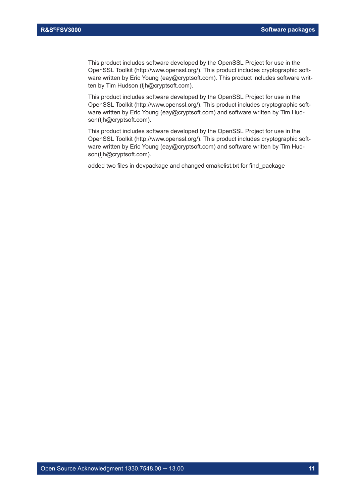This product includes software developed by the OpenSSL Project for use in the OpenSSL Toolkit (http://www.openssl.org/). This product includes cryptographic software written by Eric Young (eay@cryptsoft.com). This product includes software written by Tim Hudson (tjh@cryptsoft.com).

This product includes software developed by the OpenSSL Project for use in the OpenSSL Toolkit (http://www.openssl.org/). This product includes cryptographic software written by Eric Young (eay@cryptsoft.com) and software written by Tim Hudson(tjh@cryptsoft.com).

This product includes software developed by the OpenSSL Project for use in the OpenSSL Toolkit (http://www.openssl.org/). This product includes cryptographic software written by Eric Young (eay@cryptsoft.com) and software written by Tim Hudson(tjh@cryptsoft.com).

added two files in devpackage and changed cmakelist.txt for find\_package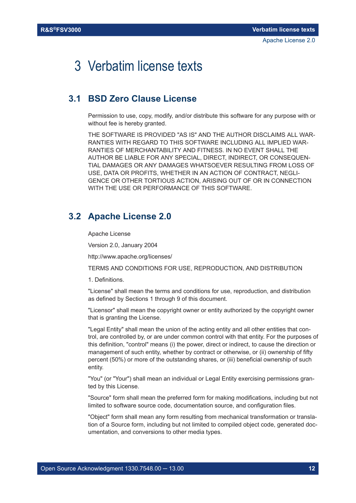## <span id="page-11-0"></span>3 Verbatim license texts

## **3.1 BSD Zero Clause License**

Permission to use, copy, modify, and/or distribute this software for any purpose with or without fee is hereby granted.

THE SOFTWARE IS PROVIDED "AS IS" AND THE AUTHOR DISCLAIMS ALL WAR-RANTIES WITH REGARD TO THIS SOFTWARE INCLUDING ALL IMPLIED WAR-RANTIES OF MERCHANTABILITY AND FITNESS. IN NO EVENT SHALL THE AUTHOR BE LIABLE FOR ANY SPECIAL, DIRECT, INDIRECT, OR CONSEQUEN-TIAL DAMAGES OR ANY DAMAGES WHATSOEVER RESULTING FROM LOSS OF USE, DATA OR PROFITS, WHETHER IN AN ACTION OF CONTRACT, NEGLI-GENCE OR OTHER TORTIOUS ACTION, ARISING OUT OF OR IN CONNECTION WITH THE USE OR PERFORMANCE OF THIS SOFTWARE.

## **3.2 Apache License 2.0**

Apache License

Version 2.0, January 2004

http://www.apache.org/licenses/

TERMS AND CONDITIONS FOR USE, REPRODUCTION, AND DISTRIBUTION

1. Definitions.

"License" shall mean the terms and conditions for use, reproduction, and distribution as defined by Sections 1 through 9 of this document.

"Licensor" shall mean the copyright owner or entity authorized by the copyright owner that is granting the License.

"Legal Entity" shall mean the union of the acting entity and all other entities that control, are controlled by, or are under common control with that entity. For the purposes of this definition, "control" means (i) the power, direct or indirect, to cause the direction or management of such entity, whether by contract or otherwise, or (ii) ownership of fifty percent (50%) or more of the outstanding shares, or (iii) beneficial ownership of such entity.

"You" (or "Your") shall mean an individual or Legal Entity exercising permissions granted by this License.

"Source" form shall mean the preferred form for making modifications, including but not limited to software source code, documentation source, and configuration files.

"Object" form shall mean any form resulting from mechanical transformation or translation of a Source form, including but not limited to compiled object code, generated documentation, and conversions to other media types.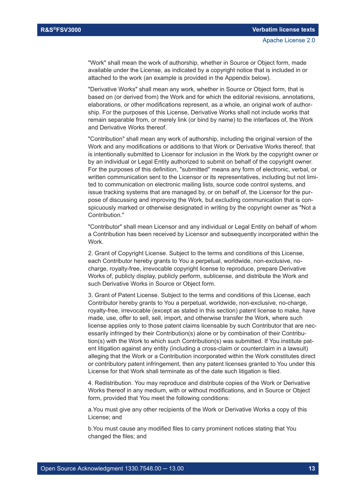"Work" shall mean the work of authorship, whether in Source or Object form, made available under the License, as indicated by a copyright notice that is included in or attached to the work (an example is provided in the Appendix below).

"Derivative Works" shall mean any work, whether in Source or Object form, that is based on (or derived from) the Work and for which the editorial revisions, annotations, elaborations, or other modifications represent, as a whole, an original work of authorship. For the purposes of this License, Derivative Works shall not include works that remain separable from, or merely link (or bind by name) to the interfaces of, the Work and Derivative Works thereof.

"Contribution" shall mean any work of authorship, including the original version of the Work and any modifications or additions to that Work or Derivative Works thereof, that is intentionally submitted to Licensor for inclusion in the Work by the copyright owner or by an individual or Legal Entity authorized to submit on behalf of the copyright owner. For the purposes of this definition, "submitted" means any form of electronic, verbal, or written communication sent to the Licensor or its representatives, including but not limited to communication on electronic mailing lists, source code control systems, and issue tracking systems that are managed by, or on behalf of, the Licensor for the purpose of discussing and improving the Work, but excluding communication that is conspicuously marked or otherwise designated in writing by the copyright owner as "Not a Contribution."

"Contributor" shall mean Licensor and any individual or Legal Entity on behalf of whom a Contribution has been received by Licensor and subsequently incorporated within the Work.

2. Grant of Copyright License. Subject to the terms and conditions of this License, each Contributor hereby grants to You a perpetual, worldwide, non-exclusive, nocharge, royalty-free, irrevocable copyright license to reproduce, prepare Derivative Works of, publicly display, publicly perform, sublicense, and distribute the Work and such Derivative Works in Source or Object form.

3. Grant of Patent License. Subject to the terms and conditions of this License, each Contributor hereby grants to You a perpetual, worldwide, non-exclusive, no-charge, royalty-free, irrevocable (except as stated in this section) patent license to make, have made, use, offer to sell, sell, import, and otherwise transfer the Work, where such license applies only to those patent claims licensable by such Contributor that are necessarily infringed by their Contribution(s) alone or by combination of their Contribution(s) with the Work to which such Contribution(s) was submitted. If You institute patent litigation against any entity (including a cross-claim or counterclaim in a lawsuit) alleging that the Work or a Contribution incorporated within the Work constitutes direct or contributory patent infringement, then any patent licenses granted to You under this License for that Work shall terminate as of the date such litigation is filed.

4. Redistribution. You may reproduce and distribute copies of the Work or Derivative Works thereof in any medium, with or without modifications, and in Source or Object form, provided that You meet the following conditions:

a.You must give any other recipients of the Work or Derivative Works a copy of this License; and

b.You must cause any modified files to carry prominent notices stating that You changed the files; and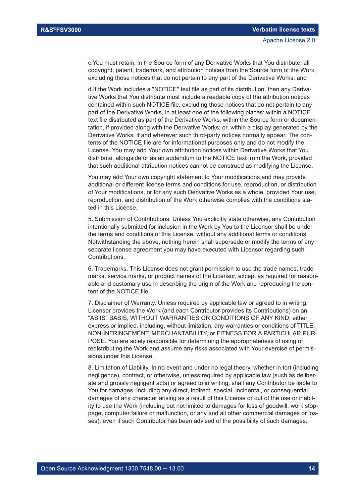c.You must retain, in the Source form of any Derivative Works that You distribute, all copyright, patent, trademark, and attribution notices from the Source form of the Work, excluding those notices that do not pertain to any part of the Derivative Works; and

d.If the Work includes a "NOTICE" text file as part of its distribution, then any Derivative Works that You distribute must include a readable copy of the attribution notices contained within such NOTICE file, excluding those notices that do not pertain to any part of the Derivative Works, in at least one of the following places: within a NOTICE text file distributed as part of the Derivative Works; within the Source form or documentation, if provided along with the Derivative Works; or, within a display generated by the Derivative Works, if and wherever such third-party notices normally appear. The contents of the NOTICE file are for informational purposes only and do not modify the License. You may add Your own attribution notices within Derivative Works that You distribute, alongside or as an addendum to the NOTICE text from the Work, provided that such additional attribution notices cannot be construed as modifying the License.

You may add Your own copyright statement to Your modifications and may provide additional or different license terms and conditions for use, reproduction, or distribution of Your modifications, or for any such Derivative Works as a whole, provided Your use, reproduction, and distribution of the Work otherwise complies with the conditions stated in this License.

5. Submission of Contributions. Unless You explicitly state otherwise, any Contribution intentionally submitted for inclusion in the Work by You to the Licensor shall be under the terms and conditions of this License, without any additional terms or conditions. Notwithstanding the above, nothing herein shall supersede or modify the terms of any separate license agreement you may have executed with Licensor regarding such Contributions.

6. Trademarks. This License does not grant permission to use the trade names, trademarks, service marks, or product names of the Licensor, except as required for reasonable and customary use in describing the origin of the Work and reproducing the content of the NOTICE file.

7. Disclaimer of Warranty. Unless required by applicable law or agreed to in writing, Licensor provides the Work (and each Contributor provides its Contributions) on an "AS IS" BASIS, WITHOUT WARRANTIES OR CONDITIONS OF ANY KIND, either express or implied, including, without limitation, any warranties or conditions of TITLE, NON-INFRINGEMENT, MERCHANTABILITY, or FITNESS FOR A PARTICULAR PUR-POSE. You are solely responsible for determining the appropriateness of using or redistributing the Work and assume any risks associated with Your exercise of permissions under this License.

8. Limitation of Liability. In no event and under no legal theory, whether in tort (including negligence), contract, or otherwise, unless required by applicable law (such as deliberate and grossly negligent acts) or agreed to in writing, shall any Contributor be liable to You for damages, including any direct, indirect, special, incidental, or consequential damages of any character arising as a result of this License or out of the use or inability to use the Work (including but not limited to damages for loss of goodwill, work stoppage, computer failure or malfunction, or any and all other commercial damages or losses), even if such Contributor has been advised of the possibility of such damages.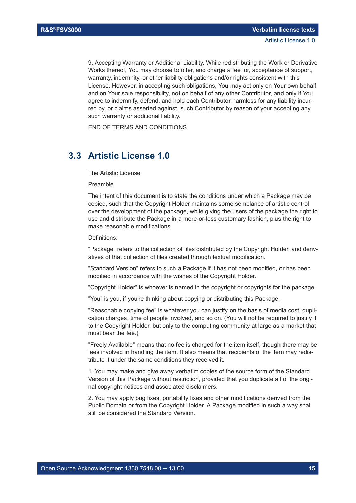<span id="page-14-0"></span>9. Accepting Warranty or Additional Liability. While redistributing the Work or Derivative Works thereof, You may choose to offer, and charge a fee for, acceptance of support, warranty, indemnity, or other liability obligations and/or rights consistent with this License. However, in accepting such obligations, You may act only on Your own behalf and on Your sole responsibility, not on behalf of any other Contributor, and only if You agree to indemnify, defend, and hold each Contributor harmless for any liability incurred by, or claims asserted against, such Contributor by reason of your accepting any such warranty or additional liability.

END OF TERMS AND CONDITIONS

## **3.3 Artistic License 1.0**

The Artistic License

#### Preamble

The intent of this document is to state the conditions under which a Package may be copied, such that the Copyright Holder maintains some semblance of artistic control over the development of the package, while giving the users of the package the right to use and distribute the Package in a more-or-less customary fashion, plus the right to make reasonable modifications.

Definitions:

"Package" refers to the collection of files distributed by the Copyright Holder, and derivatives of that collection of files created through textual modification.

"Standard Version" refers to such a Package if it has not been modified, or has been modified in accordance with the wishes of the Copyright Holder.

"Copyright Holder" is whoever is named in the copyright or copyrights for the package.

"You" is you, if you're thinking about copying or distributing this Package.

"Reasonable copying fee" is whatever you can justify on the basis of media cost, duplication charges, time of people involved, and so on. (You will not be required to justify it to the Copyright Holder, but only to the computing community at large as a market that must bear the fee.)

"Freely Available" means that no fee is charged for the item itself, though there may be fees involved in handling the item. It also means that recipients of the item may redistribute it under the same conditions they received it.

1. You may make and give away verbatim copies of the source form of the Standard Version of this Package without restriction, provided that you duplicate all of the original copyright notices and associated disclaimers.

2. You may apply bug fixes, portability fixes and other modifications derived from the Public Domain or from the Copyright Holder. A Package modified in such a way shall still be considered the Standard Version.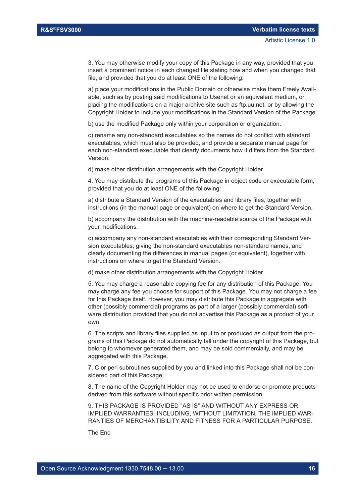3. You may otherwise modify your copy of this Package in any way, provided that you insert a prominent notice in each changed file stating how and when you changed that file, and provided that you do at least ONE of the following:

a) place your modifications in the Public Domain or otherwise make them Freely Available, such as by posting said modifications to Usenet or an equivalent medium, or placing the modifications on a major archive site such as ftp.uu.net, or by allowing the Copyright Holder to include your modifications in the Standard Version of the Package.

b) use the modified Package only within your corporation or organization.

c) rename any non-standard executables so the names do not conflict with standard executables, which must also be provided, and provide a separate manual page for each non-standard executable that clearly documents how it differs from the Standard Version.

d) make other distribution arrangements with the Copyright Holder.

4. You may distribute the programs of this Package in object code or executable form, provided that you do at least ONE of the following:

a) distribute a Standard Version of the executables and library files, together with instructions (in the manual page or equivalent) on where to get the Standard Version.

b) accompany the distribution with the machine-readable source of the Package with your modifications.

c) accompany any non-standard executables with their corresponding Standard Version executables, giving the non-standard executables non-standard names, and clearly documenting the differences in manual pages (or equivalent), together with instructions on where to get the Standard Version.

d) make other distribution arrangements with the Copyright Holder.

5. You may charge a reasonable copying fee for any distribution of this Package. You may charge any fee you choose for support of this Package. You may not charge a fee for this Package itself. However, you may distribute this Package in aggregate with other (possibly commercial) programs as part of a larger (possibly commercial) software distribution provided that you do not advertise this Package as a product of your own.

6. The scripts and library files supplied as input to or produced as output from the programs of this Package do not automatically fall under the copyright of this Package, but belong to whomever generated them, and may be sold commercially, and may be aggregated with this Package.

7. C or perl subroutines supplied by you and linked into this Package shall not be considered part of this Package.

8. The name of the Copyright Holder may not be used to endorse or promote products derived from this software without specific prior written permission.

9. THIS PACKAGE IS PROVIDED "AS IS" AND WITHOUT ANY EXPRESS OR IMPLIED WARRANTIES, INCLUDING, WITHOUT LIMITATION, THE IMPLIED WAR-RANTIES OF MERCHANTIBILITY AND FITNESS FOR A PARTICULAR PURPOSE.

The End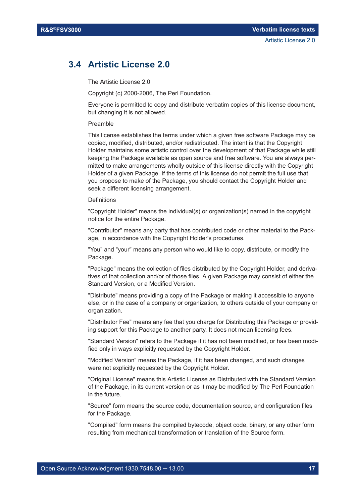## <span id="page-16-0"></span>**3.4 Artistic License 2.0**

The Artistic License 2.0

Copyright (c) 2000-2006, The Perl Foundation.

Everyone is permitted to copy and distribute verbatim copies of this license document, but changing it is not allowed.

#### Preamble

This license establishes the terms under which a given free software Package may be copied, modified, distributed, and/or redistributed. The intent is that the Copyright Holder maintains some artistic control over the development of that Package while still keeping the Package available as open source and free software. You are always permitted to make arrangements wholly outside of this license directly with the Copyright Holder of a given Package. If the terms of this license do not permit the full use that you propose to make of the Package, you should contact the Copyright Holder and seek a different licensing arrangement.

#### Definitions

"Copyright Holder" means the individual(s) or organization(s) named in the copyright notice for the entire Package.

"Contributor" means any party that has contributed code or other material to the Package, in accordance with the Copyright Holder's procedures.

"You" and "your" means any person who would like to copy, distribute, or modify the Package.

"Package" means the collection of files distributed by the Copyright Holder, and derivatives of that collection and/or of those files. A given Package may consist of either the Standard Version, or a Modified Version.

"Distribute" means providing a copy of the Package or making it accessible to anyone else, or in the case of a company or organization, to others outside of your company or organization.

"Distributor Fee" means any fee that you charge for Distributing this Package or providing support for this Package to another party. It does not mean licensing fees.

"Standard Version" refers to the Package if it has not been modified, or has been modified only in ways explicitly requested by the Copyright Holder.

"Modified Version" means the Package, if it has been changed, and such changes were not explicitly requested by the Copyright Holder.

"Original License" means this Artistic License as Distributed with the Standard Version of the Package, in its current version or as it may be modified by The Perl Foundation in the future.

"Source" form means the source code, documentation source, and configuration files for the Package.

"Compiled" form means the compiled bytecode, object code, binary, or any other form resulting from mechanical transformation or translation of the Source form.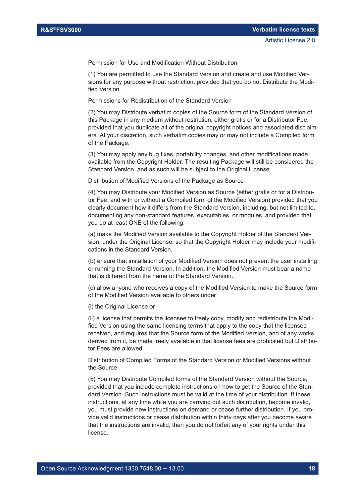Permission for Use and Modification Without Distribution

(1) You are permitted to use the Standard Version and create and use Modified Versions for any purpose without restriction, provided that you do not Distribute the Modified Version.

Permissions for Redistribution of the Standard Version

(2) You may Distribute verbatim copies of the Source form of the Standard Version of this Package in any medium without restriction, either gratis or for a Distributor Fee, provided that you duplicate all of the original copyright notices and associated disclaimers. At your discretion, such verbatim copies may or may not include a Compiled form of the Package.

(3) You may apply any bug fixes, portability changes, and other modifications made available from the Copyright Holder. The resulting Package will still be considered the Standard Version, and as such will be subject to the Original License.

Distribution of Modified Versions of the Package as Source

(4) You may Distribute your Modified Version as Source (either gratis or for a Distributor Fee, and with or without a Compiled form of the Modified Version) provided that you clearly document how it differs from the Standard Version, including, but not limited to, documenting any non-standard features, executables, or modules, and provided that you do at least ONE of the following:

(a) make the Modified Version available to the Copyright Holder of the Standard Version, under the Original License, so that the Copyright Holder may include your modifications in the Standard Version.

(b) ensure that installation of your Modified Version does not prevent the user installing or running the Standard Version. In addition, the Modified Version must bear a name that is different from the name of the Standard Version.

(c) allow anyone who receives a copy of the Modified Version to make the Source form of the Modified Version available to others under

(i) the Original License or

(ii) a license that permits the licensee to freely copy, modify and redistribute the Modified Version using the same licensing terms that apply to the copy that the licensee received, and requires that the Source form of the Modified Version, and of any works derived from it, be made freely available in that license fees are prohibited but Distributor Fees are allowed.

Distribution of Compiled Forms of the Standard Version or Modified Versions without the Source

(5) You may Distribute Compiled forms of the Standard Version without the Source, provided that you include complete instructions on how to get the Source of the Standard Version. Such instructions must be valid at the time of your distribution. If these instructions, at any time while you are carrying out such distribution, become invalid, you must provide new instructions on demand or cease further distribution. If you provide valid instructions or cease distribution within thirty days after you become aware that the instructions are invalid, then you do not forfeit any of your rights under this license.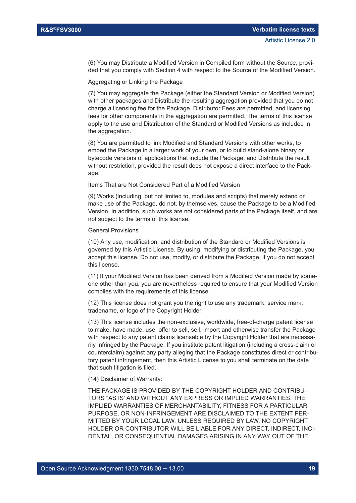(6) You may Distribute a Modified Version in Compiled form without the Source, provided that you comply with Section 4 with respect to the Source of the Modified Version.

Aggregating or Linking the Package

(7) You may aggregate the Package (either the Standard Version or Modified Version) with other packages and Distribute the resulting aggregation provided that you do not charge a licensing fee for the Package. Distributor Fees are permitted, and licensing fees for other components in the aggregation are permitted. The terms of this license apply to the use and Distribution of the Standard or Modified Versions as included in the aggregation.

(8) You are permitted to link Modified and Standard Versions with other works, to embed the Package in a larger work of your own, or to build stand-alone binary or bytecode versions of applications that include the Package, and Distribute the result without restriction, provided the result does not expose a direct interface to the Package.

Items That are Not Considered Part of a Modified Version

(9) Works (including, but not limited to, modules and scripts) that merely extend or make use of the Package, do not, by themselves, cause the Package to be a Modified Version. In addition, such works are not considered parts of the Package itself, and are not subject to the terms of this license.

#### General Provisions

(10) Any use, modification, and distribution of the Standard or Modified Versions is governed by this Artistic License. By using, modifying or distributing the Package, you accept this license. Do not use, modify, or distribute the Package, if you do not accept this license.

(11) If your Modified Version has been derived from a Modified Version made by someone other than you, you are nevertheless required to ensure that your Modified Version complies with the requirements of this license.

(12) This license does not grant you the right to use any trademark, service mark, tradename, or logo of the Copyright Holder.

(13) This license includes the non-exclusive, worldwide, free-of-charge patent license to make, have made, use, offer to sell, sell, import and otherwise transfer the Package with respect to any patent claims licensable by the Copyright Holder that are necessarily infringed by the Package. If you institute patent litigation (including a cross-claim or counterclaim) against any party alleging that the Package constitutes direct or contributory patent infringement, then this Artistic License to you shall terminate on the date that such litigation is filed.

#### (14) Disclaimer of Warranty:

THE PACKAGE IS PROVIDED BY THE COPYRIGHT HOLDER AND CONTRIBU-TORS "AS IS' AND WITHOUT ANY EXPRESS OR IMPLIED WARRANTIES. THE IMPLIED WARRANTIES OF MERCHANTABILITY, FITNESS FOR A PARTICULAR PURPOSE, OR NON-INFRINGEMENT ARE DISCLAIMED TO THE EXTENT PER-MITTED BY YOUR LOCAL LAW. UNLESS REQUIRED BY LAW, NO COPYRIGHT HOLDER OR CONTRIBUTOR WILL BE LIABLE FOR ANY DIRECT, INDIRECT, INCI-DENTAL, OR CONSEQUENTIAL DAMAGES ARISING IN ANY WAY OUT OF THE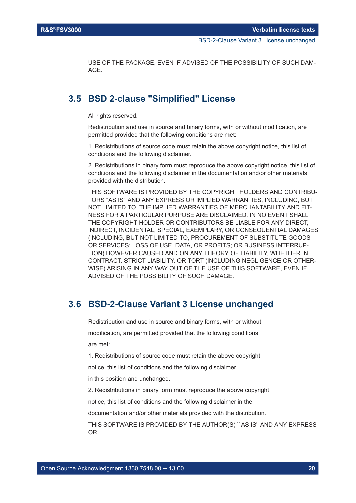<span id="page-19-0"></span>USE OF THE PACKAGE, EVEN IF ADVISED OF THE POSSIBILITY OF SUCH DAM-AGE.

## **3.5 BSD 2-clause "Simplified" License**

All rights reserved.

Redistribution and use in source and binary forms, with or without modification, are permitted provided that the following conditions are met:

1. Redistributions of source code must retain the above copyright notice, this list of conditions and the following disclaimer.

2. Redistributions in binary form must reproduce the above copyright notice, this list of conditions and the following disclaimer in the documentation and/or other materials provided with the distribution.

THIS SOFTWARE IS PROVIDED BY THE COPYRIGHT HOLDERS AND CONTRIBU-TORS "AS IS" AND ANY EXPRESS OR IMPLIED WARRANTIES, INCLUDING, BUT NOT LIMITED TO, THE IMPLIED WARRANTIES OF MERCHANTABILITY AND FIT-NESS FOR A PARTICULAR PURPOSE ARE DISCLAIMED. IN NO EVENT SHALL THE COPYRIGHT HOLDER OR CONTRIBUTORS BE LIABLE FOR ANY DIRECT, INDIRECT, INCIDENTAL, SPECIAL, EXEMPLARY, OR CONSEQUENTIAL DAMAGES (INCLUDING, BUT NOT LIMITED TO, PROCUREMENT OF SUBSTITUTE GOODS OR SERVICES; LOSS OF USE, DATA, OR PROFITS; OR BUSINESS INTERRUP-TION) HOWEVER CAUSED AND ON ANY THEORY OF LIABILITY, WHETHER IN CONTRACT, STRICT LIABILITY, OR TORT (INCLUDING NEGLIGENCE OR OTHER-WISE) ARISING IN ANY WAY OUT OF THE USE OF THIS SOFTWARE, EVEN IF ADVISED OF THE POSSIBILITY OF SUCH DAMAGE.

#### **3.6 BSD-2-Clause Variant 3 License unchanged**

Redistribution and use in source and binary forms, with or without modification, are permitted provided that the following conditions are met:

1. Redistributions of source code must retain the above copyright

notice, this list of conditions and the following disclaimer

in this position and unchanged.

2. Redistributions in binary form must reproduce the above copyright

notice, this list of conditions and the following disclaimer in the

documentation and/or other materials provided with the distribution.

THIS SOFTWARE IS PROVIDED BY THE AUTHOR(S) ``AS IS'' AND ANY EXPRESS OR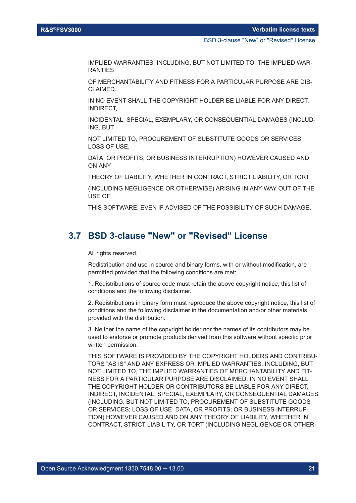<span id="page-20-0"></span>IMPLIED WARRANTIES, INCLUDING, BUT NOT LIMITED TO, THE IMPLIED WAR-RANTIES

OF MERCHANTABILITY AND FITNESS FOR A PARTICULAR PURPOSE ARE DIS-CLAIMED.

IN NO EVENT SHALL THE COPYRIGHT HOLDER BE LIABLE FOR ANY DIRECT, INDIRECT,

INCIDENTAL, SPECIAL, EXEMPLARY, OR CONSEQUENTIAL DAMAGES (INCLUD-ING, BUT

NOT LIMITED TO, PROCUREMENT OF SUBSTITUTE GOODS OR SERVICES; LOSS OF USE,

DATA, OR PROFITS; OR BUSINESS INTERRUPTION) HOWEVER CAUSED AND ON ANY

THEORY OF LIABILITY, WHETHER IN CONTRACT, STRICT LIABILITY, OR TORT

(INCLUDING NEGLIGENCE OR OTHERWISE) ARISING IN ANY WAY OUT OF THE USE OF

THIS SOFTWARE, EVEN IF ADVISED OF THE POSSIBILITY OF SUCH DAMAGE.

## **3.7 BSD 3-clause "New" or "Revised" License**

All rights reserved.

Redistribution and use in source and binary forms, with or without modification, are permitted provided that the following conditions are met:

1. Redistributions of source code must retain the above copyright notice, this list of conditions and the following disclaimer.

2. Redistributions in binary form must reproduce the above copyright notice, this list of conditions and the following disclaimer in the documentation and/or other materials provided with the distribution.

3. Neither the name of the copyright holder nor the names of its contributors may be used to endorse or promote products derived from this software without specific prior written permission.

THIS SOFTWARE IS PROVIDED BY THE COPYRIGHT HOLDERS AND CONTRIBU-TORS "AS IS" AND ANY EXPRESS OR IMPLIED WARRANTIES, INCLUDING, BUT NOT LIMITED TO, THE IMPLIED WARRANTIES OF MERCHANTABILITY AND FIT-NESS FOR A PARTICULAR PURPOSE ARE DISCLAIMED. IN NO EVENT SHALL THE COPYRIGHT HOLDER OR CONTRIBUTORS BE LIABLE FOR ANY DIRECT, INDIRECT, INCIDENTAL, SPECIAL, EXEMPLARY, OR CONSEQUENTIAL DAMAGES (INCLUDING, BUT NOT LIMITED TO, PROCUREMENT OF SUBSTITUTE GOODS OR SERVICES; LOSS OF USE, DATA, OR PROFITS; OR BUSINESS INTERRUP-TION) HOWEVER CAUSED AND ON ANY THEORY OF LIABILITY, WHETHER IN CONTRACT, STRICT LIABILITY, OR TORT (INCLUDING NEGLIGENCE OR OTHER-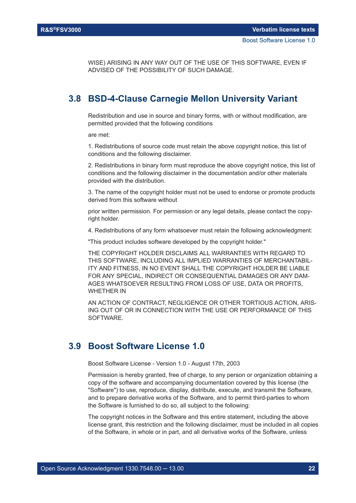<span id="page-21-0"></span>WISE) ARISING IN ANY WAY OUT OF THE USE OF THIS SOFTWARE, EVEN IF ADVISED OF THE POSSIBILITY OF SUCH DAMAGE.

#### **3.8 BSD-4-Clause Carnegie Mellon University Variant**

Redistribution and use in source and binary forms, with or without modification, are permitted provided that the following conditions

are met:

1. Redistributions of source code must retain the above copyright notice, this list of conditions and the following disclaimer.

2. Redistributions in binary form must reproduce the above copyright notice, this list of conditions and the following disclaimer in the documentation and/or other materials provided with the distribution.

3. The name of the copyright holder must not be used to endorse or promote products derived from this software without

prior written permission. For permission or any legal details, please contact the copyright holder.

4. Redistributions of any form whatsoever must retain the following acknowledgment:

"This product includes software developed by the copyright holder."

THE COPYRIGHT HOLDER DISCLAIMS ALL WARRANTIES WITH REGARD TO THIS SOFTWARE, INCLUDING ALL IMPLIED WARRANTIES OF MERCHANTABIL-ITY AND FITNESS, IN NO EVENT SHALL THE COPYRIGHT HOLDER BE LIABLE FOR ANY SPECIAL, INDIRECT OR CONSEQUENTIAL DAMAGES OR ANY DAM-AGES WHATSOEVER RESULTING FROM LOSS OF USE, DATA OR PROFITS, WHETHER IN

AN ACTION OF CONTRACT, NEGLIGENCE OR OTHER TORTIOUS ACTION, ARIS-ING OUT OF OR IN CONNECTION WITH THE USE OR PERFORMANCE OF THIS SOFTWARE.

## **3.9 Boost Software License 1.0**

Boost Software License - Version 1.0 - August 17th, 2003

Permission is hereby granted, free of charge, to any person or organization obtaining a copy of the software and accompanying documentation covered by this license (the "Software") to use, reproduce, display, distribute, execute, and transmit the Software, and to prepare derivative works of the Software, and to permit third-parties to whom the Software is furnished to do so, all subject to the following:

The copyright notices in the Software and this entire statement, including the above license grant, this restriction and the following disclaimer, must be included in all copies of the Software, in whole or in part, and all derivative works of the Software, unless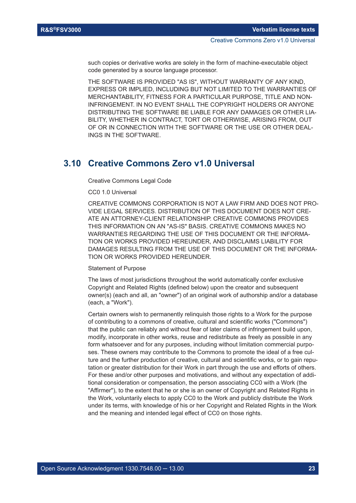<span id="page-22-0"></span>such copies or derivative works are solely in the form of machine-executable object code generated by a source language processor.

THE SOFTWARE IS PROVIDED "AS IS", WITHOUT WARRANTY OF ANY KIND, EXPRESS OR IMPLIED, INCLUDING BUT NOT LIMITED TO THE WARRANTIES OF MERCHANTABILITY, FITNESS FOR A PARTICULAR PURPOSE, TITLE AND NON-INFRINGEMENT. IN NO EVENT SHALL THE COPYRIGHT HOLDERS OR ANYONE DISTRIBUTING THE SOFTWARE BE LIABLE FOR ANY DAMAGES OR OTHER LIA-BILITY, WHETHER IN CONTRACT, TORT OR OTHERWISE, ARISING FROM, OUT OF OR IN CONNECTION WITH THE SOFTWARE OR THE USE OR OTHER DEAL-INGS IN THE SOFTWARE.

#### **3.10 Creative Commons Zero v1.0 Universal**

Creative Commons Legal Code

CC0 1.0 Universal

CREATIVE COMMONS CORPORATION IS NOT A LAW FIRM AND DOES NOT PRO-VIDE LEGAL SERVICES. DISTRIBUTION OF THIS DOCUMENT DOES NOT CRE-ATE AN ATTORNEY-CLIENT RELATIONSHIP. CREATIVE COMMONS PROVIDES THIS INFORMATION ON AN "AS-IS" BASIS. CREATIVE COMMONS MAKES NO WARRANTIES REGARDING THE USE OF THIS DOCUMENT OR THE INFORMA-TION OR WORKS PROVIDED HEREUNDER, AND DISCLAIMS LIABILITY FOR DAMAGES RESULTING FROM THE USE OF THIS DOCUMENT OR THE INFORMA-TION OR WORKS PROVIDED HEREUNDER.

Statement of Purpose

The laws of most jurisdictions throughout the world automatically confer exclusive Copyright and Related Rights (defined below) upon the creator and subsequent owner(s) (each and all, an "owner") of an original work of authorship and/or a database (each, a "Work").

Certain owners wish to permanently relinquish those rights to a Work for the purpose of contributing to a commons of creative, cultural and scientific works ("Commons") that the public can reliably and without fear of later claims of infringement build upon, modify, incorporate in other works, reuse and redistribute as freely as possible in any form whatsoever and for any purposes, including without limitation commercial purposes. These owners may contribute to the Commons to promote the ideal of a free culture and the further production of creative, cultural and scientific works, or to gain reputation or greater distribution for their Work in part through the use and efforts of others. For these and/or other purposes and motivations, and without any expectation of additional consideration or compensation, the person associating CC0 with a Work (the "Affirmer"), to the extent that he or she is an owner of Copyright and Related Rights in the Work, voluntarily elects to apply CC0 to the Work and publicly distribute the Work under its terms, with knowledge of his or her Copyright and Related Rights in the Work and the meaning and intended legal effect of CC0 on those rights.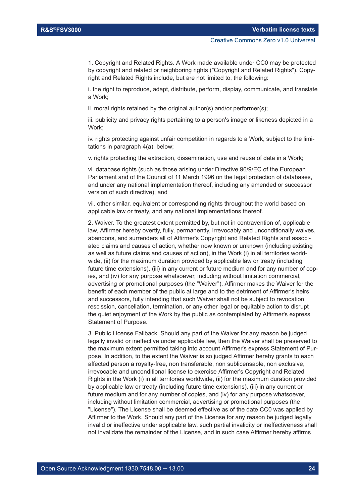1. Copyright and Related Rights. A Work made available under CC0 may be protected by copyright and related or neighboring rights ("Copyright and Related Rights"). Copyright and Related Rights include, but are not limited to, the following:

i. the right to reproduce, adapt, distribute, perform, display, communicate, and translate a Work;

ii. moral rights retained by the original author(s) and/or performer(s);

iii. publicity and privacy rights pertaining to a person's image or likeness depicted in a Work;

iv. rights protecting against unfair competition in regards to a Work, subject to the limitations in paragraph 4(a), below;

v. rights protecting the extraction, dissemination, use and reuse of data in a Work;

vi. database rights (such as those arising under Directive 96/9/EC of the European Parliament and of the Council of 11 March 1996 on the legal protection of databases, and under any national implementation thereof, including any amended or successor version of such directive); and

vii. other similar, equivalent or corresponding rights throughout the world based on applicable law or treaty, and any national implementations thereof.

2. Waiver. To the greatest extent permitted by, but not in contravention of, applicable law, Affirmer hereby overtly, fully, permanently, irrevocably and unconditionally waives, abandons, and surrenders all of Affirmer's Copyright and Related Rights and associated claims and causes of action, whether now known or unknown (including existing as well as future claims and causes of action), in the Work (i) in all territories worldwide, (ii) for the maximum duration provided by applicable law or treaty (including future time extensions), (iii) in any current or future medium and for any number of copies, and (iv) for any purpose whatsoever, including without limitation commercial, advertising or promotional purposes (the "Waiver"). Affirmer makes the Waiver for the benefit of each member of the public at large and to the detriment of Affirmer's heirs and successors, fully intending that such Waiver shall not be subject to revocation, rescission, cancellation, termination, or any other legal or equitable action to disrupt the quiet enjoyment of the Work by the public as contemplated by Affirmer's express Statement of Purpose.

3. Public License Fallback. Should any part of the Waiver for any reason be judged legally invalid or ineffective under applicable law, then the Waiver shall be preserved to the maximum extent permitted taking into account Affirmer's express Statement of Purpose. In addition, to the extent the Waiver is so judged Affirmer hereby grants to each affected person a royalty-free, non transferable, non sublicensable, non exclusive, irrevocable and unconditional license to exercise Affirmer's Copyright and Related Rights in the Work (i) in all territories worldwide, (ii) for the maximum duration provided by applicable law or treaty (including future time extensions), (iii) in any current or future medium and for any number of copies, and (iv) for any purpose whatsoever, including without limitation commercial, advertising or promotional purposes (the "License"). The License shall be deemed effective as of the date CC0 was applied by Affirmer to the Work. Should any part of the License for any reason be judged legally invalid or ineffective under applicable law, such partial invalidity or ineffectiveness shall not invalidate the remainder of the License, and in such case Affirmer hereby affirms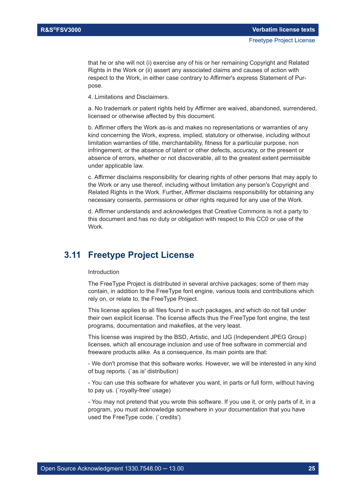<span id="page-24-0"></span>that he or she will not (i) exercise any of his or her remaining Copyright and Related Rights in the Work or (ii) assert any associated claims and causes of action with respect to the Work, in either case contrary to Affirmer's express Statement of Purpose.

4. Limitations and Disclaimers.

a. No trademark or patent rights held by Affirmer are waived, abandoned, surrendered, licensed or otherwise affected by this document.

b. Affirmer offers the Work as-is and makes no representations or warranties of any kind concerning the Work, express, implied, statutory or otherwise, including without limitation warranties of title, merchantability, fitness for a particular purpose, non infringement, or the absence of latent or other defects, accuracy, or the present or absence of errors, whether or not discoverable, all to the greatest extent permissible under applicable law.

c. Affirmer disclaims responsibility for clearing rights of other persons that may apply to the Work or any use thereof, including without limitation any person's Copyright and Related Rights in the Work. Further, Affirmer disclaims responsibility for obtaining any necessary consents, permissions or other rights required for any use of the Work.

d. Affirmer understands and acknowledges that Creative Commons is not a party to this document and has no duty or obligation with respect to this CC0 or use of the Work.

## **3.11 Freetype Project License**

#### Introduction

The FreeType Project is distributed in several archive packages; some of them may contain, in addition to the FreeType font engine, various tools and contributions which rely on, or relate to, the FreeType Project.

This license applies to all files found in such packages, and which do not fall under their own explicit license. The license affects thus the FreeType font engine, the test programs, documentation and makefiles, at the very least.

This license was inspired by the BSD, Artistic, and IJG (Independent JPEG Group) licenses, which all encourage inclusion and use of free software in commercial and freeware products alike. As a consequence, its main points are that:

- We don't promise that this software works. However, we will be interested in any kind of bug reports. (`as is' distribution)

- You can use this software for whatever you want, in parts or full form, without having to pay us. (`royalty-free' usage)

- You may not pretend that you wrote this software. If you use it, or only parts of it, in a program, you must acknowledge somewhere in your documentation that you have used the FreeType code. (`credits')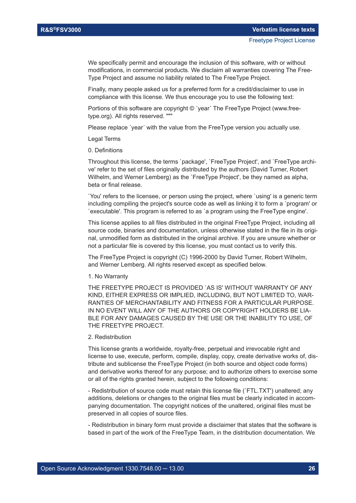We specifically permit and encourage the inclusion of this software, with or without modifications, in commercial products. We disclaim all warranties covering The Free-Type Project and assume no liability related to The FreeType Project.

Finally, many people asked us for a preferred form for a credit/disclaimer to use in compliance with this license. We thus encourage you to use the following text:

Portions of this software are copyright © ´year´ The FreeType Project (www.freetype.org). All rights reserved. """

Please replace 'year' with the value from the FreeType version you actually use.

Legal Terms

0. Definitions

Throughout this license, the terms `package', `FreeType Project', and `FreeType archive' refer to the set of files originally distributed by the authors (David Turner, Robert Wilhelm, and Werner Lemberg) as the `FreeType Project', be they named as alpha, beta or final release.

`You' refers to the licensee, or person using the project, where `using' is a generic term including compiling the project's source code as well as linking it to form a `program' or `executable'. This program is referred to as `a program using the FreeType engine'.

This license applies to all files distributed in the original FreeType Project, including all source code, binaries and documentation, unless otherwise stated in the file in its original, unmodified form as distributed in the original archive. If you are unsure whether or not a particular file is covered by this license, you must contact us to verify this.

The FreeType Project is copyright (C) 1996-2000 by David Turner, Robert Wilhelm, and Werner Lemberg. All rights reserved except as specified below.

#### 1. No Warranty

THE FREETYPE PROJECT IS PROVIDED `AS IS' WITHOUT WARRANTY OF ANY KIND, EITHER EXPRESS OR IMPLIED, INCLUDING, BUT NOT LIMITED TO, WAR-RANTIES OF MERCHANTABILITY AND FITNESS FOR A PARTICULAR PURPOSE. IN NO EVENT WILL ANY OF THE AUTHORS OR COPYRIGHT HOLDERS BE LIA-BLE FOR ANY DAMAGES CAUSED BY THE USE OR THE INABILITY TO USE, OF THE FREETYPE PROJECT.

#### 2. Redistribution

This license grants a worldwide, royalty-free, perpetual and irrevocable right and license to use, execute, perform, compile, display, copy, create derivative works of, distribute and sublicense the FreeType Project (in both source and object code forms) and derivative works thereof for any purpose; and to authorize others to exercise some or all of the rights granted herein, subject to the following conditions:

- Redistribution of source code must retain this license file (`FTL.TXT') unaltered; any additions, deletions or changes to the original files must be clearly indicated in accompanying documentation. The copyright notices of the unaltered, original files must be preserved in all copies of source files.

- Redistribution in binary form must provide a disclaimer that states that the software is based in part of the work of the FreeType Team, in the distribution documentation. We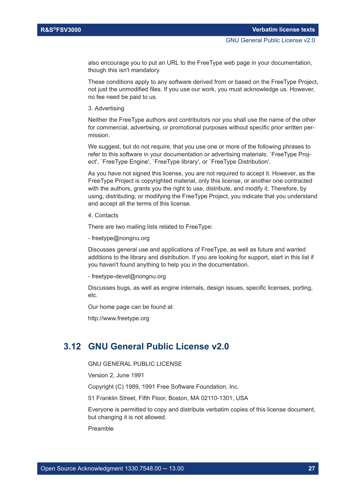<span id="page-26-0"></span>also encourage you to put an URL to the FreeType web page in your documentation, though this isn't mandatory.

These conditions apply to any software derived from or based on the FreeType Project, not just the unmodified files. If you use our work, you must acknowledge us. However, no fee need be paid to us.

3. Advertising

Neither the FreeType authors and contributors nor you shall use the name of the other for commercial, advertising, or promotional purposes without specific prior written permission.

We suggest, but do not require, that you use one or more of the following phrases to refer to this software in your documentation or advertising materials: `FreeType Project', `FreeType Engine', `FreeType library', or `FreeType Distribution'.

As you have not signed this license, you are not required to accept it. However, as the FreeType Project is copyrighted material, only this license, or another one contracted with the authors, grants you the right to use, distribute, and modify it. Therefore, by using, distributing, or modifying the FreeType Project, you indicate that you understand and accept all the terms of this license.

4. Contacts

There are two mailing lists related to FreeType:

- freetype@nongnu.org

Discusses general use and applications of FreeType, as well as future and wanted additions to the library and distribution. If you are looking for support, start in this list if you haven't found anything to help you in the documentation.

- freetype-devel@nongnu.org

Discusses bugs, as well as engine internals, design issues, specific licenses, porting, etc.

Our home page can be found at

http://www.freetype.org

## **3.12 GNU General Public License v2.0**

GNU GENERAL PUBLIC LICENSE

Version 2, June 1991

Copyright (C) 1989, 1991 Free Software Foundation, Inc.

51 Franklin Street, Fifth Floor, Boston, MA 02110-1301, USA

Everyone is permitted to copy and distribute verbatim copies of this license document, but changing it is not allowed.

Preamble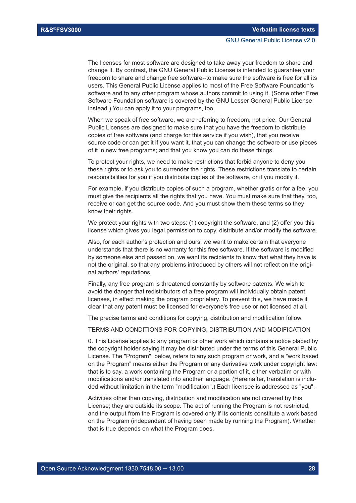The licenses for most software are designed to take away your freedom to share and change it. By contrast, the GNU General Public License is intended to guarantee your freedom to share and change free software--to make sure the software is free for all its users. This General Public License applies to most of the Free Software Foundation's software and to any other program whose authors commit to using it. (Some other Free Software Foundation software is covered by the GNU Lesser General Public License instead.) You can apply it to your programs, too.

When we speak of free software, we are referring to freedom, not price. Our General Public Licenses are designed to make sure that you have the freedom to distribute copies of free software (and charge for this service if you wish), that you receive source code or can get it if you want it, that you can change the software or use pieces of it in new free programs; and that you know you can do these things.

To protect your rights, we need to make restrictions that forbid anyone to deny you these rights or to ask you to surrender the rights. These restrictions translate to certain responsibilities for you if you distribute copies of the software, or if you modify it.

For example, if you distribute copies of such a program, whether gratis or for a fee, you must give the recipients all the rights that you have. You must make sure that they, too, receive or can get the source code. And you must show them these terms so they know their rights.

We protect your rights with two steps: (1) copyright the software, and (2) offer you this license which gives you legal permission to copy, distribute and/or modify the software.

Also, for each author's protection and ours, we want to make certain that everyone understands that there is no warranty for this free software. If the software is modified by someone else and passed on, we want its recipients to know that what they have is not the original, so that any problems introduced by others will not reflect on the original authors' reputations.

Finally, any free program is threatened constantly by software patents. We wish to avoid the danger that redistributors of a free program will individually obtain patent licenses, in effect making the program proprietary. To prevent this, we have made it clear that any patent must be licensed for everyone's free use or not licensed at all.

The precise terms and conditions for copying, distribution and modification follow.

TERMS AND CONDITIONS FOR COPYING, DISTRIBUTION AND MODIFICATION

0. This License applies to any program or other work which contains a notice placed by the copyright holder saying it may be distributed under the terms of this General Public License. The "Program", below, refers to any such program or work, and a "work based on the Program" means either the Program or any derivative work under copyright law: that is to say, a work containing the Program or a portion of it, either verbatim or with modifications and/or translated into another language. (Hereinafter, translation is included without limitation in the term "modification".) Each licensee is addressed as "you".

Activities other than copying, distribution and modification are not covered by this License; they are outside its scope. The act of running the Program is not restricted, and the output from the Program is covered only if its contents constitute a work based on the Program (independent of having been made by running the Program). Whether that is true depends on what the Program does.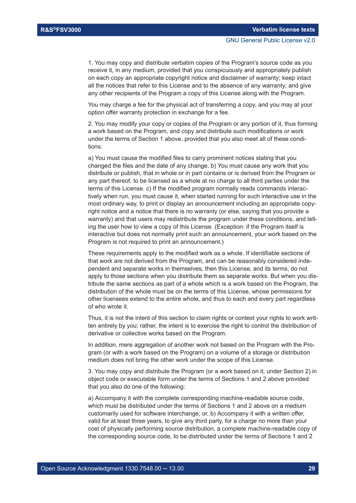1. You may copy and distribute verbatim copies of the Program's source code as you receive it, in any medium, provided that you conspicuously and appropriately publish on each copy an appropriate copyright notice and disclaimer of warranty; keep intact all the notices that refer to this License and to the absence of any warranty; and give any other recipients of the Program a copy of this License along with the Program.

You may charge a fee for the physical act of transferring a copy, and you may at your option offer warranty protection in exchange for a fee.

2. You may modify your copy or copies of the Program or any portion of it, thus forming a work based on the Program, and copy and distribute such modifications or work under the terms of Section 1 above, provided that you also meet all of these conditions:

a) You must cause the modified files to carry prominent notices stating that you changed the files and the date of any change. b) You must cause any work that you distribute or publish, that in whole or in part contains or is derived from the Program or any part thereof, to be licensed as a whole at no charge to all third parties under the terms of this License. c) If the modified program normally reads commands interactively when run, you must cause it, when started running for such interactive use in the most ordinary way, to print or display an announcement including an appropriate copyright notice and a notice that there is no warranty (or else, saying that you provide a warranty) and that users may redistribute the program under these conditions, and telling the user how to view a copy of this License. (Exception: if the Program itself is interactive but does not normally print such an announcement, your work based on the Program is not required to print an announcement.)

These requirements apply to the modified work as a whole. If identifiable sections of that work are not derived from the Program, and can be reasonably considered independent and separate works in themselves, then this License, and its terms, do not apply to those sections when you distribute them as separate works. But when you distribute the same sections as part of a whole which is a work based on the Program, the distribution of the whole must be on the terms of this License, whose permissions for other licensees extend to the entire whole, and thus to each and every part regardless of who wrote it.

Thus, it is not the intent of this section to claim rights or contest your rights to work written entirely by you; rather, the intent is to exercise the right to control the distribution of derivative or collective works based on the Program.

In addition, mere aggregation of another work not based on the Program with the Program (or with a work based on the Program) on a volume of a storage or distribution medium does not bring the other work under the scope of this License.

3. You may copy and distribute the Program (or a work based on it, under Section 2) in object code or executable form under the terms of Sections 1 and 2 above provided that you also do one of the following:

a) Accompany it with the complete corresponding machine-readable source code, which must be distributed under the terms of Sections 1 and 2 above on a medium customarily used for software interchange; or, b) Accompany it with a written offer, valid for at least three years, to give any third party, for a charge no more than your cost of physically performing source distribution, a complete machine-readable copy of the corresponding source code, to be distributed under the terms of Sections 1 and 2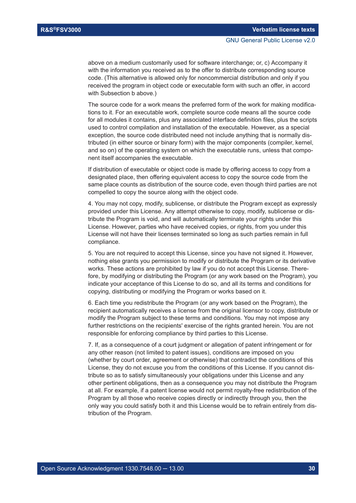above on a medium customarily used for software interchange; or, c) Accompany it with the information you received as to the offer to distribute corresponding source code. (This alternative is allowed only for noncommercial distribution and only if you received the program in object code or executable form with such an offer, in accord with Subsection b above.)

The source code for a work means the preferred form of the work for making modifications to it. For an executable work, complete source code means all the source code for all modules it contains, plus any associated interface definition files, plus the scripts used to control compilation and installation of the executable. However, as a special exception, the source code distributed need not include anything that is normally distributed (in either source or binary form) with the major components (compiler, kernel, and so on) of the operating system on which the executable runs, unless that component itself accompanies the executable.

If distribution of executable or object code is made by offering access to copy from a designated place, then offering equivalent access to copy the source code from the same place counts as distribution of the source code, even though third parties are not compelled to copy the source along with the object code.

4. You may not copy, modify, sublicense, or distribute the Program except as expressly provided under this License. Any attempt otherwise to copy, modify, sublicense or distribute the Program is void, and will automatically terminate your rights under this License. However, parties who have received copies, or rights, from you under this License will not have their licenses terminated so long as such parties remain in full compliance.

5. You are not required to accept this License, since you have not signed it. However, nothing else grants you permission to modify or distribute the Program or its derivative works. These actions are prohibited by law if you do not accept this License. Therefore, by modifying or distributing the Program (or any work based on the Program), you indicate your acceptance of this License to do so, and all its terms and conditions for copying, distributing or modifying the Program or works based on it.

6. Each time you redistribute the Program (or any work based on the Program), the recipient automatically receives a license from the original licensor to copy, distribute or modify the Program subject to these terms and conditions. You may not impose any further restrictions on the recipients' exercise of the rights granted herein. You are not responsible for enforcing compliance by third parties to this License.

7. If, as a consequence of a court judgment or allegation of patent infringement or for any other reason (not limited to patent issues), conditions are imposed on you (whether by court order, agreement or otherwise) that contradict the conditions of this License, they do not excuse you from the conditions of this License. If you cannot distribute so as to satisfy simultaneously your obligations under this License and any other pertinent obligations, then as a consequence you may not distribute the Program at all. For example, if a patent license would not permit royalty-free redistribution of the Program by all those who receive copies directly or indirectly through you, then the only way you could satisfy both it and this License would be to refrain entirely from distribution of the Program.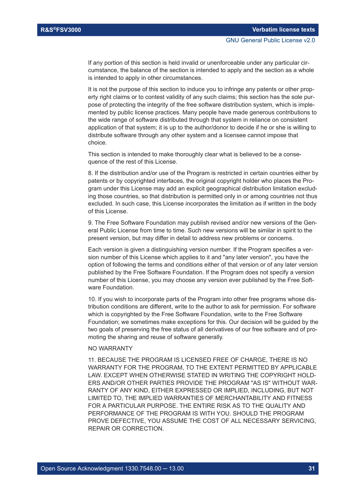If any portion of this section is held invalid or unenforceable under any particular circumstance, the balance of the section is intended to apply and the section as a whole is intended to apply in other circumstances.

It is not the purpose of this section to induce you to infringe any patents or other property right claims or to contest validity of any such claims; this section has the sole purpose of protecting the integrity of the free software distribution system, which is implemented by public license practices. Many people have made generous contributions to the wide range of software distributed through that system in reliance on consistent application of that system; it is up to the author/donor to decide if he or she is willing to distribute software through any other system and a licensee cannot impose that choice.

This section is intended to make thoroughly clear what is believed to be a consequence of the rest of this License.

8. If the distribution and/or use of the Program is restricted in certain countries either by patents or by copyrighted interfaces, the original copyright holder who places the Program under this License may add an explicit geographical distribution limitation excluding those countries, so that distribution is permitted only in or among countries not thus excluded. In such case, this License incorporates the limitation as if written in the body of this License.

9. The Free Software Foundation may publish revised and/or new versions of the General Public License from time to time. Such new versions will be similar in spirit to the present version, but may differ in detail to address new problems or concerns.

Each version is given a distinguishing version number. If the Program specifies a version number of this License which applies to it and "any later version", you have the option of following the terms and conditions either of that version or of any later version published by the Free Software Foundation. If the Program does not specify a version number of this License, you may choose any version ever published by the Free Software Foundation.

10. If you wish to incorporate parts of the Program into other free programs whose distribution conditions are different, write to the author to ask for permission. For software which is copyrighted by the Free Software Foundation, write to the Free Software Foundation; we sometimes make exceptions for this. Our decision will be guided by the two goals of preserving the free status of all derivatives of our free software and of promoting the sharing and reuse of software generally.

#### NO WARRANTY

11. BECAUSE THE PROGRAM IS LICENSED FREE OF CHARGE, THERE IS NO WARRANTY FOR THE PROGRAM, TO THE EXTENT PERMITTED BY APPLICABLE LAW. EXCEPT WHEN OTHERWISE STATED IN WRITING THE COPYRIGHT HOLD-ERS AND/OR OTHER PARTIES PROVIDE THE PROGRAM "AS IS" WITHOUT WAR-RANTY OF ANY KIND, EITHER EXPRESSED OR IMPLIED, INCLUDING, BUT NOT LIMITED TO, THE IMPLIED WARRANTIES OF MERCHANTABILITY AND FITNESS FOR A PARTICULAR PURPOSE. THE ENTIRE RISK AS TO THE QUALITY AND PERFORMANCE OF THE PROGRAM IS WITH YOU. SHOULD THE PROGRAM PROVE DEFECTIVE, YOU ASSUME THE COST OF ALL NECESSARY SERVICING, REPAIR OR CORRECTION.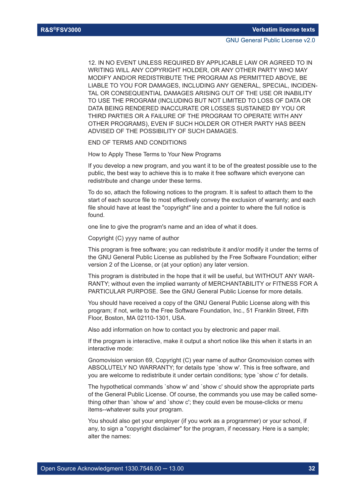12. IN NO EVENT UNLESS REQUIRED BY APPLICABLE LAW OR AGREED TO IN WRITING WILL ANY COPYRIGHT HOLDER, OR ANY OTHER PARTY WHO MAY MODIFY AND/OR REDISTRIBUTE THE PROGRAM AS PERMITTED ABOVE, BE LIABLE TO YOU FOR DAMAGES, INCLUDING ANY GENERAL, SPECIAL, INCIDEN-TAL OR CONSEQUENTIAL DAMAGES ARISING OUT OF THE USE OR INABILITY TO USE THE PROGRAM (INCLUDING BUT NOT LIMITED TO LOSS OF DATA OR DATA BEING RENDERED INACCURATE OR LOSSES SUSTAINED BY YOU OR THIRD PARTIES OR A FAILURE OF THE PROGRAM TO OPERATE WITH ANY OTHER PROGRAMS), EVEN IF SUCH HOLDER OR OTHER PARTY HAS BEEN ADVISED OF THE POSSIBILITY OF SUCH DAMAGES.

END OF TERMS AND CONDITIONS

How to Apply These Terms to Your New Programs

If you develop a new program, and you want it to be of the greatest possible use to the public, the best way to achieve this is to make it free software which everyone can redistribute and change under these terms.

To do so, attach the following notices to the program. It is safest to attach them to the start of each source file to most effectively convey the exclusion of warranty; and each file should have at least the "copyright" line and a pointer to where the full notice is found.

one line to give the program's name and an idea of what it does.

Copyright (C) yyyy name of author

This program is free software; you can redistribute it and/or modify it under the terms of the GNU General Public License as published by the Free Software Foundation; either version 2 of the License, or (at your option) any later version.

This program is distributed in the hope that it will be useful, but WITHOUT ANY WAR-RANTY; without even the implied warranty of MERCHANTABILITY or FITNESS FOR A PARTICULAR PURPOSE. See the GNU General Public License for more details.

You should have received a copy of the GNU General Public License along with this program; if not, write to the Free Software Foundation, Inc., 51 Franklin Street, Fifth Floor, Boston, MA 02110-1301, USA.

Also add information on how to contact you by electronic and paper mail.

If the program is interactive, make it output a short notice like this when it starts in an interactive mode:

Gnomovision version 69, Copyright (C) year name of author Gnomovision comes with ABSOLUTELY NO WARRANTY; for details type `show w'. This is free software, and you are welcome to redistribute it under certain conditions; type `show c' for details.

The hypothetical commands `show w' and `show c' should show the appropriate parts of the General Public License. Of course, the commands you use may be called something other than `show w' and `show c'; they could even be mouse-clicks or menu items--whatever suits your program.

You should also get your employer (if you work as a programmer) or your school, if any, to sign a "copyright disclaimer" for the program, if necessary. Here is a sample; alter the names: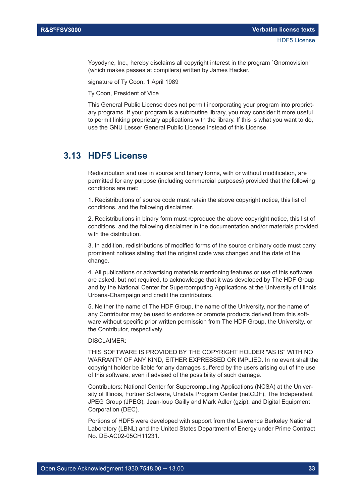<span id="page-32-0"></span>Yoyodyne, Inc., hereby disclaims all copyright interest in the program `Gnomovision' (which makes passes at compilers) written by James Hacker.

signature of Ty Coon, 1 April 1989

Ty Coon, President of Vice

This General Public License does not permit incorporating your program into proprietary programs. If your program is a subroutine library, you may consider it more useful to permit linking proprietary applications with the library. If this is what you want to do, use the GNU Lesser General Public License instead of this License.

## **3.13 HDF5 License**

Redistribution and use in source and binary forms, with or without modification, are permitted for any purpose (including commercial purposes) provided that the following conditions are met:

1. Redistributions of source code must retain the above copyright notice, this list of conditions, and the following disclaimer.

2. Redistributions in binary form must reproduce the above copyright notice, this list of conditions, and the following disclaimer in the documentation and/or materials provided with the distribution.

3. In addition, redistributions of modified forms of the source or binary code must carry prominent notices stating that the original code was changed and the date of the change.

4. All publications or advertising materials mentioning features or use of this software are asked, but not required, to acknowledge that it was developed by The HDF Group and by the National Center for Supercomputing Applications at the University of Illinois Urbana-Champaign and credit the contributors.

5. Neither the name of The HDF Group, the name of the University, nor the name of any Contributor may be used to endorse or promote products derived from this software without specific prior written permission from The HDF Group, the University, or the Contributor, respectively.

#### DISCLAIMER:

THIS SOFTWARE IS PROVIDED BY THE COPYRIGHT HOLDER "AS IS" WITH NO WARRANTY OF ANY KIND, EITHER EXPRESSED OR IMPLIED. In no event shall the copyright holder be liable for any damages suffered by the users arising out of the use of this software, even if advised of the possibility of such damage.

Contributors: National Center for Supercomputing Applications (NCSA) at the University of Illinois, Fortner Software, Unidata Program Center (netCDF), The Independent JPEG Group (JPEG), Jean-loup Gailly and Mark Adler (gzip), and Digital Equipment Corporation (DEC).

Portions of HDF5 were developed with support from the Lawrence Berkeley National Laboratory (LBNL) and the United States Department of Energy under Prime Contract No. DE-AC02-05CH11231.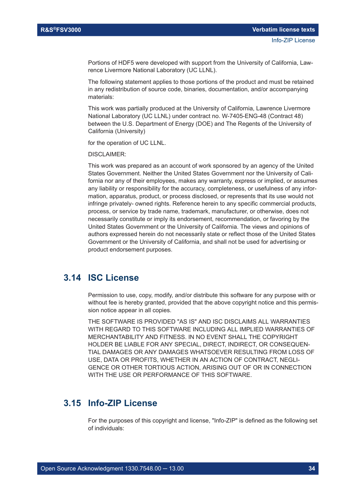<span id="page-33-0"></span>Portions of HDF5 were developed with support from the University of California, Lawrence Livermore National Laboratory (UC LLNL).

The following statement applies to those portions of the product and must be retained in any redistribution of source code, binaries, documentation, and/or accompanying materials:

This work was partially produced at the University of California, Lawrence Livermore National Laboratory (UC LLNL) under contract no. W-7405-ENG-48 (Contract 48) between the U.S. Department of Energy (DOE) and The Regents of the University of California (University)

for the operation of UC LLNL.

DISCLAIMER:

This work was prepared as an account of work sponsored by an agency of the United States Government. Neither the United States Government nor the University of California nor any of their employees, makes any warranty, express or implied, or assumes any liability or responsibility for the accuracy, completeness, or usefulness of any information, apparatus, product, or process disclosed, or represents that its use would not infringe privately- owned rights. Reference herein to any specific commercial products, process, or service by trade name, trademark, manufacturer, or otherwise, does not necessarily constitute or imply its endorsement, recommendation, or favoring by the United States Government or the University of California. The views and opinions of authors expressed herein do not necessarily state or reflect those of the United States Government or the University of California, and shall not be used for advertising or product endorsement purposes.

## **3.14 ISC License**

Permission to use, copy, modify, and/or distribute this software for any purpose with or without fee is hereby granted, provided that the above copyright notice and this permission notice appear in all copies.

THE SOFTWARE IS PROVIDED "AS IS" AND ISC DISCLAIMS ALL WARRANTIES WITH REGARD TO THIS SOFTWARE INCLUDING ALL IMPLIED WARRANTIES OF MERCHANTABILITY AND FITNESS. IN NO EVENT SHALL THE COPYRIGHT HOLDER BE LIABLE FOR ANY SPECIAL, DIRECT, INDIRECT, OR CONSEQUEN-TIAL DAMAGES OR ANY DAMAGES WHATSOEVER RESULTING FROM LOSS OF USE, DATA OR PROFITS, WHETHER IN AN ACTION OF CONTRACT, NEGLI-GENCE OR OTHER TORTIOUS ACTION, ARISING OUT OF OR IN CONNECTION WITH THE USE OR PERFORMANCE OF THIS SOFTWARE.

## **3.15 Info-ZIP License**

For the purposes of this copyright and license, "Info-ZIP" is defined as the following set of individuals: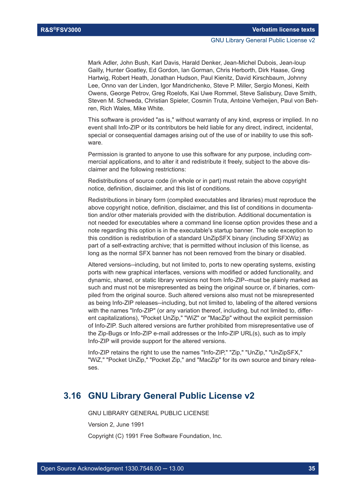<span id="page-34-0"></span>Mark Adler, John Bush, Karl Davis, Harald Denker, Jean-Michel Dubois, Jean-loup Gailly, Hunter Goatley, Ed Gordon, Ian Gorman, Chris Herborth, Dirk Haase, Greg Hartwig, Robert Heath, Jonathan Hudson, Paul Kienitz, David Kirschbaum, Johnny Lee, Onno van der Linden, Igor Mandrichenko, Steve P. Miller, Sergio Monesi, Keith Owens, George Petrov, Greg Roelofs, Kai Uwe Rommel, Steve Salisbury, Dave Smith, Steven M. Schweda, Christian Spieler, Cosmin Truta, Antoine Verheijen, Paul von Behren, Rich Wales, Mike White.

This software is provided "as is," without warranty of any kind, express or implied. In no event shall Info-ZIP or its contributors be held liable for any direct, indirect, incidental, special or consequential damages arising out of the use of or inability to use this software.

Permission is granted to anyone to use this software for any purpose, including commercial applications, and to alter it and redistribute it freely, subject to the above disclaimer and the following restrictions:

Redistributions of source code (in whole or in part) must retain the above copyright notice, definition, disclaimer, and this list of conditions.

Redistributions in binary form (compiled executables and libraries) must reproduce the above copyright notice, definition, disclaimer, and this list of conditions in documentation and/or other materials provided with the distribution. Additional documentation is not needed for executables where a command line license option provides these and a note regarding this option is in the executable's startup banner. The sole exception to this condition is redistribution of a standard UnZipSFX binary (including SFXWiz) as part of a self-extracting archive; that is permitted without inclusion of this license, as long as the normal SFX banner has not been removed from the binary or disabled.

Altered versions--including, but not limited to, ports to new operating systems, existing ports with new graphical interfaces, versions with modified or added functionality, and dynamic, shared, or static library versions not from Info-ZIP--must be plainly marked as such and must not be misrepresented as being the original source or, if binaries, compiled from the original source. Such altered versions also must not be misrepresented as being Info-ZIP releases--including, but not limited to, labeling of the altered versions with the names "Info-ZIP" (or any variation thereof, including, but not limited to, different capitalizations), "Pocket UnZip," "WiZ" or "MacZip" without the explicit permission of Info-ZIP. Such altered versions are further prohibited from misrepresentative use of the Zip-Bugs or Info-ZIP e-mail addresses or the Info-ZIP URL(s), such as to imply Info-ZIP will provide support for the altered versions.

Info-ZIP retains the right to use the names "Info-ZIP," "Zip," "UnZip," "UnZipSFX," "WiZ," "Pocket UnZip," "Pocket Zip," and "MacZip" for its own source and binary releases.

## **3.16 GNU Library General Public License v2**

GNU LIBRARY GENERAL PUBLIC LICENSE Version 2, June 1991 Copyright (C) 1991 Free Software Foundation, Inc.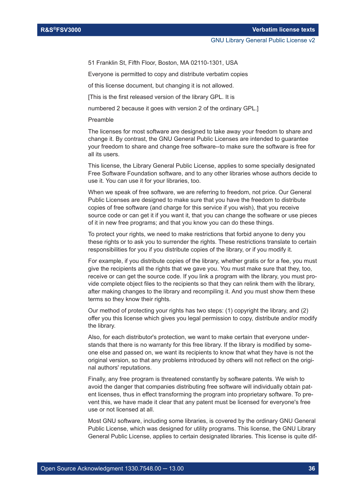#### GNU Library General Public License v2

51 Franklin St, Fifth Floor, Boston, MA 02110-1301, USA

Everyone is permitted to copy and distribute verbatim copies

of this license document, but changing it is not allowed.

[This is the first released version of the library GPL. It is

numbered 2 because it goes with version 2 of the ordinary GPL.]

#### Preamble

The licenses for most software are designed to take away your freedom to share and change it. By contrast, the GNU General Public Licenses are intended to guarantee your freedom to share and change free software--to make sure the software is free for all its users.

This license, the Library General Public License, applies to some specially designated Free Software Foundation software, and to any other libraries whose authors decide to use it. You can use it for your libraries, too.

When we speak of free software, we are referring to freedom, not price. Our General Public Licenses are designed to make sure that you have the freedom to distribute copies of free software (and charge for this service if you wish), that you receive source code or can get it if you want it, that you can change the software or use pieces of it in new free programs; and that you know you can do these things.

To protect your rights, we need to make restrictions that forbid anyone to deny you these rights or to ask you to surrender the rights. These restrictions translate to certain responsibilities for you if you distribute copies of the library, or if you modify it.

For example, if you distribute copies of the library, whether gratis or for a fee, you must give the recipients all the rights that we gave you. You must make sure that they, too, receive or can get the source code. If you link a program with the library, you must provide complete object files to the recipients so that they can relink them with the library, after making changes to the library and recompiling it. And you must show them these terms so they know their rights.

Our method of protecting your rights has two steps: (1) copyright the library, and (2) offer you this license which gives you legal permission to copy, distribute and/or modify the library.

Also, for each distributor's protection, we want to make certain that everyone understands that there is no warranty for this free library. If the library is modified by someone else and passed on, we want its recipients to know that what they have is not the original version, so that any problems introduced by others will not reflect on the original authors' reputations.

Finally, any free program is threatened constantly by software patents. We wish to avoid the danger that companies distributing free software will individually obtain patent licenses, thus in effect transforming the program into proprietary software. To prevent this, we have made it clear that any patent must be licensed for everyone's free use or not licensed at all.

Most GNU software, including some libraries, is covered by the ordinary GNU General Public License, which was designed for utility programs. This license, the GNU Library General Public License, applies to certain designated libraries. This license is quite dif-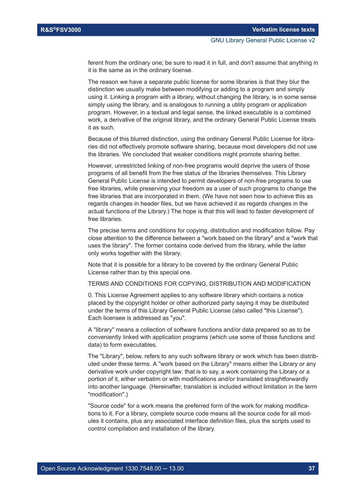ferent from the ordinary one; be sure to read it in full, and don't assume that anything in it is the same as in the ordinary license.

The reason we have a separate public license for some libraries is that they blur the distinction we usually make between modifying or adding to a program and simply using it. Linking a program with a library, without changing the library, is in some sense simply using the library, and is analogous to running a utility program or application program. However, in a textual and legal sense, the linked executable is a combined work, a derivative of the original library, and the ordinary General Public License treats it as such.

Because of this blurred distinction, using the ordinary General Public License for libraries did not effectively promote software sharing, because most developers did not use the libraries. We concluded that weaker conditions might promote sharing better.

However, unrestricted linking of non-free programs would deprive the users of those programs of all benefit from the free status of the libraries themselves. This Library General Public License is intended to permit developers of non-free programs to use free libraries, while preserving your freedom as a user of such programs to change the free libraries that are incorporated in them. (We have not seen how to achieve this as regards changes in header files, but we have achieved it as regards changes in the actual functions of the Library.) The hope is that this will lead to faster development of free libraries.

The precise terms and conditions for copying, distribution and modification follow. Pay close attention to the difference between a "work based on the library" and a "work that uses the library". The former contains code derived from the library, while the latter only works together with the library.

Note that it is possible for a library to be covered by the ordinary General Public License rather than by this special one.

TERMS AND CONDITIONS FOR COPYING, DISTRIBUTION AND MODIFICATION

0. This License Agreement applies to any software library which contains a notice placed by the copyright holder or other authorized party saying it may be distributed under the terms of this Library General Public License (also called "this License"). Each licensee is addressed as "you".

A "library" means a collection of software functions and/or data prepared so as to be conveniently linked with application programs (which use some of those functions and data) to form executables.

The "Library", below, refers to any such software library or work which has been distributed under these terms. A "work based on the Library" means either the Library or any derivative work under copyright law: that is to say, a work containing the Library or a portion of it, either verbatim or with modifications and/or translated straightforwardly into another language. (Hereinafter, translation is included without limitation in the term "modification".)

"Source code" for a work means the preferred form of the work for making modifications to it. For a library, complete source code means all the source code for all modules it contains, plus any associated interface definition files, plus the scripts used to control compilation and installation of the library.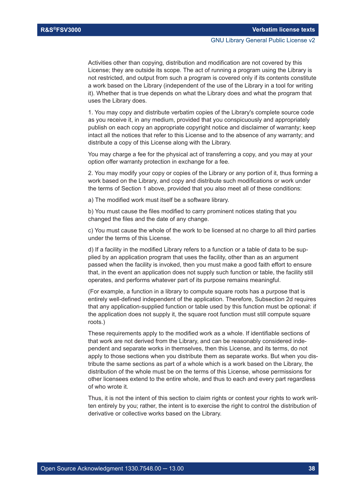Activities other than copying, distribution and modification are not covered by this License; they are outside its scope. The act of running a program using the Library is not restricted, and output from such a program is covered only if its contents constitute a work based on the Library (independent of the use of the Library in a tool for writing it). Whether that is true depends on what the Library does and what the program that uses the Library does.

1. You may copy and distribute verbatim copies of the Library's complete source code as you receive it, in any medium, provided that you conspicuously and appropriately publish on each copy an appropriate copyright notice and disclaimer of warranty; keep intact all the notices that refer to this License and to the absence of any warranty; and distribute a copy of this License along with the Library.

You may charge a fee for the physical act of transferring a copy, and you may at your option offer warranty protection in exchange for a fee.

2. You may modify your copy or copies of the Library or any portion of it, thus forming a work based on the Library, and copy and distribute such modifications or work under the terms of Section 1 above, provided that you also meet all of these conditions:

a) The modified work must itself be a software library.

b) You must cause the files modified to carry prominent notices stating that you changed the files and the date of any change.

c) You must cause the whole of the work to be licensed at no charge to all third parties under the terms of this License.

d) If a facility in the modified Library refers to a function or a table of data to be supplied by an application program that uses the facility, other than as an argument passed when the facility is invoked, then you must make a good faith effort to ensure that, in the event an application does not supply such function or table, the facility still operates, and performs whatever part of its purpose remains meaningful.

(For example, a function in a library to compute square roots has a purpose that is entirely well-defined independent of the application. Therefore, Subsection 2d requires that any application-supplied function or table used by this function must be optional: if the application does not supply it, the square root function must still compute square roots.)

These requirements apply to the modified work as a whole. If identifiable sections of that work are not derived from the Library, and can be reasonably considered independent and separate works in themselves, then this License, and its terms, do not apply to those sections when you distribute them as separate works. But when you distribute the same sections as part of a whole which is a work based on the Library, the distribution of the whole must be on the terms of this License, whose permissions for other licensees extend to the entire whole, and thus to each and every part regardless of who wrote it.

Thus, it is not the intent of this section to claim rights or contest your rights to work written entirely by you; rather, the intent is to exercise the right to control the distribution of derivative or collective works based on the Library.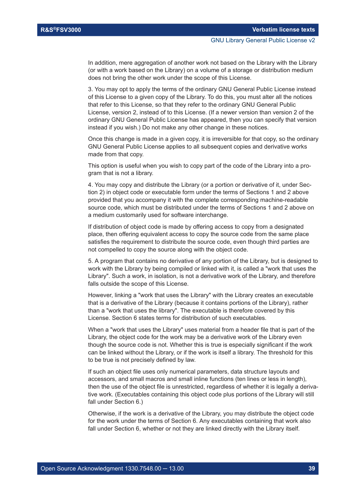In addition, mere aggregation of another work not based on the Library with the Library (or with a work based on the Library) on a volume of a storage or distribution medium does not bring the other work under the scope of this License.

3. You may opt to apply the terms of the ordinary GNU General Public License instead of this License to a given copy of the Library. To do this, you must alter all the notices that refer to this License, so that they refer to the ordinary GNU General Public License, version 2, instead of to this License. (If a newer version than version 2 of the ordinary GNU General Public License has appeared, then you can specify that version instead if you wish.) Do not make any other change in these notices.

Once this change is made in a given copy, it is irreversible for that copy, so the ordinary GNU General Public License applies to all subsequent copies and derivative works made from that copy.

This option is useful when you wish to copy part of the code of the Library into a program that is not a library.

4. You may copy and distribute the Library (or a portion or derivative of it, under Section 2) in object code or executable form under the terms of Sections 1 and 2 above provided that you accompany it with the complete corresponding machine-readable source code, which must be distributed under the terms of Sections 1 and 2 above on a medium customarily used for software interchange.

If distribution of object code is made by offering access to copy from a designated place, then offering equivalent access to copy the source code from the same place satisfies the requirement to distribute the source code, even though third parties are not compelled to copy the source along with the object code.

5. A program that contains no derivative of any portion of the Library, but is designed to work with the Library by being compiled or linked with it, is called a "work that uses the Library". Such a work, in isolation, is not a derivative work of the Library, and therefore falls outside the scope of this License.

However, linking a "work that uses the Library" with the Library creates an executable that is a derivative of the Library (because it contains portions of the Library), rather than a "work that uses the library". The executable is therefore covered by this License. Section 6 states terms for distribution of such executables.

When a "work that uses the Library" uses material from a header file that is part of the Library, the object code for the work may be a derivative work of the Library even though the source code is not. Whether this is true is especially significant if the work can be linked without the Library, or if the work is itself a library. The threshold for this to be true is not precisely defined by law.

If such an object file uses only numerical parameters, data structure layouts and accessors, and small macros and small inline functions (ten lines or less in length), then the use of the object file is unrestricted, regardless of whether it is legally a derivative work. (Executables containing this object code plus portions of the Library will still fall under Section 6.)

Otherwise, if the work is a derivative of the Library, you may distribute the object code for the work under the terms of Section 6. Any executables containing that work also fall under Section 6, whether or not they are linked directly with the Library itself.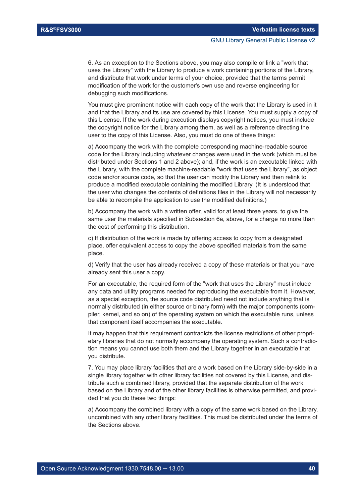6. As an exception to the Sections above, you may also compile or link a "work that uses the Library" with the Library to produce a work containing portions of the Library, and distribute that work under terms of your choice, provided that the terms permit modification of the work for the customer's own use and reverse engineering for debugging such modifications.

You must give prominent notice with each copy of the work that the Library is used in it and that the Library and its use are covered by this License. You must supply a copy of this License. If the work during execution displays copyright notices, you must include the copyright notice for the Library among them, as well as a reference directing the user to the copy of this License. Also, you must do one of these things:

a) Accompany the work with the complete corresponding machine-readable source code for the Library including whatever changes were used in the work (which must be distributed under Sections 1 and 2 above); and, if the work is an executable linked with the Library, with the complete machine-readable "work that uses the Library", as object code and/or source code, so that the user can modify the Library and then relink to produce a modified executable containing the modified Library. (It is understood that the user who changes the contents of definitions files in the Library will not necessarily be able to recompile the application to use the modified definitions.)

b) Accompany the work with a written offer, valid for at least three years, to give the same user the materials specified in Subsection 6a, above, for a charge no more than the cost of performing this distribution.

c) If distribution of the work is made by offering access to copy from a designated place, offer equivalent access to copy the above specified materials from the same place.

d) Verify that the user has already received a copy of these materials or that you have already sent this user a copy.

For an executable, the required form of the "work that uses the Library" must include any data and utility programs needed for reproducing the executable from it. However, as a special exception, the source code distributed need not include anything that is normally distributed (in either source or binary form) with the major components (compiler, kernel, and so on) of the operating system on which the executable runs, unless that component itself accompanies the executable.

It may happen that this requirement contradicts the license restrictions of other proprietary libraries that do not normally accompany the operating system. Such a contradiction means you cannot use both them and the Library together in an executable that you distribute.

7. You may place library facilities that are a work based on the Library side-by-side in a single library together with other library facilities not covered by this License, and distribute such a combined library, provided that the separate distribution of the work based on the Library and of the other library facilities is otherwise permitted, and provided that you do these two things:

a) Accompany the combined library with a copy of the same work based on the Library, uncombined with any other library facilities. This must be distributed under the terms of the Sections above.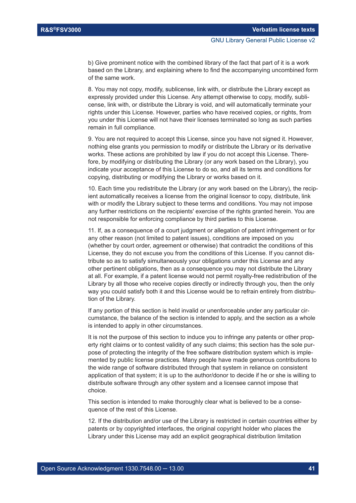b) Give prominent notice with the combined library of the fact that part of it is a work based on the Library, and explaining where to find the accompanying uncombined form of the same work.

8. You may not copy, modify, sublicense, link with, or distribute the Library except as expressly provided under this License. Any attempt otherwise to copy, modify, sublicense, link with, or distribute the Library is void, and will automatically terminate your rights under this License. However, parties who have received copies, or rights, from you under this License will not have their licenses terminated so long as such parties remain in full compliance.

9. You are not required to accept this License, since you have not signed it. However, nothing else grants you permission to modify or distribute the Library or its derivative works. These actions are prohibited by law if you do not accept this License. Therefore, by modifying or distributing the Library (or any work based on the Library), you indicate your acceptance of this License to do so, and all its terms and conditions for copying, distributing or modifying the Library or works based on it.

10. Each time you redistribute the Library (or any work based on the Library), the recipient automatically receives a license from the original licensor to copy, distribute, link with or modify the Library subject to these terms and conditions. You may not impose any further restrictions on the recipients' exercise of the rights granted herein. You are not responsible for enforcing compliance by third parties to this License.

11. If, as a consequence of a court judgment or allegation of patent infringement or for any other reason (not limited to patent issues), conditions are imposed on you (whether by court order, agreement or otherwise) that contradict the conditions of this License, they do not excuse you from the conditions of this License. If you cannot distribute so as to satisfy simultaneously your obligations under this License and any other pertinent obligations, then as a consequence you may not distribute the Library at all. For example, if a patent license would not permit royalty-free redistribution of the Library by all those who receive copies directly or indirectly through you, then the only way you could satisfy both it and this License would be to refrain entirely from distribution of the Library.

If any portion of this section is held invalid or unenforceable under any particular circumstance, the balance of the section is intended to apply, and the section as a whole is intended to apply in other circumstances.

It is not the purpose of this section to induce you to infringe any patents or other property right claims or to contest validity of any such claims; this section has the sole purpose of protecting the integrity of the free software distribution system which is implemented by public license practices. Many people have made generous contributions to the wide range of software distributed through that system in reliance on consistent application of that system; it is up to the author/donor to decide if he or she is willing to distribute software through any other system and a licensee cannot impose that choice.

This section is intended to make thoroughly clear what is believed to be a consequence of the rest of this License.

12. If the distribution and/or use of the Library is restricted in certain countries either by patents or by copyrighted interfaces, the original copyright holder who places the Library under this License may add an explicit geographical distribution limitation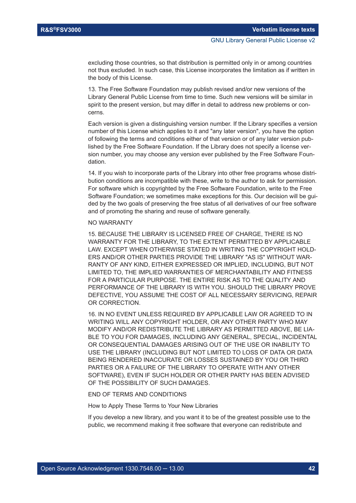excluding those countries, so that distribution is permitted only in or among countries not thus excluded. In such case, this License incorporates the limitation as if written in the body of this License.

13. The Free Software Foundation may publish revised and/or new versions of the Library General Public License from time to time. Such new versions will be similar in spirit to the present version, but may differ in detail to address new problems or concerns.

Each version is given a distinguishing version number. If the Library specifies a version number of this License which applies to it and "any later version", you have the option of following the terms and conditions either of that version or of any later version published by the Free Software Foundation. If the Library does not specify a license version number, you may choose any version ever published by the Free Software Foundation.

14. If you wish to incorporate parts of the Library into other free programs whose distribution conditions are incompatible with these, write to the author to ask for permission. For software which is copyrighted by the Free Software Foundation, write to the Free Software Foundation; we sometimes make exceptions for this. Our decision will be guided by the two goals of preserving the free status of all derivatives of our free software and of promoting the sharing and reuse of software generally.

## NO WARRANTY

15. BECAUSE THE LIBRARY IS LICENSED FREE OF CHARGE, THERE IS NO WARRANTY FOR THE LIBRARY, TO THE EXTENT PERMITTED BY APPLICABLE LAW. EXCEPT WHEN OTHERWISE STATED IN WRITING THE COPYRIGHT HOLD-ERS AND/OR OTHER PARTIES PROVIDE THE LIBRARY "AS IS" WITHOUT WAR-RANTY OF ANY KIND, EITHER EXPRESSED OR IMPLIED, INCLUDING, BUT NOT LIMITED TO, THE IMPLIED WARRANTIES OF MERCHANTABILITY AND FITNESS FOR A PARTICULAR PURPOSE. THE ENTIRE RISK AS TO THE QUALITY AND PERFORMANCE OF THE LIBRARY IS WITH YOU. SHOULD THE LIBRARY PROVE DEFECTIVE, YOU ASSUME THE COST OF ALL NECESSARY SERVICING, REPAIR OR CORRECTION.

16. IN NO EVENT UNLESS REQUIRED BY APPLICABLE LAW OR AGREED TO IN WRITING WILL ANY COPYRIGHT HOLDER, OR ANY OTHER PARTY WHO MAY MODIFY AND/OR REDISTRIBUTE THE LIBRARY AS PERMITTED ABOVE, BE LIA-BLE TO YOU FOR DAMAGES, INCLUDING ANY GENERAL, SPECIAL, INCIDENTAL OR CONSEQUENTIAL DAMAGES ARISING OUT OF THE USE OR INABILITY TO USE THE LIBRARY (INCLUDING BUT NOT LIMITED TO LOSS OF DATA OR DATA BEING RENDERED INACCURATE OR LOSSES SUSTAINED BY YOU OR THIRD PARTIES OR A FAILURE OF THE LIBRARY TO OPERATE WITH ANY OTHER SOFTWARE), EVEN IF SUCH HOLDER OR OTHER PARTY HAS BEEN ADVISED OF THE POSSIBILITY OF SUCH DAMAGES.

#### END OF TERMS AND CONDITIONS

How to Apply These Terms to Your New Libraries

If you develop a new library, and you want it to be of the greatest possible use to the public, we recommend making it free software that everyone can redistribute and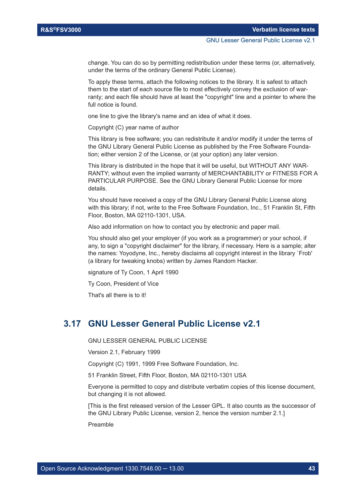change. You can do so by permitting redistribution under these terms (or, alternatively, under the terms of the ordinary General Public License).

To apply these terms, attach the following notices to the library. It is safest to attach them to the start of each source file to most effectively convey the exclusion of warranty; and each file should have at least the "copyright" line and a pointer to where the full notice is found.

one line to give the library's name and an idea of what it does.

Copyright (C) year name of author

This library is free software; you can redistribute it and/or modify it under the terms of the GNU Library General Public License as published by the Free Software Foundation; either version 2 of the License, or (at your option) any later version.

This library is distributed in the hope that it will be useful, but WITHOUT ANY WAR-RANTY; without even the implied warranty of MERCHANTABILITY or FITNESS FOR A PARTICULAR PURPOSE. See the GNU Library General Public License for more details.

You should have received a copy of the GNU Library General Public License along with this library; if not, write to the Free Software Foundation, Inc., 51 Franklin St, Fifth Floor, Boston, MA 02110-1301, USA.

Also add information on how to contact you by electronic and paper mail.

You should also get your employer (if you work as a programmer) or your school, if any, to sign a "copyright disclaimer" for the library, if necessary. Here is a sample; alter the names: Yoyodyne, Inc., hereby disclaims all copyright interest in the library `Frob' (a library for tweaking knobs) written by James Random Hacker.

signature of Ty Coon, 1 April 1990

Ty Coon, President of Vice

That's all there is to it!

## **3.17 GNU Lesser General Public License v2.1**

GNU LESSER GENERAL PUBLIC LICENSE

Version 2.1, February 1999

Copyright (C) 1991, 1999 Free Software Foundation, Inc.

51 Franklin Street, Fifth Floor, Boston, MA 02110-1301 USA

Everyone is permitted to copy and distribute verbatim copies of this license document, but changing it is not allowed.

[This is the first released version of the Lesser GPL. It also counts as the successor of the GNU Library Public License, version 2, hence the version number 2.1.]

Preamble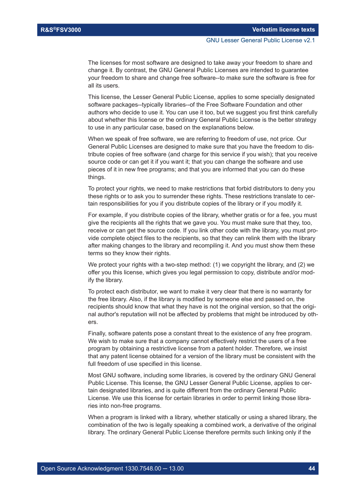The licenses for most software are designed to take away your freedom to share and change it. By contrast, the GNU General Public Licenses are intended to guarantee your freedom to share and change free software--to make sure the software is free for all its users.

This license, the Lesser General Public License, applies to some specially designated software packages--typically libraries--of the Free Software Foundation and other authors who decide to use it. You can use it too, but we suggest you first think carefully about whether this license or the ordinary General Public License is the better strategy to use in any particular case, based on the explanations below.

When we speak of free software, we are referring to freedom of use, not price. Our General Public Licenses are designed to make sure that you have the freedom to distribute copies of free software (and charge for this service if you wish); that you receive source code or can get it if you want it; that you can change the software and use pieces of it in new free programs; and that you are informed that you can do these things.

To protect your rights, we need to make restrictions that forbid distributors to deny you these rights or to ask you to surrender these rights. These restrictions translate to certain responsibilities for you if you distribute copies of the library or if you modify it.

For example, if you distribute copies of the library, whether gratis or for a fee, you must give the recipients all the rights that we gave you. You must make sure that they, too, receive or can get the source code. If you link other code with the library, you must provide complete object files to the recipients, so that they can relink them with the library after making changes to the library and recompiling it. And you must show them these terms so they know their rights.

We protect your rights with a two-step method: (1) we copyright the library, and (2) we offer you this license, which gives you legal permission to copy, distribute and/or modify the library.

To protect each distributor, we want to make it very clear that there is no warranty for the free library. Also, if the library is modified by someone else and passed on, the recipients should know that what they have is not the original version, so that the original author's reputation will not be affected by problems that might be introduced by others.

Finally, software patents pose a constant threat to the existence of any free program. We wish to make sure that a company cannot effectively restrict the users of a free program by obtaining a restrictive license from a patent holder. Therefore, we insist that any patent license obtained for a version of the library must be consistent with the full freedom of use specified in this license.

Most GNU software, including some libraries, is covered by the ordinary GNU General Public License. This license, the GNU Lesser General Public License, applies to certain designated libraries, and is quite different from the ordinary General Public License. We use this license for certain libraries in order to permit linking those libraries into non-free programs.

When a program is linked with a library, whether statically or using a shared library, the combination of the two is legally speaking a combined work, a derivative of the original library. The ordinary General Public License therefore permits such linking only if the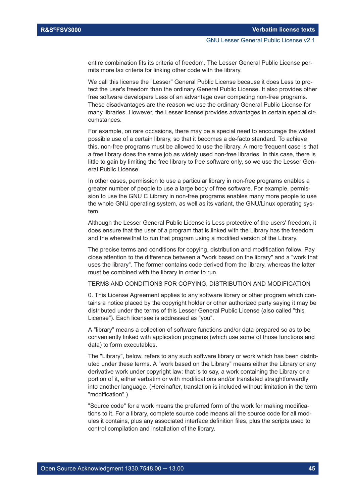entire combination fits its criteria of freedom. The Lesser General Public License permits more lax criteria for linking other code with the library.

We call this license the "Lesser" General Public License because it does Less to protect the user's freedom than the ordinary General Public License. It also provides other free software developers Less of an advantage over competing non-free programs. These disadvantages are the reason we use the ordinary General Public License for many libraries. However, the Lesser license provides advantages in certain special circumstances.

For example, on rare occasions, there may be a special need to encourage the widest possible use of a certain library, so that it becomes a de-facto standard. To achieve this, non-free programs must be allowed to use the library. A more frequent case is that a free library does the same job as widely used non-free libraries. In this case, there is little to gain by limiting the free library to free software only, so we use the Lesser General Public License.

In other cases, permission to use a particular library in non-free programs enables a greater number of people to use a large body of free software. For example, permission to use the GNU C Library in non-free programs enables many more people to use the whole GNU operating system, as well as its variant, the GNU/Linux operating system.

Although the Lesser General Public License is Less protective of the users' freedom, it does ensure that the user of a program that is linked with the Library has the freedom and the wherewithal to run that program using a modified version of the Library.

The precise terms and conditions for copying, distribution and modification follow. Pay close attention to the difference between a "work based on the library" and a "work that uses the library". The former contains code derived from the library, whereas the latter must be combined with the library in order to run.

TERMS AND CONDITIONS FOR COPYING, DISTRIBUTION AND MODIFICATION

0. This License Agreement applies to any software library or other program which contains a notice placed by the copyright holder or other authorized party saying it may be distributed under the terms of this Lesser General Public License (also called "this License"). Each licensee is addressed as "you".

A "library" means a collection of software functions and/or data prepared so as to be conveniently linked with application programs (which use some of those functions and data) to form executables.

The "Library", below, refers to any such software library or work which has been distributed under these terms. A "work based on the Library" means either the Library or any derivative work under copyright law: that is to say, a work containing the Library or a portion of it, either verbatim or with modifications and/or translated straightforwardly into another language. (Hereinafter, translation is included without limitation in the term "modification".)

"Source code" for a work means the preferred form of the work for making modifications to it. For a library, complete source code means all the source code for all modules it contains, plus any associated interface definition files, plus the scripts used to control compilation and installation of the library.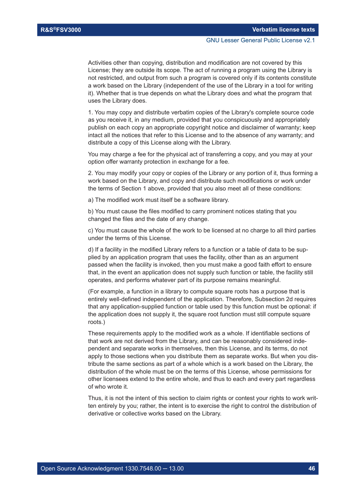Activities other than copying, distribution and modification are not covered by this License; they are outside its scope. The act of running a program using the Library is not restricted, and output from such a program is covered only if its contents constitute a work based on the Library (independent of the use of the Library in a tool for writing it). Whether that is true depends on what the Library does and what the program that uses the Library does.

1. You may copy and distribute verbatim copies of the Library's complete source code as you receive it, in any medium, provided that you conspicuously and appropriately publish on each copy an appropriate copyright notice and disclaimer of warranty; keep intact all the notices that refer to this License and to the absence of any warranty; and distribute a copy of this License along with the Library.

You may charge a fee for the physical act of transferring a copy, and you may at your option offer warranty protection in exchange for a fee.

2. You may modify your copy or copies of the Library or any portion of it, thus forming a work based on the Library, and copy and distribute such modifications or work under the terms of Section 1 above, provided that you also meet all of these conditions:

a) The modified work must itself be a software library.

b) You must cause the files modified to carry prominent notices stating that you changed the files and the date of any change.

c) You must cause the whole of the work to be licensed at no charge to all third parties under the terms of this License.

d) If a facility in the modified Library refers to a function or a table of data to be supplied by an application program that uses the facility, other than as an argument passed when the facility is invoked, then you must make a good faith effort to ensure that, in the event an application does not supply such function or table, the facility still operates, and performs whatever part of its purpose remains meaningful.

(For example, a function in a library to compute square roots has a purpose that is entirely well-defined independent of the application. Therefore, Subsection 2d requires that any application-supplied function or table used by this function must be optional: if the application does not supply it, the square root function must still compute square roots.)

These requirements apply to the modified work as a whole. If identifiable sections of that work are not derived from the Library, and can be reasonably considered independent and separate works in themselves, then this License, and its terms, do not apply to those sections when you distribute them as separate works. But when you distribute the same sections as part of a whole which is a work based on the Library, the distribution of the whole must be on the terms of this License, whose permissions for other licensees extend to the entire whole, and thus to each and every part regardless of who wrote it.

Thus, it is not the intent of this section to claim rights or contest your rights to work written entirely by you; rather, the intent is to exercise the right to control the distribution of derivative or collective works based on the Library.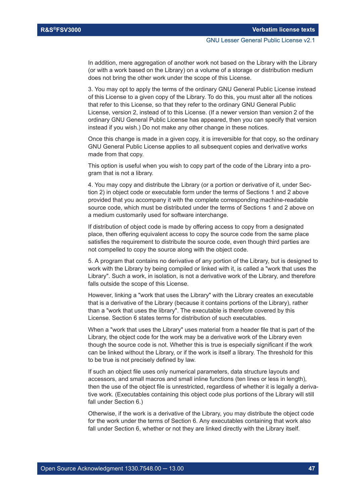In addition, mere aggregation of another work not based on the Library with the Library (or with a work based on the Library) on a volume of a storage or distribution medium does not bring the other work under the scope of this License.

3. You may opt to apply the terms of the ordinary GNU General Public License instead of this License to a given copy of the Library. To do this, you must alter all the notices that refer to this License, so that they refer to the ordinary GNU General Public License, version 2, instead of to this License. (If a newer version than version 2 of the ordinary GNU General Public License has appeared, then you can specify that version instead if you wish.) Do not make any other change in these notices.

Once this change is made in a given copy, it is irreversible for that copy, so the ordinary GNU General Public License applies to all subsequent copies and derivative works made from that copy.

This option is useful when you wish to copy part of the code of the Library into a program that is not a library.

4. You may copy and distribute the Library (or a portion or derivative of it, under Section 2) in object code or executable form under the terms of Sections 1 and 2 above provided that you accompany it with the complete corresponding machine-readable source code, which must be distributed under the terms of Sections 1 and 2 above on a medium customarily used for software interchange.

If distribution of object code is made by offering access to copy from a designated place, then offering equivalent access to copy the source code from the same place satisfies the requirement to distribute the source code, even though third parties are not compelled to copy the source along with the object code.

5. A program that contains no derivative of any portion of the Library, but is designed to work with the Library by being compiled or linked with it, is called a "work that uses the Library". Such a work, in isolation, is not a derivative work of the Library, and therefore falls outside the scope of this License.

However, linking a "work that uses the Library" with the Library creates an executable that is a derivative of the Library (because it contains portions of the Library), rather than a "work that uses the library". The executable is therefore covered by this License. Section 6 states terms for distribution of such executables.

When a "work that uses the Library" uses material from a header file that is part of the Library, the object code for the work may be a derivative work of the Library even though the source code is not. Whether this is true is especially significant if the work can be linked without the Library, or if the work is itself a library. The threshold for this to be true is not precisely defined by law.

If such an object file uses only numerical parameters, data structure layouts and accessors, and small macros and small inline functions (ten lines or less in length), then the use of the object file is unrestricted, regardless of whether it is legally a derivative work. (Executables containing this object code plus portions of the Library will still fall under Section 6.)

Otherwise, if the work is a derivative of the Library, you may distribute the object code for the work under the terms of Section 6. Any executables containing that work also fall under Section 6, whether or not they are linked directly with the Library itself.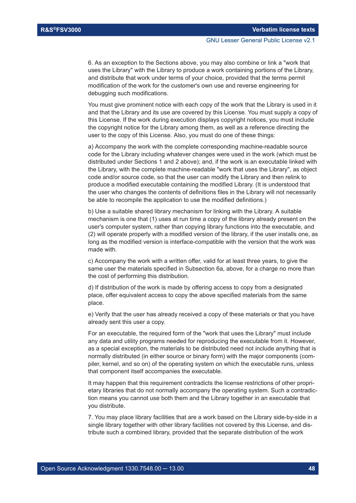6. As an exception to the Sections above, you may also combine or link a "work that uses the Library" with the Library to produce a work containing portions of the Library, and distribute that work under terms of your choice, provided that the terms permit modification of the work for the customer's own use and reverse engineering for debugging such modifications.

You must give prominent notice with each copy of the work that the Library is used in it and that the Library and its use are covered by this License. You must supply a copy of this License. If the work during execution displays copyright notices, you must include the copyright notice for the Library among them, as well as a reference directing the user to the copy of this License. Also, you must do one of these things:

a) Accompany the work with the complete corresponding machine-readable source code for the Library including whatever changes were used in the work (which must be distributed under Sections 1 and 2 above); and, if the work is an executable linked with the Library, with the complete machine-readable "work that uses the Library", as object code and/or source code, so that the user can modify the Library and then relink to produce a modified executable containing the modified Library. (It is understood that the user who changes the contents of definitions files in the Library will not necessarily be able to recompile the application to use the modified definitions.)

b) Use a suitable shared library mechanism for linking with the Library. A suitable mechanism is one that (1) uses at run time a copy of the library already present on the user's computer system, rather than copying library functions into the executable, and (2) will operate properly with a modified version of the library, if the user installs one, as long as the modified version is interface-compatible with the version that the work was made with.

c) Accompany the work with a written offer, valid for at least three years, to give the same user the materials specified in Subsection 6a, above, for a charge no more than the cost of performing this distribution.

d) If distribution of the work is made by offering access to copy from a designated place, offer equivalent access to copy the above specified materials from the same place.

e) Verify that the user has already received a copy of these materials or that you have already sent this user a copy.

For an executable, the required form of the "work that uses the Library" must include any data and utility programs needed for reproducing the executable from it. However, as a special exception, the materials to be distributed need not include anything that is normally distributed (in either source or binary form) with the major components (compiler, kernel, and so on) of the operating system on which the executable runs, unless that component itself accompanies the executable.

It may happen that this requirement contradicts the license restrictions of other proprietary libraries that do not normally accompany the operating system. Such a contradiction means you cannot use both them and the Library together in an executable that you distribute.

7. You may place library facilities that are a work based on the Library side-by-side in a single library together with other library facilities not covered by this License, and distribute such a combined library, provided that the separate distribution of the work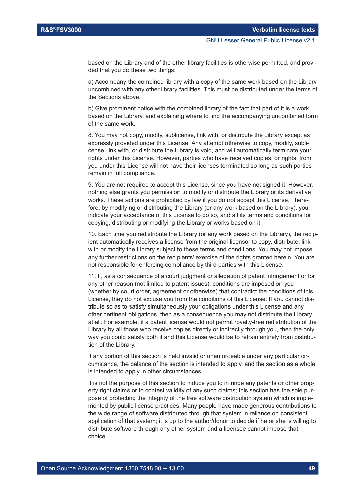based on the Library and of the other library facilities is otherwise permitted, and provided that you do these two things:

a) Accompany the combined library with a copy of the same work based on the Library, uncombined with any other library facilities. This must be distributed under the terms of the Sections above.

b) Give prominent notice with the combined library of the fact that part of it is a work based on the Library, and explaining where to find the accompanying uncombined form of the same work.

8. You may not copy, modify, sublicense, link with, or distribute the Library except as expressly provided under this License. Any attempt otherwise to copy, modify, sublicense, link with, or distribute the Library is void, and will automatically terminate your rights under this License. However, parties who have received copies, or rights, from you under this License will not have their licenses terminated so long as such parties remain in full compliance.

9. You are not required to accept this License, since you have not signed it. However, nothing else grants you permission to modify or distribute the Library or its derivative works. These actions are prohibited by law if you do not accept this License. Therefore, by modifying or distributing the Library (or any work based on the Library), you indicate your acceptance of this License to do so, and all its terms and conditions for copying, distributing or modifying the Library or works based on it.

10. Each time you redistribute the Library (or any work based on the Library), the recipient automatically receives a license from the original licensor to copy, distribute, link with or modify the Library subject to these terms and conditions. You may not impose any further restrictions on the recipients' exercise of the rights granted herein. You are not responsible for enforcing compliance by third parties with this License.

11. If, as a consequence of a court judgment or allegation of patent infringement or for any other reason (not limited to patent issues), conditions are imposed on you (whether by court order, agreement or otherwise) that contradict the conditions of this License, they do not excuse you from the conditions of this License. If you cannot distribute so as to satisfy simultaneously your obligations under this License and any other pertinent obligations, then as a consequence you may not distribute the Library at all. For example, if a patent license would not permit royalty-free redistribution of the Library by all those who receive copies directly or indirectly through you, then the only way you could satisfy both it and this License would be to refrain entirely from distribution of the Library.

If any portion of this section is held invalid or unenforceable under any particular circumstance, the balance of the section is intended to apply, and the section as a whole is intended to apply in other circumstances.

It is not the purpose of this section to induce you to infringe any patents or other property right claims or to contest validity of any such claims; this section has the sole purpose of protecting the integrity of the free software distribution system which is implemented by public license practices. Many people have made generous contributions to the wide range of software distributed through that system in reliance on consistent application of that system; it is up to the author/donor to decide if he or she is willing to distribute software through any other system and a licensee cannot impose that choice.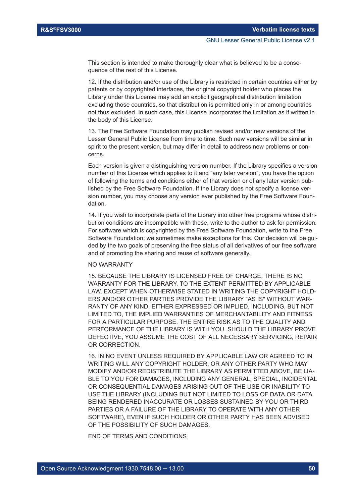This section is intended to make thoroughly clear what is believed to be a consequence of the rest of this License.

12. If the distribution and/or use of the Library is restricted in certain countries either by patents or by copyrighted interfaces, the original copyright holder who places the Library under this License may add an explicit geographical distribution limitation excluding those countries, so that distribution is permitted only in or among countries not thus excluded. In such case, this License incorporates the limitation as if written in the body of this License.

13. The Free Software Foundation may publish revised and/or new versions of the Lesser General Public License from time to time. Such new versions will be similar in spirit to the present version, but may differ in detail to address new problems or concerns.

Each version is given a distinguishing version number. If the Library specifies a version number of this License which applies to it and "any later version", you have the option of following the terms and conditions either of that version or of any later version published by the Free Software Foundation. If the Library does not specify a license version number, you may choose any version ever published by the Free Software Foundation.

14. If you wish to incorporate parts of the Library into other free programs whose distribution conditions are incompatible with these, write to the author to ask for permission. For software which is copyrighted by the Free Software Foundation, write to the Free Software Foundation; we sometimes make exceptions for this. Our decision will be guided by the two goals of preserving the free status of all derivatives of our free software and of promoting the sharing and reuse of software generally.

#### NO WARRANTY

15. BECAUSE THE LIBRARY IS LICENSED FREE OF CHARGE, THERE IS NO WARRANTY FOR THE LIBRARY, TO THE EXTENT PERMITTED BY APPLICABLE LAW. EXCEPT WHEN OTHERWISE STATED IN WRITING THE COPYRIGHT HOLD-ERS AND/OR OTHER PARTIES PROVIDE THE LIBRARY "AS IS" WITHOUT WAR-RANTY OF ANY KIND, EITHER EXPRESSED OR IMPLIED, INCLUDING, BUT NOT LIMITED TO, THE IMPLIED WARRANTIES OF MERCHANTABILITY AND FITNESS FOR A PARTICULAR PURPOSE. THE ENTIRE RISK AS TO THE QUALITY AND PERFORMANCE OF THE LIBRARY IS WITH YOU. SHOULD THE LIBRARY PROVE DEFECTIVE, YOU ASSUME THE COST OF ALL NECESSARY SERVICING, REPAIR OR CORRECTION.

16. IN NO EVENT UNLESS REQUIRED BY APPLICABLE LAW OR AGREED TO IN WRITING WILL ANY COPYRIGHT HOLDER, OR ANY OTHER PARTY WHO MAY MODIFY AND/OR REDISTRIBUTE THE LIBRARY AS PERMITTED ABOVE, BE LIA-BLE TO YOU FOR DAMAGES, INCLUDING ANY GENERAL, SPECIAL, INCIDENTAL OR CONSEQUENTIAL DAMAGES ARISING OUT OF THE USE OR INABILITY TO USE THE LIBRARY (INCLUDING BUT NOT LIMITED TO LOSS OF DATA OR DATA BEING RENDERED INACCURATE OR LOSSES SUSTAINED BY YOU OR THIRD PARTIES OR A FAILURE OF THE LIBRARY TO OPERATE WITH ANY OTHER SOFTWARE), EVEN IF SUCH HOLDER OR OTHER PARTY HAS BEEN ADVISED OF THE POSSIBILITY OF SUCH DAMAGES.

END OF TERMS AND CONDITIONS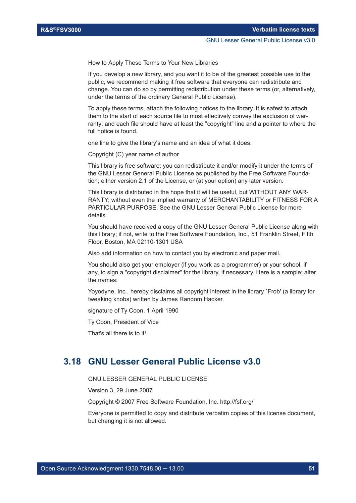How to Apply These Terms to Your New Libraries

If you develop a new library, and you want it to be of the greatest possible use to the public, we recommend making it free software that everyone can redistribute and change. You can do so by permitting redistribution under these terms (or, alternatively, under the terms of the ordinary General Public License).

To apply these terms, attach the following notices to the library. It is safest to attach them to the start of each source file to most effectively convey the exclusion of warranty; and each file should have at least the "copyright" line and a pointer to where the full notice is found.

one line to give the library's name and an idea of what it does.

Copyright (C) year name of author

This library is free software; you can redistribute it and/or modify it under the terms of the GNU Lesser General Public License as published by the Free Software Foundation; either version 2.1 of the License, or (at your option) any later version.

This library is distributed in the hope that it will be useful, but WITHOUT ANY WAR-RANTY; without even the implied warranty of MERCHANTABILITY or FITNESS FOR A PARTICULAR PURPOSE. See the GNU Lesser General Public License for more details.

You should have received a copy of the GNU Lesser General Public License along with this library; if not, write to the Free Software Foundation, Inc., 51 Franklin Street, Fifth Floor, Boston, MA 02110-1301 USA

Also add information on how to contact you by electronic and paper mail.

You should also get your employer (if you work as a programmer) or your school, if any, to sign a "copyright disclaimer" for the library, if necessary. Here is a sample; alter the names:

Yoyodyne, Inc., hereby disclaims all copyright interest in the library `Frob' (a library for tweaking knobs) written by James Random Hacker.

signature of Ty Coon, 1 April 1990

Ty Coon, President of Vice

That's all there is to it!

# **3.18 GNU Lesser General Public License v3.0**

GNU LESSER GENERAL PUBLIC LICENSE

Version 3, 29 June 2007

Copyright © 2007 Free Software Foundation, Inc. http://fsf.org/

Everyone is permitted to copy and distribute verbatim copies of this license document, but changing it is not allowed.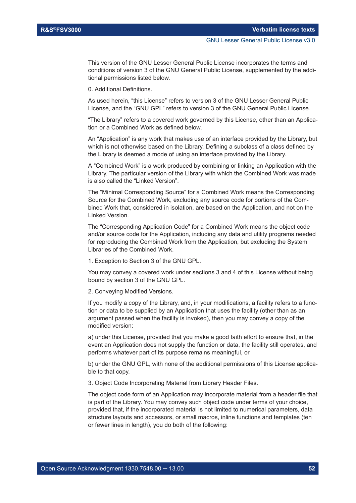This version of the GNU Lesser General Public License incorporates the terms and conditions of version 3 of the GNU General Public License, supplemented by the additional permissions listed below.

0. Additional Definitions.

As used herein, "this License" refers to version 3 of the GNU Lesser General Public License, and the "GNU GPL" refers to version 3 of the GNU General Public License.

"The Library" refers to a covered work governed by this License, other than an Application or a Combined Work as defined below.

An "Application" is any work that makes use of an interface provided by the Library, but which is not otherwise based on the Library. Defining a subclass of a class defined by the Library is deemed a mode of using an interface provided by the Library.

A "Combined Work" is a work produced by combining or linking an Application with the Library. The particular version of the Library with which the Combined Work was made is also called the "Linked Version".

The "Minimal Corresponding Source" for a Combined Work means the Corresponding Source for the Combined Work, excluding any source code for portions of the Combined Work that, considered in isolation, are based on the Application, and not on the Linked Version.

The "Corresponding Application Code" for a Combined Work means the object code and/or source code for the Application, including any data and utility programs needed for reproducing the Combined Work from the Application, but excluding the System Libraries of the Combined Work.

1. Exception to Section 3 of the GNU GPL.

You may convey a covered work under sections 3 and 4 of this License without being bound by section 3 of the GNU GPL.

2. Conveying Modified Versions.

If you modify a copy of the Library, and, in your modifications, a facility refers to a function or data to be supplied by an Application that uses the facility (other than as an argument passed when the facility is invoked), then you may convey a copy of the modified version:

a) under this License, provided that you make a good faith effort to ensure that, in the event an Application does not supply the function or data, the facility still operates, and performs whatever part of its purpose remains meaningful, or

b) under the GNU GPL, with none of the additional permissions of this License applicable to that copy.

3. Object Code Incorporating Material from Library Header Files.

The object code form of an Application may incorporate material from a header file that is part of the Library. You may convey such object code under terms of your choice, provided that, if the incorporated material is not limited to numerical parameters, data structure layouts and accessors, or small macros, inline functions and templates (ten or fewer lines in length), you do both of the following: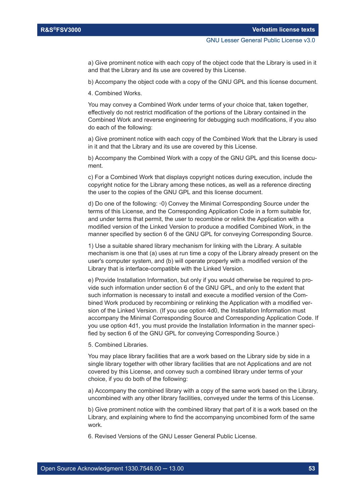a) Give prominent notice with each copy of the object code that the Library is used in it and that the Library and its use are covered by this License.

b) Accompany the object code with a copy of the GNU GPL and this license document.

4. Combined Works.

You may convey a Combined Work under terms of your choice that, taken together, effectively do not restrict modification of the portions of the Library contained in the Combined Work and reverse engineering for debugging such modifications, if you also do each of the following:

a) Give prominent notice with each copy of the Combined Work that the Library is used in it and that the Library and its use are covered by this License.

b) Accompany the Combined Work with a copy of the GNU GPL and this license document.

c) For a Combined Work that displays copyright notices during execution, include the copyright notice for the Library among these notices, as well as a reference directing the user to the copies of the GNU GPL and this license document.

d) Do one of the following: ◦0) Convey the Minimal Corresponding Source under the terms of this License, and the Corresponding Application Code in a form suitable for, and under terms that permit, the user to recombine or relink the Application with a modified version of the Linked Version to produce a modified Combined Work, in the manner specified by section 6 of the GNU GPL for conveying Corresponding Source.

1) Use a suitable shared library mechanism for linking with the Library. A suitable mechanism is one that (a) uses at run time a copy of the Library already present on the user's computer system, and (b) will operate properly with a modified version of the Library that is interface-compatible with the Linked Version.

e) Provide Installation Information, but only if you would otherwise be required to provide such information under section 6 of the GNU GPL, and only to the extent that such information is necessary to install and execute a modified version of the Combined Work produced by recombining or relinking the Application with a modified version of the Linked Version. (If you use option 4d0, the Installation Information must accompany the Minimal Corresponding Source and Corresponding Application Code. If you use option 4d1, you must provide the Installation Information in the manner specified by section 6 of the GNU GPL for conveying Corresponding Source.)

5. Combined Libraries.

You may place library facilities that are a work based on the Library side by side in a single library together with other library facilities that are not Applications and are not covered by this License, and convey such a combined library under terms of your choice, if you do both of the following:

a) Accompany the combined library with a copy of the same work based on the Library, uncombined with any other library facilities, conveyed under the terms of this License.

b) Give prominent notice with the combined library that part of it is a work based on the Library, and explaining where to find the accompanying uncombined form of the same work.

6. Revised Versions of the GNU Lesser General Public License.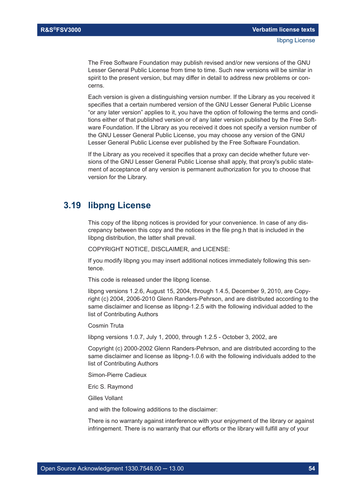The Free Software Foundation may publish revised and/or new versions of the GNU Lesser General Public License from time to time. Such new versions will be similar in spirit to the present version, but may differ in detail to address new problems or concerns.

Each version is given a distinguishing version number. If the Library as you received it specifies that a certain numbered version of the GNU Lesser General Public License "or any later version" applies to it, you have the option of following the terms and conditions either of that published version or of any later version published by the Free Software Foundation. If the Library as you received it does not specify a version number of the GNU Lesser General Public License, you may choose any version of the GNU Lesser General Public License ever published by the Free Software Foundation.

If the Library as you received it specifies that a proxy can decide whether future versions of the GNU Lesser General Public License shall apply, that proxy's public statement of acceptance of any version is permanent authorization for you to choose that version for the Library.

# **3.19 libpng License**

This copy of the libpng notices is provided for your convenience. In case of any discrepancy between this copy and the notices in the file png.h that is included in the libpng distribution, the latter shall prevail.

COPYRIGHT NOTICE, DISCLAIMER, and LICENSE:

If you modify libpng you may insert additional notices immediately following this sentence.

This code is released under the libpng license.

libpng versions 1.2.6, August 15, 2004, through 1.4.5, December 9, 2010, are Copyright (c) 2004, 2006-2010 Glenn Randers-Pehrson, and are distributed according to the same disclaimer and license as libpng-1.2.5 with the following individual added to the list of Contributing Authors

Cosmin Truta

libpng versions 1.0.7, July 1, 2000, through 1.2.5 - October 3, 2002, are

Copyright (c) 2000-2002 Glenn Randers-Pehrson, and are distributed according to the same disclaimer and license as libpng-1.0.6 with the following individuals added to the list of Contributing Authors

Simon-Pierre Cadieux

Eric S. Raymond

Gilles Vollant

and with the following additions to the disclaimer:

There is no warranty against interference with your enjoyment of the library or against infringement. There is no warranty that our efforts or the library will fulfill any of your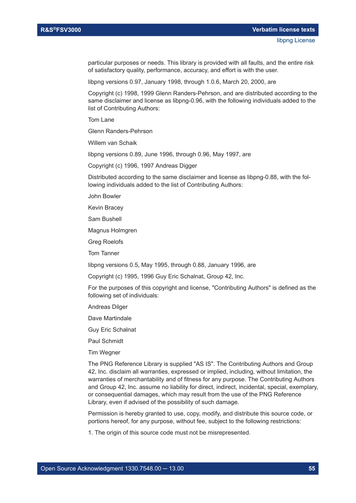particular purposes or needs. This library is provided with all faults, and the entire risk of satisfactory quality, performance, accuracy, and effort is with the user.

libpng versions 0.97, January 1998, through 1.0.6, March 20, 2000, are

Copyright (c) 1998, 1999 Glenn Randers-Pehrson, and are distributed according to the same disclaimer and license as libpng-0.96, with the following individuals added to the list of Contributing Authors:

Tom Lane

Glenn Randers-Pehrson

Willem van Schaik

libpng versions 0.89, June 1996, through 0.96, May 1997, are

Copyright (c) 1996, 1997 Andreas Digger

Distributed according to the same disclaimer and license as libpng-0.88, with the following individuals added to the list of Contributing Authors:

John Bowler

Kevin Bracey

Sam Bushell

Magnus Holmgren

Greg Roelofs

Tom Tanner

libpng versions 0.5, May 1995, through 0.88, January 1996, are

Copyright (c) 1995, 1996 Guy Eric Schalnat, Group 42, Inc.

For the purposes of this copyright and license, "Contributing Authors" is defined as the following set of individuals:

Andreas Dilger

Dave Martindale

Guy Eric Schalnat

Paul Schmidt

Tim Wegner

The PNG Reference Library is supplied "AS IS". The Contributing Authors and Group 42, Inc. disclaim all warranties, expressed or implied, including, without limitation, the warranties of merchantability and of fitness for any purpose. The Contributing Authors and Group 42, Inc. assume no liability for direct, indirect, incidental, special, exemplary, or consequential damages, which may result from the use of the PNG Reference Library, even if advised of the possibility of such damage.

Permission is hereby granted to use, copy, modify, and distribute this source code, or portions hereof, for any purpose, without fee, subject to the following restrictions:

1. The origin of this source code must not be misrepresented.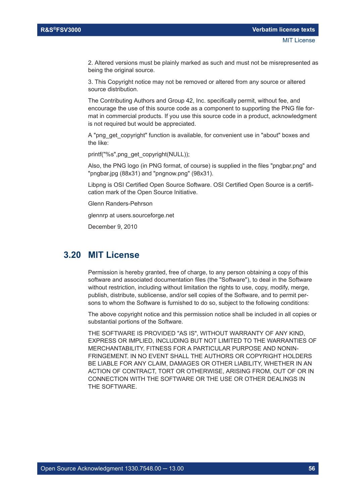2. Altered versions must be plainly marked as such and must not be misrepresented as being the original source.

3. This Copyright notice may not be removed or altered from any source or altered source distribution.

The Contributing Authors and Group 42, Inc. specifically permit, without fee, and encourage the use of this source code as a component to supporting the PNG file format in commercial products. If you use this source code in a product, acknowledgment is not required but would be appreciated.

A "png get copyright" function is available, for convenient use in "about" boxes and the like:

printf("%s",png\_get\_copyright(NULL));

Also, the PNG logo (in PNG format, of course) is supplied in the files "pngbar.png" and "pngbar.jpg (88x31) and "pngnow.png" (98x31).

Libpng is OSI Certified Open Source Software. OSI Certified Open Source is a certification mark of the Open Source Initiative.

Glenn Randers-Pehrson

glennrp at users.sourceforge.net

December 9, 2010

# **3.20 MIT License**

Permission is hereby granted, free of charge, to any person obtaining a copy of this software and associated documentation files (the "Software"), to deal in the Software without restriction, including without limitation the rights to use, copy, modify, merge, publish, distribute, sublicense, and/or sell copies of the Software, and to permit persons to whom the Software is furnished to do so, subject to the following conditions:

The above copyright notice and this permission notice shall be included in all copies or substantial portions of the Software.

THE SOFTWARE IS PROVIDED "AS IS", WITHOUT WARRANTY OF ANY KIND, EXPRESS OR IMPLIED, INCLUDING BUT NOT LIMITED TO THE WARRANTIES OF MERCHANTABILITY, FITNESS FOR A PARTICULAR PURPOSE AND NONIN-FRINGEMENT. IN NO EVENT SHALL THE AUTHORS OR COPYRIGHT HOLDERS BE LIABLE FOR ANY CLAIM, DAMAGES OR OTHER LIABILITY, WHETHER IN AN ACTION OF CONTRACT, TORT OR OTHERWISE, ARISING FROM, OUT OF OR IN CONNECTION WITH THE SOFTWARE OR THE USE OR OTHER DEALINGS IN THE SOFTWARE.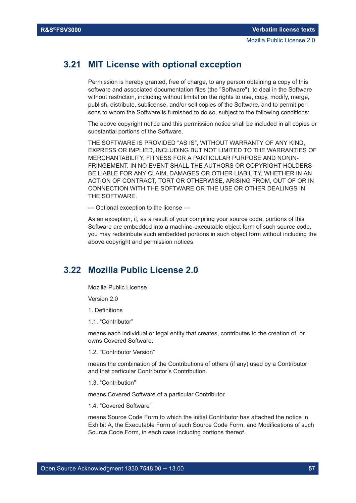# **3.21 MIT License with optional exception**

Permission is hereby granted, free of charge, to any person obtaining a copy of this software and associated documentation files (the "Software"), to deal in the Software without restriction, including without limitation the rights to use, copy, modify, merge, publish, distribute, sublicense, and/or sell copies of the Software, and to permit persons to whom the Software is furnished to do so, subject to the following conditions:

The above copyright notice and this permission notice shall be included in all copies or substantial portions of the Software.

THE SOFTWARE IS PROVIDED "AS IS", WITHOUT WARRANTY OF ANY KIND, EXPRESS OR IMPLIED, INCLUDING BUT NOT LIMITED TO THE WARRANTIES OF MERCHANTABILITY, FITNESS FOR A PARTICULAR PURPOSE AND NONIN-FRINGEMENT. IN NO EVENT SHALL THE AUTHORS OR COPYRIGHT HOLDERS BE LIABLE FOR ANY CLAIM, DAMAGES OR OTHER LIABILITY, WHETHER IN AN ACTION OF CONTRACT, TORT OR OTHERWISE, ARISING FROM, OUT OF OR IN CONNECTION WITH THE SOFTWARE OR THE USE OR OTHER DEALINGS IN THE SOFTWARE.

--- Optional exception to the license ---

As an exception, if, as a result of your compiling your source code, portions of this Software are embedded into a machine-executable object form of such source code, you may redistribute such embedded portions in such object form without including the above copyright and permission notices.

# **3.22 Mozilla Public License 2.0**

Mozilla Public License

Version 2.0

1. Definitions

1.1. "Contributor"

means each individual or legal entity that creates, contributes to the creation of, or owns Covered Software.

1.2. "Contributor Version"

means the combination of the Contributions of others (if any) used by a Contributor and that particular Contributor's Contribution.

1.3. "Contribution"

means Covered Software of a particular Contributor.

1.4. "Covered Software"

means Source Code Form to which the initial Contributor has attached the notice in Exhibit A, the Executable Form of such Source Code Form, and Modifications of such Source Code Form, in each case including portions thereof.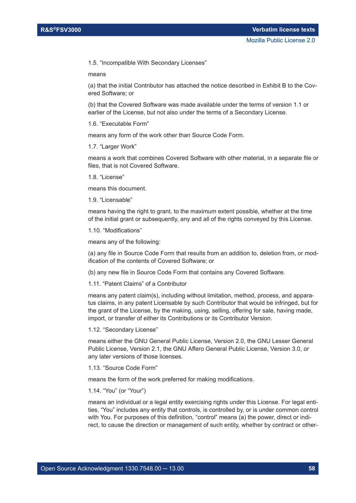1.5. "Incompatible With Secondary Licenses"

means

(a) that the initial Contributor has attached the notice described in Exhibit B to the Covered Software; or

(b) that the Covered Software was made available under the terms of version 1.1 or earlier of the License, but not also under the terms of a Secondary License.

1.6. "Executable Form"

means any form of the work other than Source Code Form.

1.7. "Larger Work"

means a work that combines Covered Software with other material, in a separate file or files, that is not Covered Software.

1.8. "License"

means this document.

1.9. "Licensable"

means having the right to grant, to the maximum extent possible, whether at the time of the initial grant or subsequently, any and all of the rights conveyed by this License.

1.10. "Modifications"

means any of the following:

(a) any file in Source Code Form that results from an addition to, deletion from, or modification of the contents of Covered Software; or

(b) any new file in Source Code Form that contains any Covered Software.

1.11. "Patent Claims" of a Contributor

means any patent claim(s), including without limitation, method, process, and apparatus claims, in any patent Licensable by such Contributor that would be infringed, but for the grant of the License, by the making, using, selling, offering for sale, having made, import, or transfer of either its Contributions or its Contributor Version.

1.12. "Secondary License"

means either the GNU General Public License, Version 2.0, the GNU Lesser General Public License, Version 2.1, the GNU Affero General Public License, Version 3.0, or any later versions of those licenses.

1.13. "Source Code Form"

means the form of the work preferred for making modifications.

1.14. "You" (or "Your")

means an individual or a legal entity exercising rights under this License. For legal entities, "You" includes any entity that controls, is controlled by, or is under common control with You. For purposes of this definition, "control" means (a) the power, direct or indirect, to cause the direction or management of such entity, whether by contract or other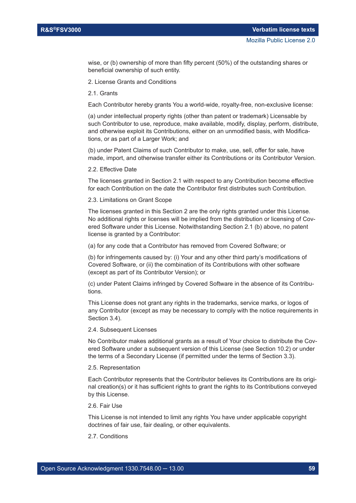wise, or (b) ownership of more than fifty percent (50%) of the outstanding shares or beneficial ownership of such entity.

- 2. License Grants and Conditions
- 2.1. Grants

Each Contributor hereby grants You a world-wide, royalty-free, non-exclusive license:

(a) under intellectual property rights (other than patent or trademark) Licensable by such Contributor to use, reproduce, make available, modify, display, perform, distribute, and otherwise exploit its Contributions, either on an unmodified basis, with Modifications, or as part of a Larger Work; and

(b) under Patent Claims of such Contributor to make, use, sell, offer for sale, have made, import, and otherwise transfer either its Contributions or its Contributor Version.

2.2. Effective Date

The licenses granted in Section 2.1 with respect to any Contribution become effective for each Contribution on the date the Contributor first distributes such Contribution.

2.3. Limitations on Grant Scope

The licenses granted in this Section 2 are the only rights granted under this License. No additional rights or licenses will be implied from the distribution or licensing of Covered Software under this License. Notwithstanding Section 2.1 (b) above, no patent license is granted by a Contributor:

(a) for any code that a Contributor has removed from Covered Software; or

(b) for infringements caused by: (i) Your and any other third party's modifications of Covered Software, or (ii) the combination of its Contributions with other software (except as part of its Contributor Version); or

(c) under Patent Claims infringed by Covered Software in the absence of its Contributions.

This License does not grant any rights in the trademarks, service marks, or logos of any Contributor (except as may be necessary to comply with the notice requirements in Section 3.4).

#### 2.4. Subsequent Licenses

No Contributor makes additional grants as a result of Your choice to distribute the Covered Software under a subsequent version of this License (see Section 10.2) or under the terms of a Secondary License (if permitted under the terms of Section 3.3).

#### 2.5. Representation

Each Contributor represents that the Contributor believes its Contributions are its original creation(s) or it has sufficient rights to grant the rights to its Contributions conveyed by this License.

## 2.6. Fair Use

This License is not intended to limit any rights You have under applicable copyright doctrines of fair use, fair dealing, or other equivalents.

## 2.7. Conditions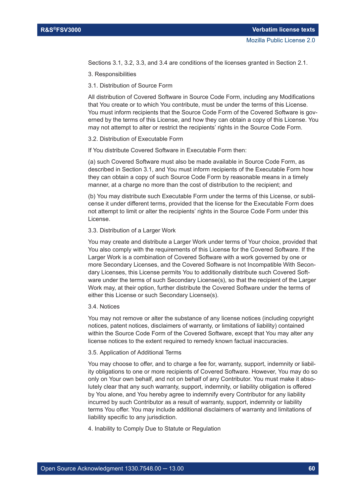Sections 3.1, 3.2, 3.3, and 3.4 are conditions of the licenses granted in Section 2.1.

3. Responsibilities

### 3.1. Distribution of Source Form

All distribution of Covered Software in Source Code Form, including any Modifications that You create or to which You contribute, must be under the terms of this License. You must inform recipients that the Source Code Form of the Covered Software is governed by the terms of this License, and how they can obtain a copy of this License. You may not attempt to alter or restrict the recipients' rights in the Source Code Form.

#### 3.2. Distribution of Executable Form

If You distribute Covered Software in Executable Form then:

(a) such Covered Software must also be made available in Source Code Form, as described in Section 3.1, and You must inform recipients of the Executable Form how they can obtain a copy of such Source Code Form by reasonable means in a timely manner, at a charge no more than the cost of distribution to the recipient; and

(b) You may distribute such Executable Form under the terms of this License, or sublicense it under different terms, provided that the license for the Executable Form does not attempt to limit or alter the recipients' rights in the Source Code Form under this License.

#### 3.3. Distribution of a Larger Work

You may create and distribute a Larger Work under terms of Your choice, provided that You also comply with the requirements of this License for the Covered Software. If the Larger Work is a combination of Covered Software with a work governed by one or more Secondary Licenses, and the Covered Software is not Incompatible With Secondary Licenses, this License permits You to additionally distribute such Covered Software under the terms of such Secondary License(s), so that the recipient of the Larger Work may, at their option, further distribute the Covered Software under the terms of either this License or such Secondary License(s).

#### 3.4. Notices

You may not remove or alter the substance of any license notices (including copyright notices, patent notices, disclaimers of warranty, or limitations of liability) contained within the Source Code Form of the Covered Software, except that You may alter any license notices to the extent required to remedy known factual inaccuracies.

## 3.5. Application of Additional Terms

You may choose to offer, and to charge a fee for, warranty, support, indemnity or liability obligations to one or more recipients of Covered Software. However, You may do so only on Your own behalf, and not on behalf of any Contributor. You must make it absolutely clear that any such warranty, support, indemnity, or liability obligation is offered by You alone, and You hereby agree to indemnify every Contributor for any liability incurred by such Contributor as a result of warranty, support, indemnity or liability terms You offer. You may include additional disclaimers of warranty and limitations of liability specific to any jurisdiction.

4. Inability to Comply Due to Statute or Regulation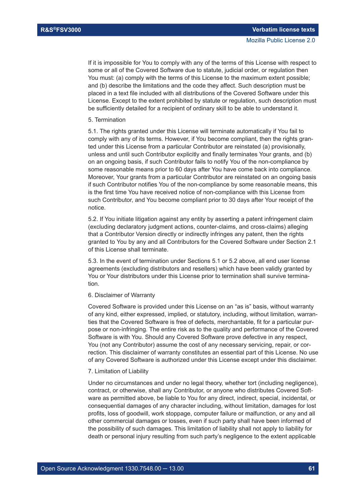If it is impossible for You to comply with any of the terms of this License with respect to some or all of the Covered Software due to statute, judicial order, or regulation then You must: (a) comply with the terms of this License to the maximum extent possible; and (b) describe the limitations and the code they affect. Such description must be placed in a text file included with all distributions of the Covered Software under this License. Except to the extent prohibited by statute or regulation, such description must be sufficiently detailed for a recipient of ordinary skill to be able to understand it.

#### 5. Termination

5.1. The rights granted under this License will terminate automatically if You fail to comply with any of its terms. However, if You become compliant, then the rights granted under this License from a particular Contributor are reinstated (a) provisionally, unless and until such Contributor explicitly and finally terminates Your grants, and (b) on an ongoing basis, if such Contributor fails to notify You of the non-compliance by some reasonable means prior to 60 days after You have come back into compliance. Moreover, Your grants from a particular Contributor are reinstated on an ongoing basis if such Contributor notifies You of the non-compliance by some reasonable means, this is the first time You have received notice of non-compliance with this License from such Contributor, and You become compliant prior to 30 days after Your receipt of the notice.

5.2. If You initiate litigation against any entity by asserting a patent infringement claim (excluding declaratory judgment actions, counter-claims, and cross-claims) alleging that a Contributor Version directly or indirectly infringes any patent, then the rights granted to You by any and all Contributors for the Covered Software under Section 2.1 of this License shall terminate.

5.3. In the event of termination under Sections 5.1 or 5.2 above, all end user license agreements (excluding distributors and resellers) which have been validly granted by You or Your distributors under this License prior to termination shall survive termination.

#### 6. Disclaimer of Warranty

Covered Software is provided under this License on an "as is" basis, without warranty of any kind, either expressed, implied, or statutory, including, without limitation, warranties that the Covered Software is free of defects, merchantable, fit for a particular purpose or non-infringing. The entire risk as to the quality and performance of the Covered Software is with You. Should any Covered Software prove defective in any respect, You (not any Contributor) assume the cost of any necessary servicing, repair, or correction. This disclaimer of warranty constitutes an essential part of this License. No use of any Covered Software is authorized under this License except under this disclaimer.

#### 7. Limitation of Liability

Under no circumstances and under no legal theory, whether tort (including negligence), contract, or otherwise, shall any Contributor, or anyone who distributes Covered Software as permitted above, be liable to You for any direct, indirect, special, incidental, or consequential damages of any character including, without limitation, damages for lost profits, loss of goodwill, work stoppage, computer failure or malfunction, or any and all other commercial damages or losses, even if such party shall have been informed of the possibility of such damages. This limitation of liability shall not apply to liability for death or personal injury resulting from such party's negligence to the extent applicable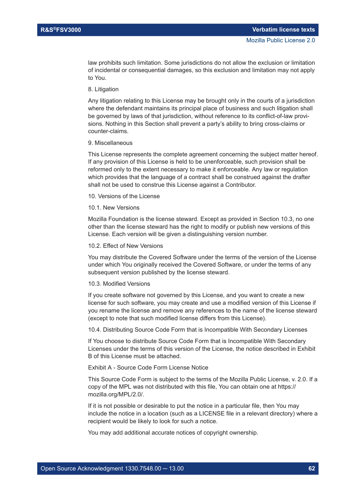law prohibits such limitation. Some jurisdictions do not allow the exclusion or limitation of incidental or consequential damages, so this exclusion and limitation may not apply to You.

8. Litigation

Any litigation relating to this License may be brought only in the courts of a jurisdiction where the defendant maintains its principal place of business and such litigation shall be governed by laws of that jurisdiction, without reference to its conflict-of-law provisions. Nothing in this Section shall prevent a party's ability to bring cross-claims or counter-claims.

## 9. Miscellaneous

This License represents the complete agreement concerning the subject matter hereof. If any provision of this License is held to be unenforceable, such provision shall be reformed only to the extent necessary to make it enforceable. Any law or regulation which provides that the language of a contract shall be construed against the drafter shall not be used to construe this License against a Contributor.

10. Versions of the License

## 10.1. New Versions

Mozilla Foundation is the license steward. Except as provided in Section 10.3, no one other than the license steward has the right to modify or publish new versions of this License. Each version will be given a distinguishing version number.

## 10.2. Effect of New Versions

You may distribute the Covered Software under the terms of the version of the License under which You originally received the Covered Software, or under the terms of any subsequent version published by the license steward.

#### 10.3. Modified Versions

If you create software not governed by this License, and you want to create a new license for such software, you may create and use a modified version of this License if you rename the license and remove any references to the name of the license steward (except to note that such modified license differs from this License).

10.4. Distributing Source Code Form that is Incompatible With Secondary Licenses

If You choose to distribute Source Code Form that is Incompatible With Secondary Licenses under the terms of this version of the License, the notice described in Exhibit B of this License must be attached.

## Exhibit A - Source Code Form License Notice

This Source Code Form is subject to the terms of the Mozilla Public License, v. 2.0. If a copy of the MPL was not distributed with this file, You can obtain one at https:// mozilla.org/MPL/2.0/.

If it is not possible or desirable to put the notice in a particular file, then You may include the notice in a location (such as a LICENSE file in a relevant directory) where a recipient would be likely to look for such a notice.

You may add additional accurate notices of copyright ownership.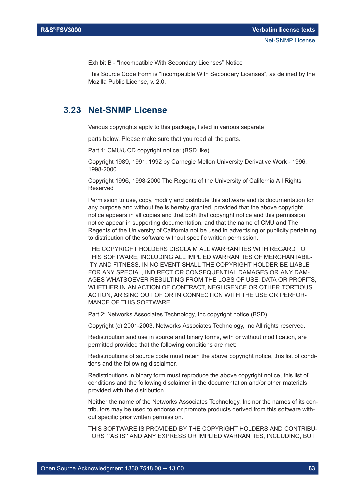Exhibit B - "Incompatible With Secondary Licenses" Notice

This Source Code Form is "Incompatible With Secondary Licenses", as defined by the Mozilla Public License, v. 2.0.

# **3.23 Net-SNMP License**

Various copyrights apply to this package, listed in various separate

parts below. Please make sure that you read all the parts.

Part 1: CMU/UCD copyright notice: (BSD like)

Copyright 1989, 1991, 1992 by Carnegie Mellon University Derivative Work - 1996, 1998-2000

Copyright 1996, 1998-2000 The Regents of the University of California All Rights Reserved

Permission to use, copy, modify and distribute this software and its documentation for any purpose and without fee is hereby granted, provided that the above copyright notice appears in all copies and that both that copyright notice and this permission notice appear in supporting documentation, and that the name of CMU and The Regents of the University of California not be used in advertising or publicity pertaining to distribution of the software without specific written permission.

THE COPYRIGHT HOLDERS DISCLAIM ALL WARRANTIES WITH REGARD TO THIS SOFTWARE, INCLUDING ALL IMPLIED WARRANTIES OF MERCHANTABIL-ITY AND FITNESS. IN NO EVENT SHALL THE COPYRIGHT HOLDER BE LIABLE FOR ANY SPECIAL, INDIRECT OR CONSEQUENTIAL DAMAGES OR ANY DAM-AGES WHATSOEVER RESULTING FROM THE LOSS OF USE, DATA OR PROFITS, WHETHER IN AN ACTION OF CONTRACT, NEGLIGENCE OR OTHER TORTIOUS ACTION, ARISING OUT OF OR IN CONNECTION WITH THE USE OR PERFOR-MANCE OF THIS SOFTWARE.

Part 2: Networks Associates Technology, Inc copyright notice (BSD)

Copyright (c) 2001-2003, Networks Associates Technology, Inc All rights reserved.

Redistribution and use in source and binary forms, with or without modification, are permitted provided that the following conditions are met:

Redistributions of source code must retain the above copyright notice, this list of conditions and the following disclaimer.

Redistributions in binary form must reproduce the above copyright notice, this list of conditions and the following disclaimer in the documentation and/or other materials provided with the distribution.

Neither the name of the Networks Associates Technology, Inc nor the names of its contributors may be used to endorse or promote products derived from this software without specific prior written permission.

THIS SOFTWARE IS PROVIDED BY THE COPYRIGHT HOLDERS AND CONTRIBU-TORS ``AS IS'' AND ANY EXPRESS OR IMPLIED WARRANTIES, INCLUDING, BUT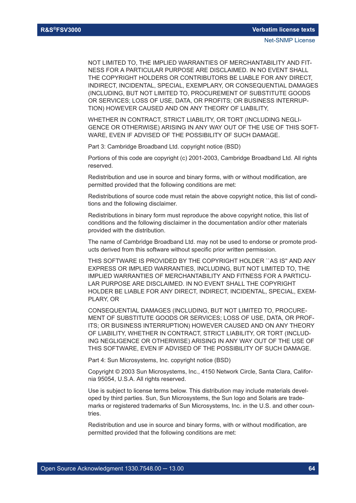NOT LIMITED TO, THE IMPLIED WARRANTIES OF MERCHANTABILITY AND FIT-NESS FOR A PARTICULAR PURPOSE ARE DISCLAIMED. IN NO EVENT SHALL THE COPYRIGHT HOLDERS OR CONTRIBUTORS BE LIABLE FOR ANY DIRECT, INDIRECT, INCIDENTAL, SPECIAL, EXEMPLARY, OR CONSEQUENTIAL DAMAGES (INCLUDING, BUT NOT LIMITED TO, PROCUREMENT OF SUBSTITUTE GOODS OR SERVICES; LOSS OF USE, DATA, OR PROFITS; OR BUSINESS INTERRUP-TION) HOWEVER CAUSED AND ON ANY THEORY OF LIABILITY,

WHETHER IN CONTRACT, STRICT LIABILITY, OR TORT (INCLUDING NEGLI-GENCE OR OTHERWISE) ARISING IN ANY WAY OUT OF THE USE OF THIS SOFT-WARE, EVEN IF ADVISED OF THE POSSIBILITY OF SUCH DAMAGE.

Part 3: Cambridge Broadband Ltd. copyright notice (BSD)

Portions of this code are copyright (c) 2001-2003, Cambridge Broadband Ltd. All rights reserved.

Redistribution and use in source and binary forms, with or without modification, are permitted provided that the following conditions are met:

Redistributions of source code must retain the above copyright notice, this list of conditions and the following disclaimer.

Redistributions in binary form must reproduce the above copyright notice, this list of conditions and the following disclaimer in the documentation and/or other materials provided with the distribution.

The name of Cambridge Broadband Ltd. may not be used to endorse or promote products derived from this software without specific prior written permission.

THIS SOFTWARE IS PROVIDED BY THE COPYRIGHT HOLDER ``AS IS'' AND ANY EXPRESS OR IMPLIED WARRANTIES, INCLUDING, BUT NOT LIMITED TO, THE IMPLIED WARRANTIES OF MERCHANTABILITY AND FITNESS FOR A PARTICU-LAR PURPOSE ARE DISCLAIMED. IN NO EVENT SHALL THE COPYRIGHT HOLDER BE LIABLE FOR ANY DIRECT, INDIRECT, INCIDENTAL, SPECIAL, EXEM-PLARY, OR

CONSEQUENTIAL DAMAGES (INCLUDING, BUT NOT LIMITED TO, PROCURE-MENT OF SUBSTITUTE GOODS OR SERVICES; LOSS OF USE, DATA, OR PROF-ITS; OR BUSINESS INTERRUPTION) HOWEVER CAUSED AND ON ANY THEORY OF LIABILITY, WHETHER IN CONTRACT, STRICT LIABILITY, OR TORT (INCLUD-ING NEGLIGENCE OR OTHERWISE) ARISING IN ANY WAY OUT OF THE USE OF THIS SOFTWARE, EVEN IF ADVISED OF THE POSSIBILITY OF SUCH DAMAGE.

Part 4: Sun Microsystems, Inc. copyright notice (BSD)

Copyright © 2003 Sun Microsystems, Inc., 4150 Network Circle, Santa Clara, California 95054, U.S.A. All rights reserved.

Use is subject to license terms below. This distribution may include materials developed by third parties. Sun, Sun Microsystems, the Sun logo and Solaris are trademarks or registered trademarks of Sun Microsystems, Inc. in the U.S. and other countries.

Redistribution and use in source and binary forms, with or without modification, are permitted provided that the following conditions are met: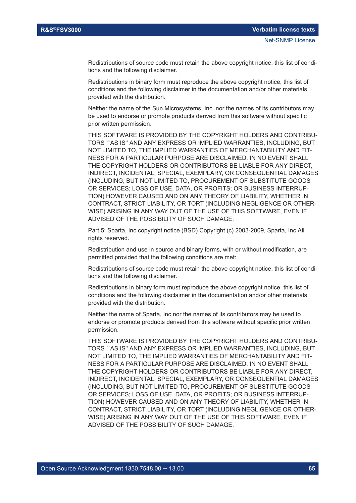Redistributions of source code must retain the above copyright notice, this list of conditions and the following disclaimer.

Redistributions in binary form must reproduce the above copyright notice, this list of conditions and the following disclaimer in the documentation and/or other materials provided with the distribution.

Neither the name of the Sun Microsystems, Inc. nor the names of its contributors may be used to endorse or promote products derived from this software without specific prior written permission.

THIS SOFTWARE IS PROVIDED BY THE COPYRIGHT HOLDERS AND CONTRIBU-TORS ``AS IS'' AND ANY EXPRESS OR IMPLIED WARRANTIES, INCLUDING, BUT NOT LIMITED TO, THE IMPLIED WARRANTIES OF MERCHANTABILITY AND FIT-NESS FOR A PARTICULAR PURPOSE ARE DISCLAIMED. IN NO EVENT SHALL THE COPYRIGHT HOLDERS OR CONTRIBUTORS BE LIABLE FOR ANY DIRECT, INDIRECT, INCIDENTAL, SPECIAL, EXEMPLARY, OR CONSEQUENTIAL DAMAGES (INCLUDING, BUT NOT LIMITED TO, PROCUREMENT OF SUBSTITUTE GOODS OR SERVICES; LOSS OF USE, DATA, OR PROFITS; OR BUSINESS INTERRUP-TION) HOWEVER CAUSED AND ON ANY THEORY OF LIABILITY, WHETHER IN CONTRACT, STRICT LIABILITY, OR TORT (INCLUDING NEGLIGENCE OR OTHER-WISE) ARISING IN ANY WAY OUT OF THE USE OF THIS SOFTWARE, EVEN IF ADVISED OF THE POSSIBILITY OF SUCH DAMAGE.

Part 5: Sparta, Inc copyright notice (BSD) Copyright (c) 2003-2009, Sparta, Inc All rights reserved.

Redistribution and use in source and binary forms, with or without modification, are permitted provided that the following conditions are met:

Redistributions of source code must retain the above copyright notice, this list of conditions and the following disclaimer.

Redistributions in binary form must reproduce the above copyright notice, this list of conditions and the following disclaimer in the documentation and/or other materials provided with the distribution.

Neither the name of Sparta, Inc nor the names of its contributors may be used to endorse or promote products derived from this software without specific prior written permission.

THIS SOFTWARE IS PROVIDED BY THE COPYRIGHT HOLDERS AND CONTRIBU-TORS ``AS IS'' AND ANY EXPRESS OR IMPLIED WARRANTIES, INCLUDING, BUT NOT LIMITED TO, THE IMPLIED WARRANTIES OF MERCHANTABILITY AND FIT-NESS FOR A PARTICULAR PURPOSE ARE DISCLAIMED. IN NO EVENT SHALL THE COPYRIGHT HOLDERS OR CONTRIBUTORS BE LIABLE FOR ANY DIRECT, INDIRECT, INCIDENTAL, SPECIAL, EXEMPLARY, OR CONSEQUENTIAL DAMAGES (INCLUDING, BUT NOT LIMITED TO, PROCUREMENT OF SUBSTITUTE GOODS OR SERVICES; LOSS OF USE, DATA, OR PROFITS; OR BUSINESS INTERRUP-TION) HOWEVER CAUSED AND ON ANY THEORY OF LIABILITY, WHETHER IN CONTRACT, STRICT LIABILITY, OR TORT (INCLUDING NEGLIGENCE OR OTHER-WISE) ARISING IN ANY WAY OUT OF THE USE OF THIS SOFTWARE, EVEN IF ADVISED OF THE POSSIBILITY OF SUCH DAMAGE.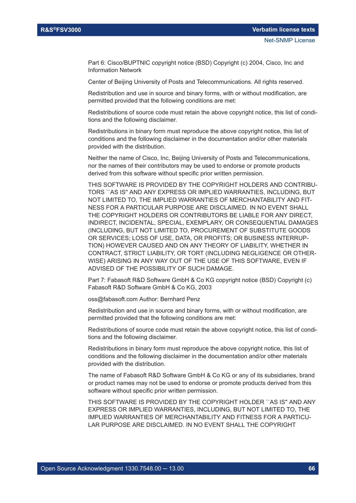Part 6: Cisco/BUPTNIC copyright notice (BSD) Copyright (c) 2004, Cisco, Inc and Information Network

Center of Beijing University of Posts and Telecommunications. All rights reserved.

Redistribution and use in source and binary forms, with or without modification, are permitted provided that the following conditions are met:

Redistributions of source code must retain the above copyright notice, this list of conditions and the following disclaimer.

Redistributions in binary form must reproduce the above copyright notice, this list of conditions and the following disclaimer in the documentation and/or other materials provided with the distribution.

Neither the name of Cisco, Inc, Beijing University of Posts and Telecommunications, nor the names of their contributors may be used to endorse or promote products derived from this software without specific prior written permission.

THIS SOFTWARE IS PROVIDED BY THE COPYRIGHT HOLDERS AND CONTRIBU-TORS ``AS IS'' AND ANY EXPRESS OR IMPLIED WARRANTIES, INCLUDING, BUT NOT LIMITED TO, THE IMPLIED WARRANTIES OF MERCHANTABILITY AND FIT-NESS FOR A PARTICULAR PURPOSE ARE DISCLAIMED. IN NO EVENT SHALL THE COPYRIGHT HOLDERS OR CONTRIBUTORS BE LIABLE FOR ANY DIRECT, INDIRECT, INCIDENTAL, SPECIAL, EXEMPLARY, OR CONSEQUENTIAL DAMAGES (INCLUDING, BUT NOT LIMITED TO, PROCUREMENT OF SUBSTITUTE GOODS OR SERVICES; LOSS OF USE, DATA, OR PROFITS; OR BUSINESS INTERRUP-TION) HOWEVER CAUSED AND ON ANY THEORY OF LIABILITY, WHETHER IN CONTRACT, STRICT LIABILITY, OR TORT (INCLUDING NEGLIGENCE OR OTHER-WISE) ARISING IN ANY WAY OUT OF THE USE OF THIS SOFTWARE, EVEN IF ADVISED OF THE POSSIBILITY OF SUCH DAMAGE.

Part 7: Fabasoft R&D Software GmbH & Co KG copyright notice (BSD) Copyright (c) Fabasoft R&D Software GmbH & Co KG, 2003

oss@fabasoft.com Author: Bernhard Penz

Redistribution and use in source and binary forms, with or without modification, are permitted provided that the following conditions are met:

Redistributions of source code must retain the above copyright notice, this list of conditions and the following disclaimer.

Redistributions in binary form must reproduce the above copyright notice, this list of conditions and the following disclaimer in the documentation and/or other materials provided with the distribution.

The name of Fabasoft R&D Software GmbH & Co KG or any of its subsidiaries, brand or product names may not be used to endorse or promote products derived from this software without specific prior written permission.

THIS SOFTWARE IS PROVIDED BY THE COPYRIGHT HOLDER ``AS IS'' AND ANY EXPRESS OR IMPLIED WARRANTIES, INCLUDING, BUT NOT LIMITED TO, THE IMPLIED WARRANTIES OF MERCHANTABILITY AND FITNESS FOR A PARTICU-LAR PURPOSE ARE DISCLAIMED. IN NO EVENT SHALL THE COPYRIGHT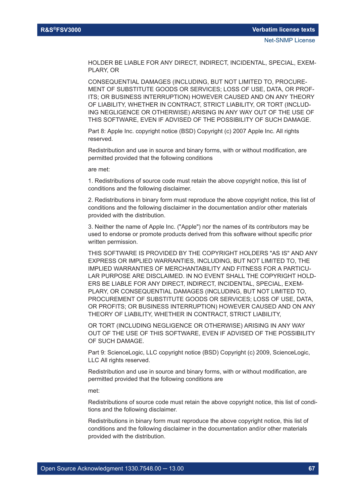HOLDER BE LIABLE FOR ANY DIRECT, INDIRECT, INCIDENTAL, SPECIAL, EXEM-PLARY, OR

CONSEQUENTIAL DAMAGES (INCLUDING, BUT NOT LIMITED TO, PROCURE-MENT OF SUBSTITUTE GOODS OR SERVICES; LOSS OF USE, DATA, OR PROF-ITS; OR BUSINESS INTERRUPTION) HOWEVER CAUSED AND ON ANY THEORY OF LIABILITY, WHETHER IN CONTRACT, STRICT LIABILITY, OR TORT (INCLUD-ING NEGLIGENCE OR OTHERWISE) ARISING IN ANY WAY OUT OF THE USE OF THIS SOFTWARE, EVEN IF ADVISED OF THE POSSIBILITY OF SUCH DAMAGE.

Part 8: Apple Inc. copyright notice (BSD) Copyright (c) 2007 Apple Inc. All rights reserved.

Redistribution and use in source and binary forms, with or without modification, are permitted provided that the following conditions

are met:

1. Redistributions of source code must retain the above copyright notice, this list of conditions and the following disclaimer.

2. Redistributions in binary form must reproduce the above copyright notice, this list of conditions and the following disclaimer in the documentation and/or other materials provided with the distribution.

3. Neither the name of Apple Inc. ("Apple") nor the names of its contributors may be used to endorse or promote products derived from this software without specific prior written permission.

THIS SOFTWARE IS PROVIDED BY THE COPYRIGHT HOLDERS "AS IS" AND ANY EXPRESS OR IMPLIED WARRANTIES, INCLUDING, BUT NOT LIMITED TO, THE IMPLIED WARRANTIES OF MERCHANTABILITY AND FITNESS FOR A PARTICU-LAR PURPOSE ARE DISCLAIMED. IN NO EVENT SHALL THE COPYRIGHT HOLD-ERS BE LIABLE FOR ANY DIRECT, INDIRECT, INCIDENTAL, SPECIAL, EXEM-PLARY, OR CONSEQUENTIAL DAMAGES (INCLUDING, BUT NOT LIMITED TO, PROCUREMENT OF SUBSTITUTE GOODS OR SERVICES; LOSS OF USE, DATA, OR PROFITS; OR BUSINESS INTERRUPTION) HOWEVER CAUSED AND ON ANY THEORY OF LIABILITY, WHETHER IN CONTRACT, STRICT LIABILITY,

OR TORT (INCLUDING NEGLIGENCE OR OTHERWISE) ARISING IN ANY WAY OUT OF THE USE OF THIS SOFTWARE, EVEN IF ADVISED OF THE POSSIBILITY OF SUCH DAMAGE.

Part 9: ScienceLogic, LLC copyright notice (BSD) Copyright (c) 2009, ScienceLogic, LLC All rights reserved.

Redistribution and use in source and binary forms, with or without modification, are permitted provided that the following conditions are

met:

Redistributions of source code must retain the above copyright notice, this list of conditions and the following disclaimer.

Redistributions in binary form must reproduce the above copyright notice, this list of conditions and the following disclaimer in the documentation and/or other materials provided with the distribution.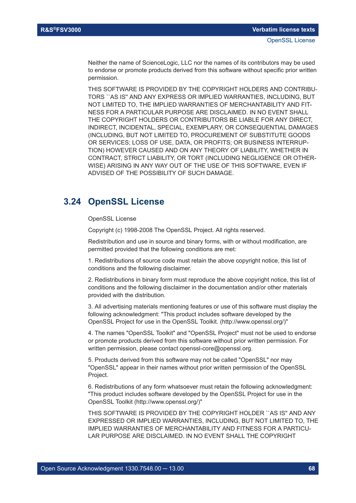Neither the name of ScienceLogic, LLC nor the names of its contributors may be used to endorse or promote products derived from this software without specific prior written permission.

THIS SOFTWARE IS PROVIDED BY THE COPYRIGHT HOLDERS AND CONTRIBU-TORS ``AS IS'' AND ANY EXPRESS OR IMPLIED WARRANTIES, INCLUDING, BUT NOT LIMITED TO, THE IMPLIED WARRANTIES OF MERCHANTABILITY AND FIT-NESS FOR A PARTICULAR PURPOSE ARE DISCLAIMED. IN NO EVENT SHALL THE COPYRIGHT HOLDERS OR CONTRIBUTORS BE LIABLE FOR ANY DIRECT, INDIRECT, INCIDENTAL, SPECIAL, EXEMPLARY, OR CONSEQUENTIAL DAMAGES (INCLUDING, BUT NOT LIMITED TO, PROCUREMENT OF SUBSTITUTE GOODS OR SERVICES; LOSS OF USE, DATA, OR PROFITS; OR BUSINESS INTERRUP-TION) HOWEVER CAUSED AND ON ANY THEORY OF LIABILITY, WHETHER IN CONTRACT, STRICT LIABILITY, OR TORT (INCLUDING NEGLIGENCE OR OTHER-WISE) ARISING IN ANY WAY OUT OF THE USE OF THIS SOFTWARE, EVEN IF ADVISED OF THE POSSIBILITY OF SUCH DAMAGE.

# **3.24 OpenSSL License**

OpenSSL License

Copyright (c) 1998-2008 The OpenSSL Project. All rights reserved.

Redistribution and use in source and binary forms, with or without modification, are permitted provided that the following conditions are met:

1. Redistributions of source code must retain the above copyright notice, this list of conditions and the following disclaimer.

2. Redistributions in binary form must reproduce the above copyright notice, this list of conditions and the following disclaimer in the documentation and/or other materials provided with the distribution.

3. All advertising materials mentioning features or use of this software must display the following acknowledgment: "This product includes software developed by the OpenSSL Project for use in the OpenSSL Toolkit. (http://www.openssl.org/)"

4. The names "OpenSSL Toolkit" and "OpenSSL Project" must not be used to endorse or promote products derived from this software without prior written permission. For written permission, please contact openssl-core@openssl.org.

5. Products derived from this software may not be called "OpenSSL" nor may "OpenSSL" appear in their names without prior written permission of the OpenSSL Project.

6. Redistributions of any form whatsoever must retain the following acknowledgment: "This product includes software developed by the OpenSSL Project for use in the OpenSSL Toolkit (http://www.openssl.org/)"

THIS SOFTWARE IS PROVIDED BY THE COPYRIGHT HOLDER ``AS IS'' AND ANY EXPRESSED OR IMPLIED WARRANTIES, INCLUDING, BUT NOT LIMITED TO, THE IMPLIED WARRANTIES OF MERCHANTABILITY AND FITNESS FOR A PARTICU-LAR PURPOSE ARE DISCLAIMED. IN NO EVENT SHALL THE COPYRIGHT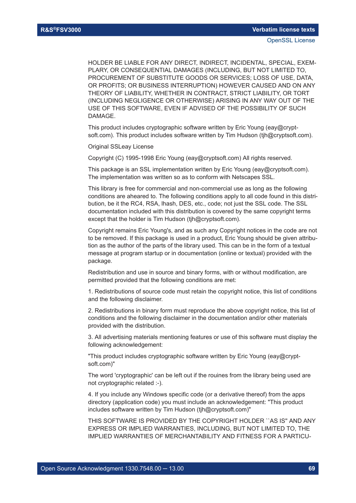HOLDER BE LIABLE FOR ANY DIRECT, INDIRECT, INCIDENTAL, SPECIAL, EXEM-PLARY, OR CONSEQUENTIAL DAMAGES (INCLUDING, BUT NOT LIMITED TO, PROCUREMENT OF SUBSTITUTE GOODS OR SERVICES; LOSS OF USE, DATA, OR PROFITS; OR BUSINESS INTERRUPTION) HOWEVER CAUSED AND ON ANY THEORY OF LIABILITY, WHETHER IN CONTRACT, STRICT LIABILITY, OR TORT (INCLUDING NEGLIGENCE OR OTHERWISE) ARISING IN ANY WAY OUT OF THE USE OF THIS SOFTWARE, EVEN IF ADVISED OF THE POSSIBILITY OF SUCH DAMAGE.

This product includes cryptographic software written by Eric Young (eay@cryptsoft.com). This product includes software written by Tim Hudson (tjh@cryptsoft.com).

Original SSLeay License

Copyright (C) 1995-1998 Eric Young (eay@cryptsoft.com) All rights reserved.

This package is an SSL implementation written by Eric Young (eay@cryptsoft.com). The implementation was written so as to conform with Netscapes SSL.

This library is free for commercial and non-commercial use as long as the following conditions are aheared to. The following conditions apply to all code found in this distribution, be it the RC4, RSA, lhash, DES, etc., code; not just the SSL code. The SSL documentation included with this distribution is covered by the same copyright terms except that the holder is Tim Hudson (tjh@cryptsoft.com).

Copyright remains Eric Young's, and as such any Copyright notices in the code are not to be removed. If this package is used in a product, Eric Young should be given attribution as the author of the parts of the library used. This can be in the form of a textual message at program startup or in documentation (online or textual) provided with the package.

Redistribution and use in source and binary forms, with or without modification, are permitted provided that the following conditions are met:

1. Redistributions of source code must retain the copyright notice, this list of conditions and the following disclaimer.

2. Redistributions in binary form must reproduce the above copyright notice, this list of conditions and the following disclaimer in the documentation and/or other materials provided with the distribution.

3. All advertising materials mentioning features or use of this software must display the following acknowledgement:

"This product includes cryptographic software written by Eric Young (eay@cryptsoft.com)"

The word 'cryptographic' can be left out if the rouines from the library being used are not cryptographic related :-).

4. If you include any Windows specific code (or a derivative thereof) from the apps directory (application code) you must include an acknowledgement: "This product includes software written by Tim Hudson (tjh@cryptsoft.com)"

THIS SOFTWARE IS PROVIDED BY THE COPYRIGHT HOLDER ``AS IS'' AND ANY EXPRESS OR IMPLIED WARRANTIES, INCLUDING, BUT NOT LIMITED TO, THE IMPLIED WARRANTIES OF MERCHANTABILITY AND FITNESS FOR A PARTICU-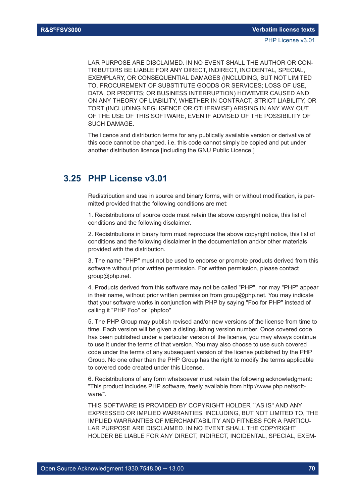LAR PURPOSE ARE DISCLAIMED. IN NO EVENT SHALL THE AUTHOR OR CON-TRIBUTORS BE LIABLE FOR ANY DIRECT, INDIRECT, INCIDENTAL, SPECIAL, EXEMPLARY, OR CONSEQUENTIAL DAMAGES (INCLUDING, BUT NOT LIMITED TO, PROCUREMENT OF SUBSTITUTE GOODS OR SERVICES; LOSS OF USE, DATA, OR PROFITS; OR BUSINESS INTERRUPTION) HOWEVER CAUSED AND ON ANY THEORY OF LIABILITY, WHETHER IN CONTRACT, STRICT LIABILITY, OR TORT (INCLUDING NEGLIGENCE OR OTHERWISE) ARISING IN ANY WAY OUT OF THE USE OF THIS SOFTWARE, EVEN IF ADVISED OF THE POSSIBILITY OF SUCH DAMAGE.

The licence and distribution terms for any publically available version or derivative of this code cannot be changed. i.e. this code cannot simply be copied and put under another distribution licence [including the GNU Public Licence.]

# **3.25 PHP License v3.01**

Redistribution and use in source and binary forms, with or without modification, is permitted provided that the following conditions are met:

1. Redistributions of source code must retain the above copyright notice, this list of conditions and the following disclaimer.

2. Redistributions in binary form must reproduce the above copyright notice, this list of conditions and the following disclaimer in the documentation and/or other materials provided with the distribution.

3. The name "PHP" must not be used to endorse or promote products derived from this software without prior written permission. For written permission, please contact group@php.net.

4. Products derived from this software may not be called "PHP", nor may "PHP" appear in their name, without prior written permission from group@php.net. You may indicate that your software works in conjunction with PHP by saying "Foo for PHP" instead of calling it "PHP Foo" or "phpfoo"

5. The PHP Group may publish revised and/or new versions of the license from time to time. Each version will be given a distinguishing version number. Once covered code has been published under a particular version of the license, you may always continue to use it under the terms of that version. You may also choose to use such covered code under the terms of any subsequent version of the license published by the PHP Group. No one other than the PHP Group has the right to modify the terms applicable to covered code created under this License.

6. Redistributions of any form whatsoever must retain the following acknowledgment: "This product includes PHP software, freely available from http://www.php.net/software/".

THIS SOFTWARE IS PROVIDED BY COPYRIGHT HOLDER ``AS IS'' AND ANY EXPRESSED OR IMPLIED WARRANTIES, INCLUDING, BUT NOT LIMITED TO, THE IMPLIED WARRANTIES OF MERCHANTABILITY AND FITNESS FOR A PARTICU-LAR PURPOSE ARE DISCLAIMED. IN NO EVENT SHALL THE COPYRIGHT HOLDER BE LIABLE FOR ANY DIRECT, INDIRECT, INCIDENTAL, SPECIAL, EXEM-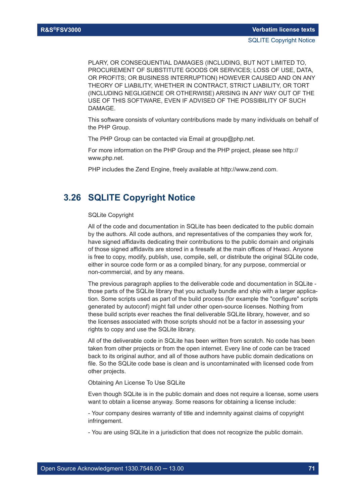PLARY, OR CONSEQUENTIAL DAMAGES (INCLUDING, BUT NOT LIMITED TO, PROCUREMENT OF SUBSTITUTE GOODS OR SERVICES; LOSS OF USE, DATA, OR PROFITS; OR BUSINESS INTERRUPTION) HOWEVER CAUSED AND ON ANY THEORY OF LIABILITY, WHETHER IN CONTRACT, STRICT LIABILITY, OR TORT (INCLUDING NEGLIGENCE OR OTHERWISE) ARISING IN ANY WAY OUT OF THE USE OF THIS SOFTWARE, EVEN IF ADVISED OF THE POSSIBILITY OF SUCH DAMAGE.

This software consists of voluntary contributions made by many individuals on behalf of the PHP Group.

The PHP Group can be contacted via Email at group@php.net.

For more information on the PHP Group and the PHP project, please see http:// www.php.net.

PHP includes the Zend Engine, freely available at http://www.zend.com.

# **3.26 SQLITE Copyright Notice**

## SQLite Copyright

All of the code and documentation in SQLite has been dedicated to the public domain by the authors. All code authors, and representatives of the companies they work for, have signed affidavits dedicating their contributions to the public domain and originals of those signed affidavits are stored in a firesafe at the main offices of Hwaci. Anyone is free to copy, modify, publish, use, compile, sell, or distribute the original SQLite code, either in source code form or as a compiled binary, for any purpose, commercial or non-commercial, and by any means.

The previous paragraph applies to the deliverable code and documentation in SQLite those parts of the SQLite library that you actually bundle and ship with a larger application. Some scripts used as part of the build process (for example the "configure" scripts generated by autoconf) might fall under other open-source licenses. Nothing from these build scripts ever reaches the final deliverable SQLite library, however, and so the licenses associated with those scripts should not be a factor in assessing your rights to copy and use the SQLite library.

All of the deliverable code in SQLite has been written from scratch. No code has been taken from other projects or from the open internet. Every line of code can be traced back to its original author, and all of those authors have public domain dedications on file. So the SQLite code base is clean and is uncontaminated with licensed code from other projects.

Obtaining An License To Use SQLite

Even though SQLite is in the public domain and does not require a license, some users want to obtain a license anyway. Some reasons for obtaining a license include:

- Your company desires warranty of title and indemnity against claims of copyright infringement.

- You are using SQLite in a jurisdiction that does not recognize the public domain.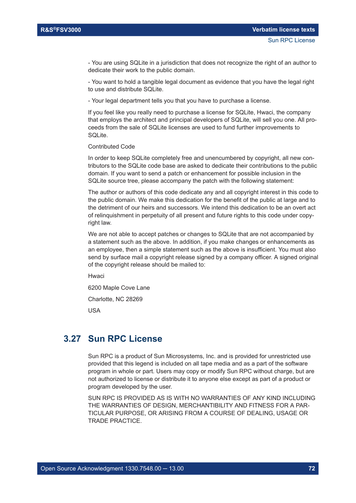- You are using SQLite in a jurisdiction that does not recognize the right of an author to dedicate their work to the public domain.

- You want to hold a tangible legal document as evidence that you have the legal right to use and distribute SQLite.

- Your legal department tells you that you have to purchase a license.

If you feel like you really need to purchase a license for SQLite, Hwaci, the company that employs the architect and principal developers of SQLite, will sell you one. All proceeds from the sale of SQLite licenses are used to fund further improvements to SQLite.

Contributed Code

In order to keep SQLite completely free and unencumbered by copyright, all new contributors to the SQLite code base are asked to dedicate their contributions to the public domain. If you want to send a patch or enhancement for possible inclusion in the SQLite source tree, please accompany the patch with the following statement:

The author or authors of this code dedicate any and all copyright interest in this code to the public domain. We make this dedication for the benefit of the public at large and to the detriment of our heirs and successors. We intend this dedication to be an overt act of relinquishment in perpetuity of all present and future rights to this code under copyright law.

We are not able to accept patches or changes to SQLite that are not accompanied by a statement such as the above. In addition, if you make changes or enhancements as an employee, then a simple statement such as the above is insufficient. You must also send by surface mail a copyright release signed by a company officer. A signed original of the copyright release should be mailed to:

Hwaci

6200 Maple Cove Lane

Charlotte, NC 28269

USA

# **3.27 Sun RPC License**

Sun RPC is a product of Sun Microsystems, Inc. and is provided for unrestricted use provided that this legend is included on all tape media and as a part of the software program in whole or part. Users may copy or modify Sun RPC without charge, but are not authorized to license or distribute it to anyone else except as part of a product or program developed by the user.

SUN RPC IS PROVIDED AS IS WITH NO WARRANTIES OF ANY KIND INCLUDING THE WARRANTIES OF DESIGN, MERCHANTIBILITY AND FITNESS FOR A PAR-TICULAR PURPOSE, OR ARISING FROM A COURSE OF DEALING, USAGE OR TRADE PRACTICE.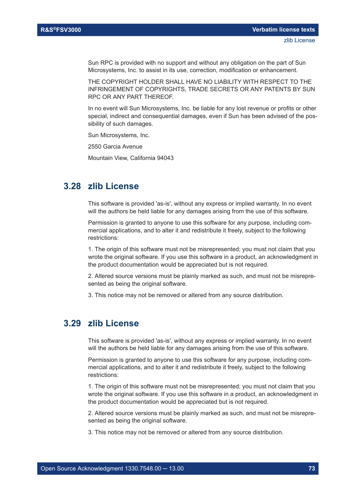Sun RPC is provided with no support and without any obligation on the part of Sun Microsystems, Inc. to assist in its use, correction, modification or enhancement.

THE COPYRIGHT HOLDER SHALL HAVE NO LIABILITY WITH RESPECT TO THE INFRINGEMENT OF COPYRIGHTS, TRADE SECRETS OR ANY PATENTS BY SUN RPC OR ANY PART THEREOF.

In no event will Sun Microsystems, Inc. be liable for any lost revenue or profits or other special, indirect and consequential damages, even if Sun has been advised of the possibility of such damages.

Sun Microsystems, Inc.

2550 Garcia Avenue

Mountain View, California 94043

#### **3.28 zlib License**

This software is provided 'as-is', without any express or implied warranty. In no event will the authors be held liable for any damages arising from the use of this software.

Permission is granted to anyone to use this software for any purpose, including commercial applications, and to alter it and redistribute it freely, subject to the following restrictions:

1. The origin of this software must not be misrepresented; you must not claim that you wrote the original software. If you use this software in a product, an acknowledgment in the product documentation would be appreciated but is not required.

2. Altered source versions must be plainly marked as such, and must not be misrepresented as being the original software.

3. This notice may not be removed or altered from any source distribution.

#### **3.29 zlib License**

This software is provided 'as-is', without any express or implied warranty. In no event will the authors be held liable for any damages arising from the use of this software.

Permission is granted to anyone to use this software for any purpose, including commercial applications, and to alter it and redistribute it freely, subject to the following restrictions:

1. The origin of this software must not be misrepresented; you must not claim that you wrote the original software. If you use this software in a product, an acknowledgment in the product documentation would be appreciated but is not required.

2. Altered source versions must be plainly marked as such, and must not be misrepresented as being the original software.

3. This notice may not be removed or altered from any source distribution.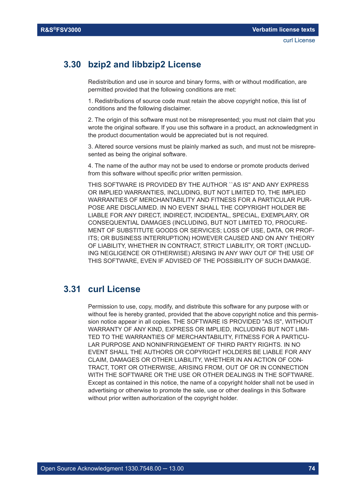#### **3.30 bzip2 and libbzip2 License**

Redistribution and use in source and binary forms, with or without modification, are permitted provided that the following conditions are met:

1. Redistributions of source code must retain the above copyright notice, this list of conditions and the following disclaimer.

2. The origin of this software must not be misrepresented; you must not claim that you wrote the original software. If you use this software in a product, an acknowledgment in the product documentation would be appreciated but is not required.

3. Altered source versions must be plainly marked as such, and must not be misrepresented as being the original software.

4. The name of the author may not be used to endorse or promote products derived from this software without specific prior written permission.

THIS SOFTWARE IS PROVIDED BY THE AUTHOR ``AS IS'' AND ANY EXPRESS OR IMPLIED WARRANTIES, INCLUDING, BUT NOT LIMITED TO, THE IMPLIED WARRANTIES OF MERCHANTABILITY AND FITNESS FOR A PARTICULAR PUR-POSE ARE DISCLAIMED. IN NO EVENT SHALL THE COPYRIGHT HOLDER BE LIABLE FOR ANY DIRECT, INDIRECT, INCIDENTAL, SPECIAL, EXEMPLARY, OR CONSEQUENTIAL DAMAGES (INCLUDING, BUT NOT LIMITED TO, PROCURE-MENT OF SUBSTITUTE GOODS OR SERVICES; LOSS OF USE, DATA, OR PROF-ITS; OR BUSINESS INTERRUPTION) HOWEVER CAUSED AND ON ANY THEORY OF LIABILITY, WHETHER IN CONTRACT, STRICT LIABILITY, OR TORT (INCLUD-ING NEGLIGENCE OR OTHERWISE) ARISING IN ANY WAY OUT OF THE USE OF THIS SOFTWARE, EVEN IF ADVISED OF THE POSSIBILITY OF SUCH DAMAGE.

#### **3.31 curl License**

Permission to use, copy, modify, and distribute this software for any purpose with or without fee is hereby granted, provided that the above copyright notice and this permission notice appear in all copies. THE SOFTWARE IS PROVIDED "AS IS", WITHOUT WARRANTY OF ANY KIND, EXPRESS OR IMPLIED, INCLUDING BUT NOT LIMI-TED TO THE WARRANTIES OF MERCHANTABILITY, FITNESS FOR A PARTICU-LAR PURPOSE AND NONINFRINGEMENT OF THIRD PARTY RIGHTS. IN NO EVENT SHALL THE AUTHORS OR COPYRIGHT HOLDERS BE LIABLE FOR ANY CLAIM, DAMAGES OR OTHER LIABILITY, WHETHER IN AN ACTION OF CON-TRACT, TORT OR OTHERWISE, ARISING FROM, OUT OF OR IN CONNECTION WITH THE SOFTWARE OR THE USE OR OTHER DEALINGS IN THE SOFTWARE. Except as contained in this notice, the name of a copyright holder shall not be used in advertising or otherwise to promote the sale, use or other dealings in this Software without prior written authorization of the copyright holder.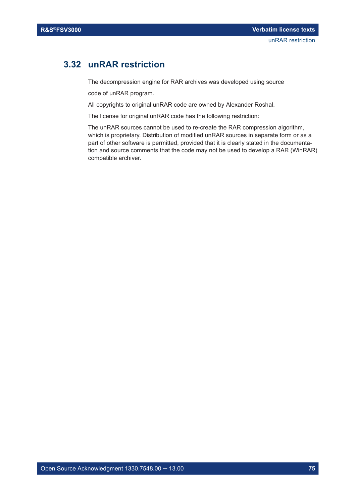#### **3.32 unRAR restriction**

The decompression engine for RAR archives was developed using source

code of unRAR program.

All copyrights to original unRAR code are owned by Alexander Roshal.

The license for original unRAR code has the following restriction:

The unRAR sources cannot be used to re-create the RAR compression algorithm, which is proprietary. Distribution of modified unRAR sources in separate form or as a part of other software is permitted, provided that it is clearly stated in the documentation and source comments that the code may not be used to develop a RAR (WinRAR) compatible archiver.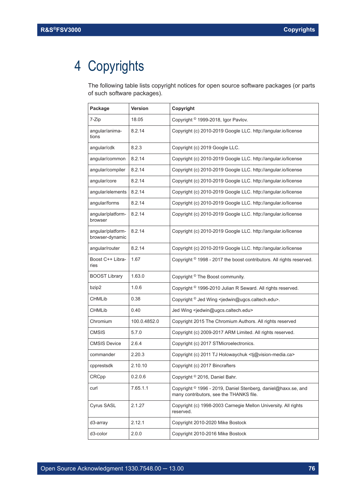## 4 Copyrights

The following table lists copyright notices for open source software packages (or parts of such software packages).

| Package                              | <b>Version</b> | Copyright                                                                                                           |
|--------------------------------------|----------------|---------------------------------------------------------------------------------------------------------------------|
| 7-Zip                                | 18.05          | Copyright <sup>©</sup> 1999-2018, Igor Pavlov.                                                                      |
| angular/anima-<br>tions              | 8.2.14         | Copyright (c) 2010-2019 Google LLC. http://angular.io/license                                                       |
| angular/cdk                          | 8.2.3          | Copyright (c) 2019 Google LLC.                                                                                      |
| angular/common                       | 8.2.14         | Copyright (c) 2010-2019 Google LLC. http://angular.io/license                                                       |
| angular/compiler                     | 8.2.14         | Copyright (c) 2010-2019 Google LLC. http://angular.io/license                                                       |
| angular/core                         | 8.2.14         | Copyright (c) 2010-2019 Google LLC. http://angular.io/license                                                       |
| angular/elements                     | 8.2.14         | Copyright (c) 2010-2019 Google LLC. http://angular.io/license                                                       |
| angular/forms                        | 8.2.14         | Copyright (c) 2010-2019 Google LLC. http://angular.io/license                                                       |
| angular/platform-<br>browser         | 8.2.14         | Copyright (c) 2010-2019 Google LLC. http://angular.io/license                                                       |
| angular/platform-<br>browser-dynamic | 8.2.14         | Copyright (c) 2010-2019 Google LLC. http://angular.io/license                                                       |
| angular/router                       | 8.2.14         | Copyright (c) 2010-2019 Google LLC. http://angular.io/license                                                       |
| Boost C++ Libra-<br>ries             | 1.67           | Copyright <sup>©</sup> 1998 - 2017 the boost contributors. All rights reserved.                                     |
| <b>BOOST Library</b>                 | 1.63.0         | Copyright <sup>©</sup> The Boost community.                                                                         |
| bzip2                                | 1.0.6          | Copyright <sup>©</sup> 1996-2010 Julian R Seward. All rights reserved.                                              |
| <b>CHMLib</b>                        | 0.38           | Copyright <sup>©</sup> Jed Wing <jedwin@ugcs.caltech.edu>.</jedwin@ugcs.caltech.edu>                                |
| <b>CHMLib</b>                        | 0.40           | Jed Wing <jedwin@ugcs.caltech.edu></jedwin@ugcs.caltech.edu>                                                        |
| Chromium                             | 100.0.4852.0   | Copyright 2015 The Chromium Authors. All rights reserved                                                            |
| <b>CMSIS</b>                         | 5.7.0          | Copyright (c) 2009-2017 ARM Limited. All rights reserved.                                                           |
| <b>CMSIS Device</b>                  | 2.6.4          | Copyright (c) 2017 STMicroelectronics.                                                                              |
| commander                            | 2.20.3         | Copyright (c) 2011 TJ Holowaychuk <tj@vision-media.ca></tj@vision-media.ca>                                         |
| cpprestsdk                           | 2.10.10        | Copyright (c) 2017 Bincrafters                                                                                      |
| <b>CRCpp</b>                         | 0.2.0.6        | Copyright <sup>©</sup> 2016, Daniel Bahr.                                                                           |
| curl                                 | 7.65.1.1       | Copyright <sup>©</sup> 1996 - 2019, Daniel Stenberg, daniel@haxx.se, and<br>many contributors, see the THANKS file. |
| Cyrus SASL                           | 2.1.27         | Copyright (c) 1998-2003 Carnegie Mellon University. All rights<br>reserved.                                         |
| d3-array                             | 2.12.1         | Copyright 2010-2020 Mike Bostock                                                                                    |
| d3-color                             | 2.0.0          | Copyright 2010-2016 Mike Bostock                                                                                    |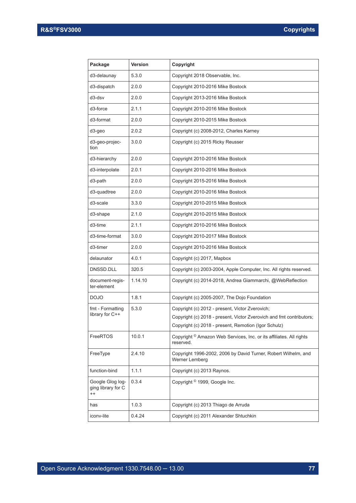| Package                                           | <b>Version</b> | Copyright                                                                                   |
|---------------------------------------------------|----------------|---------------------------------------------------------------------------------------------|
| d3-delaunay                                       | 5.3.0          | Copyright 2018 Observable, Inc.                                                             |
| d3-dispatch                                       | 2.0.0          | Copyright 2010-2016 Mike Bostock                                                            |
| d3-dsv                                            | 2.0.0          | Copyright 2013-2016 Mike Bostock                                                            |
| d3-force                                          | 2.1.1          | Copyright 2010-2016 Mike Bostock                                                            |
| d3-format                                         | 2.0.0          | Copyright 2010-2015 Mike Bostock                                                            |
| d3-geo                                            | 2.0.2          | Copyright (c) 2008-2012, Charles Karney                                                     |
| d3-geo-projec-<br>tion                            | 3.0.0          | Copyright (c) 2015 Ricky Reusser                                                            |
| d3-hierarchy                                      | 2.0.0          | Copyright 2010-2016 Mike Bostock                                                            |
| d3-interpolate                                    | 2.0.1          | Copyright 2010-2016 Mike Bostock                                                            |
| d3-path                                           | 2.0.0          | Copyright 2015-2016 Mike Bostock                                                            |
| d3-quadtree                                       | 2.0.0          | Copyright 2010-2016 Mike Bostock                                                            |
| d3-scale                                          | 3.3.0          | Copyright 2010-2015 Mike Bostock                                                            |
| d3-shape                                          | 2.1.0          | Copyright 2010-2015 Mike Bostock                                                            |
| d3-time                                           | 2.1.1          | Copyright 2010-2016 Mike Bostock                                                            |
| d3-time-format                                    | 3.0.0          | Copyright 2010-2017 Mike Bostock                                                            |
| d3-timer                                          | 2.0.0          | Copyright 2010-2016 Mike Bostock                                                            |
| delaunator                                        | 4.0.1          | Copyright (c) 2017, Mapbox                                                                  |
| DNSSD.DLL                                         | 320.5          | Copyright (c) 2003-2004, Apple Computer, Inc. All rights reserved.                          |
| document-regis-<br>ter-element                    | 1.14.10        | Copyright (c) 2014-2018, Andrea Giammarchi, @WebReflection                                  |
| <b>DOJO</b>                                       | 1.8.1          | Copyright (c) 2005-2007, The Dojo Foundation                                                |
| fmt - Formatting                                  | 5.3.0          | Copyright (c) 2012 - present, Victor Zverovich;                                             |
| library for C++                                   |                | Copyright (c) 2018 - present, Victor Zverovich and fmt contributors;                        |
|                                                   |                | Copyright (c) 2018 - present, Remotion (Igor Schulz)                                        |
| FreeRTOS                                          | 10.0.1         | Copyright <sup>©</sup> Amazon Web Services, Inc. or its affiliates. All rights<br>reserved. |
| FreeType                                          | 2.4.10         | Copyright 1996-2002, 2006 by David Turner, Robert Wilhelm, and<br>Werner Lemberg            |
| function-bind                                     | 1.1.1          | Copyright (c) 2013 Raynos.                                                                  |
| Google Glog log-<br>ging library for C<br>$^{++}$ | 0.3.4          | Copyright <sup>©</sup> 1999, Google Inc.                                                    |
| has                                               | 1.0.3          | Copyright (c) 2013 Thiago de Arruda                                                         |
| iconv-lite                                        | 0.4.24         | Copyright (c) 2011 Alexander Shtuchkin                                                      |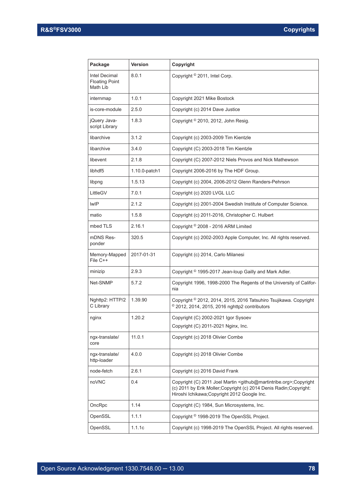| Package                                            | <b>Version</b> | Copyright                                                                                                                                                                                                           |
|----------------------------------------------------|----------------|---------------------------------------------------------------------------------------------------------------------------------------------------------------------------------------------------------------------|
| Intel Decimal<br><b>Floating Point</b><br>Math Lib | 8.0.1          | Copyright <sup>©</sup> 2011, Intel Corp.                                                                                                                                                                            |
| internmap                                          | 1.0.1          | Copyright 2021 Mike Bostock                                                                                                                                                                                         |
| is-core-module                                     | 2.5.0          | Copyright (c) 2014 Dave Justice                                                                                                                                                                                     |
| jQuery Java-<br>script Library                     | 1.8.3          | Copyright <sup>©</sup> 2010, 2012, John Resig.                                                                                                                                                                      |
| libarchive                                         | 3.1.2          | Copyright (c) 2003-2009 Tim Kientzle                                                                                                                                                                                |
| libarchive                                         | 3.4.0          | Copyright (C) 2003-2018 Tim Kientzle                                                                                                                                                                                |
| libevent                                           | 2.1.8          | Copyright (C) 2007-2012 Niels Provos and Nick Mathewson                                                                                                                                                             |
| libhdf5                                            | 1.10.0-patch1  | Copyright 2006-2016 by The HDF Group.                                                                                                                                                                               |
| libpng                                             | 1.5.13         | Copyright (c) 2004, 2006-2012 Glenn Randers-Pehrson                                                                                                                                                                 |
| LittleGV                                           | 7.0.1          | Copyright (c) 2020 LVGL LLC                                                                                                                                                                                         |
| <b>IwIP</b>                                        | 2.1.2          | Copyright (c) 2001-2004 Swedish Institute of Computer Science.                                                                                                                                                      |
| matio                                              | 1.5.8          | Copyright (c) 2011-2016, Christopher C. Hulbert                                                                                                                                                                     |
| mbed TLS                                           | 2.16.1         | Copyright © 2008 - 2016 ARM Limited                                                                                                                                                                                 |
| mDNS Res-<br>ponder                                | 320.5          | Copyright (c) 2002-2003 Apple Computer, Inc. All rights reserved.                                                                                                                                                   |
| Memory-Mapped<br>File C++                          | 2017-01-31     | Copyright (c) 2014, Carlo Milanesi                                                                                                                                                                                  |
| minizip                                            | 2.9.3          | Copyright <sup>©</sup> 1995-2017 Jean-loup Gailly and Mark Adler.                                                                                                                                                   |
| Net-SNMP                                           | 5.7.2          | Copyright 1996, 1998-2000 The Regents of the University of Califor-<br>nia                                                                                                                                          |
| Nghttp2: HTTP/2<br>C Library                       | 1.39.90        | Copyright <sup>©</sup> 2012, 2014, 2015, 2016 Tatsuhiro Tsujikawa. Copyright<br>© 2012, 2014, 2015, 2016 nghttp2 contributors                                                                                       |
| nginx                                              | 1.20.2         | Copyright (C) 2002-2021 Igor Sysoev                                                                                                                                                                                 |
|                                                    |                | Copyright (C) 2011-2021 Nginx, Inc.                                                                                                                                                                                 |
| ngx-translate/<br>core                             | 11.0.1         | Copyright (c) 2018 Olivier Combe                                                                                                                                                                                    |
| ngx-translate/<br>http-loader                      | 4.0.0          | Copyright (c) 2018 Olivier Combe                                                                                                                                                                                    |
| node-fetch                                         | 2.6.1          | Copyright (c) 2016 David Frank                                                                                                                                                                                      |
| noVNC                                              | 0.4            | Copyright (C) 2011 Joel Martin <github@martintribe.org>;Copyright<br/>(c) 2011 by Erik Moller; Copyright (c) 2014 Denis Radin; Copyright:<br/>Hiroshi Ichikawa; Copyright 2012 Google Inc.</github@martintribe.org> |
| OncRpc                                             | 1.14           | Copyright (C) 1984, Sun Microsystems, Inc.                                                                                                                                                                          |
| OpenSSL                                            | 1.1.1          | Copyright <sup>©</sup> 1998-2019 The OpenSSL Project.                                                                                                                                                               |
| OpenSSL                                            | 1.1.1c         | Copyright (c) 1998-2019 The OpenSSL Project. All rights reserved.                                                                                                                                                   |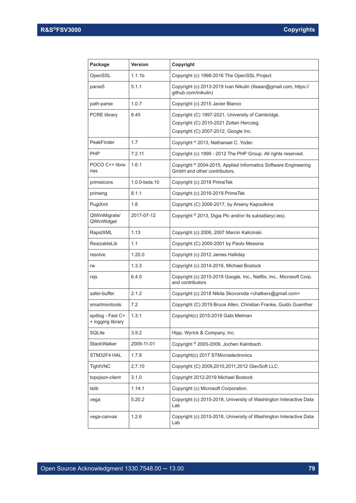| Package                               | <b>Version</b>     | Copyright                                                                                                                            |
|---------------------------------------|--------------------|--------------------------------------------------------------------------------------------------------------------------------------|
| OpenSSL                               | 1.1.1 <sub>b</sub> | Copyright (c) 1998-2016 The OpenSSL Project                                                                                          |
| parse <sub>5</sub>                    | 5.1.1              | Copyright (c) 2013-2019 Ivan Nikulin (ifaaan@gmail.com, https://<br>github.com/inikulin)                                             |
| path-parse                            | 1.0.7              | Copyright (c) 2015 Javier Blanco                                                                                                     |
| <b>PCRE library</b>                   | 8.45               | Copyright (C) 1997-2021, University of Cambridge.<br>Copyright (C) 2010-2021 Zoltan Herczeg.<br>Copyright (C) 2007-2012, Google Inc. |
| PeakFinder                            | 1.7                | Copyright <sup>©</sup> 2013, Nathanael C. Yoder.                                                                                     |
| <b>PHP</b>                            | 7.2.11             | Copyright (c) 1999 - 2012 The PHP Group. All rights reserved.                                                                        |
| POCO C++ libra-<br>ries               | 1.6.1              | Copyright © 2004-2015, Applied Informatics Software Engineering<br>GmbH and other contributors.                                      |
| primeicons                            | 1.0.0-beta.10      | Copyright (c) 2018 PrimeTek                                                                                                          |
| primeng                               | 8.1.1              | Copyright (c) 2016-2019 PrimeTek                                                                                                     |
| PugiXml                               | 1.8                | Copyright (C) 2006-2017, by Arseny Kapoulkine                                                                                        |
| QtWinMigrate/<br>QWinWidget           | 2017-07-12         | Copyright <sup>©</sup> 2013, Digia Plc and/or its subsidiary(-ies).                                                                  |
| RapidXML                              | 1.13               | Copyright (c) 2006, 2007 Marcin Kalicinski                                                                                           |
| ResizableLib                          | 1.1                | Copyright (C) 2000-2001 by Paolo Messina                                                                                             |
| resolve                               | 1.20.0             | Copyright (c) 2012 James Halliday                                                                                                    |
| rw                                    | 1.3.3              | Copyright (c) 2014-2016, Michael Bostock                                                                                             |
| rxjs                                  | 6.4.0              | Copyright (c) 2015-2018 Google, Inc., Netflix, Inc., Microsoft Corp.<br>and contributors                                             |
| safer-buffer                          | 2.1.2              | Copyright (c) 2018 Nikita Skovoroda <chalkerx@gmail.com></chalkerx@gmail.com>                                                        |
| smartmontools                         | 7.2                | Copyright (C) 2019 Bruce Allen, Christian Franke, Guido Guenther                                                                     |
| spdlog - Fast C+<br>+ logging library | 1.3.1              | Copyright(c) 2015-2018 Gabi Melman                                                                                                   |
| SQLite                                | 3.9.2              | Hipp, Wyrick & Company, Inc.                                                                                                         |
| <b>StackWalker</b>                    | 2009-11-01         | Copyright <sup>©</sup> 2005-2009, Jochen Kalmbach.                                                                                   |
| STM32F4 HAL                           | 1.7.8              | Copyright(c) 2017 STMicroelectronics                                                                                                 |
| <b>TightVNC</b>                       | 2.7.10             | Copyright (C) 2009,2010,2011,2012 GlavSoft LLC.                                                                                      |
| topojson-client                       | 3.1.0              | Copyright 2012-2019 Michael Bostock                                                                                                  |
| tslib                                 | 1.14.1             | Copyright (c) Microsoft Corporation.                                                                                                 |
| vega                                  | 5.20.2             | Copyright (c) 2015-2018, University of Washington Interactive Data<br>Lab                                                            |
| vega-canvas                           | 1.2.6              | Copyright (c) 2015-2018, University of Washington Interactive Data<br>Lab                                                            |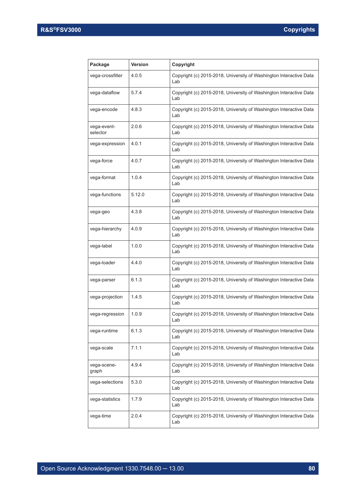| Package                 | Version | Copyright                                                                 |
|-------------------------|---------|---------------------------------------------------------------------------|
| vega-crossfilter        | 4.0.5   | Copyright (c) 2015-2018, University of Washington Interactive Data<br>Lab |
| vega-dataflow           | 5.7.4   | Copyright (c) 2015-2018, University of Washington Interactive Data<br>Lab |
| vega-encode             | 4.8.3   | Copyright (c) 2015-2018, University of Washington Interactive Data<br>Lab |
| vega-event-<br>selector | 2.0.6   | Copyright (c) 2015-2018, University of Washington Interactive Data<br>Lab |
| vega-expression         | 4.0.1   | Copyright (c) 2015-2018, University of Washington Interactive Data<br>Lab |
| vega-force              | 4.0.7   | Copyright (c) 2015-2018, University of Washington Interactive Data<br>Lab |
| vega-format             | 1.0.4   | Copyright (c) 2015-2018, University of Washington Interactive Data<br>Lab |
| vega-functions          | 5.12.0  | Copyright (c) 2015-2018, University of Washington Interactive Data<br>Lab |
| vega-geo                | 4.3.8   | Copyright (c) 2015-2018, University of Washington Interactive Data<br>Lab |
| vega-hierarchy          | 4.0.9   | Copyright (c) 2015-2018, University of Washington Interactive Data<br>Lab |
| vega-label              | 1.0.0   | Copyright (c) 2015-2018, University of Washington Interactive Data<br>Lab |
| vega-loader             | 4.4.0   | Copyright (c) 2015-2018, University of Washington Interactive Data<br>Lab |
| vega-parser             | 6.1.3   | Copyright (c) 2015-2018, University of Washington Interactive Data<br>Lab |
| vega-projection         | 1.4.5   | Copyright (c) 2015-2018, University of Washington Interactive Data<br>Lab |
| vega-regression         | 1.0.9   | Copyright (c) 2015-2018, University of Washington Interactive Data<br>Lab |
| vega-runtime            | 6.1.3   | Copyright (c) 2015-2018, University of Washington Interactive Data<br>Lab |
| vega-scale              | 7.1.1   | Copyright (c) 2015-2018, University of Washington Interactive Data<br>Lab |
| vega-scene-<br>graph    | 4.9.4   | Copyright (c) 2015-2018, University of Washington Interactive Data<br>Lab |
| vega-selections         | 5.3.0   | Copyright (c) 2015-2018, University of Washington Interactive Data<br>Lab |
| vega-statistics         | 1.7.9   | Copyright (c) 2015-2018, University of Washington Interactive Data<br>Lab |
| vega-time               | 2.0.4   | Copyright (c) 2015-2018, University of Washington Interactive Data<br>Lab |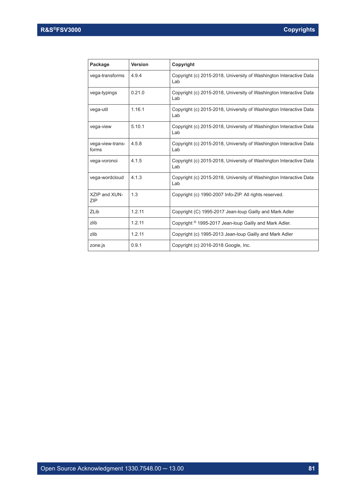| Package                   | <b>Version</b> | Copyright                                                                 |
|---------------------------|----------------|---------------------------------------------------------------------------|
| vega-transforms           | 4.9.4          | Copyright (c) 2015-2018, University of Washington Interactive Data<br>Lab |
| vega-typings              | 0.21.0         | Copyright (c) 2015-2018, University of Washington Interactive Data<br>Lab |
| vega-util                 | 1.16.1         | Copyright (c) 2015-2018, University of Washington Interactive Data<br>Lab |
| vega-view                 | 5.10.1         | Copyright (c) 2015-2018, University of Washington Interactive Data<br>Lab |
| vega-view-trans-<br>forms | 4.5.8          | Copyright (c) 2015-2018, University of Washington Interactive Data<br>Lab |
| vega-voronoi              | 4.1.5          | Copyright (c) 2015-2018, University of Washington Interactive Data<br>Lab |
| vega-wordcloud            | 4.1.3          | Copyright (c) 2015-2018, University of Washington Interactive Data<br>Lab |
| XZIP and XUN-<br>ZIP      | 1.3            | Copyright (c) 1990-2007 Info-ZIP. All rights reserved.                    |
| ZLib                      | 1.2.11         | Copyright (C) 1995-2017 Jean-loup Gailly and Mark Adler                   |
| zlib                      | 1.2.11         | Copyright <sup>©</sup> 1995-2017 Jean-loup Gailly and Mark Adler.         |
| zlib                      | 1.2.11         | Copyright (c) 1995-2013 Jean-loup Gailly and Mark Adler                   |
| zone.js                   | 0.9.1          | Copyright (c) 2016-2018 Google, Inc.                                      |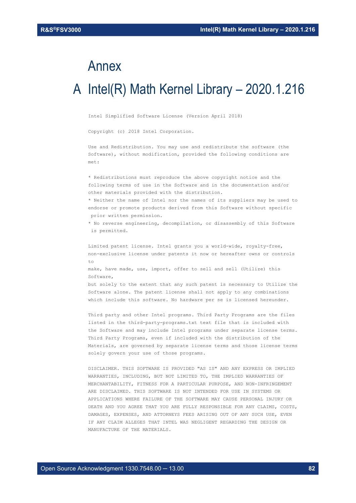# Annex A Intel(R) Math Kernel Library – 2020.1.216

Intel Simplified Software License (Version April 2018)

Copyright (c) 2018 Intel Corporation.

Use and Redistribution. You may use and redistribute the software (the Software), without modification, provided the following conditions are  $m \ominus t$ .

\* Redistributions must reproduce the above copyright notice and the following terms of use in the Software and in the documentation and/or other materials provided with the distribution.

\* Neither the name of Intel nor the names of its suppliers may be used to endorse or promote products derived from this Software without specific prior written permission.

\* No reverse engineering, decompilation, or disassembly of this Software is permitted.

Limited patent license. Intel grants you a world-wide, royalty-free, non-exclusive license under patents it now or hereafter owns or controls to

make, have made, use, import, offer to sell and sell (Utilize) this Software,

but solely to the extent that any such patent is necessary to Utilize the Software alone. The patent license shall not apply to any combinations which include this software. No hardware per se is licensed hereunder.

Third party and other Intel programs. Third Party Programs are the files listed in the third-party-programs.txt text file that is included with the Software and may include Intel programs under separate license terms. Third Party Programs, even if included with the distribution of the Materials, are governed by separate license terms and those license terms solely govern your use of those programs.

DISCLAIMER. THIS SOFTWARE IS PROVIDED "AS IS" AND ANY EXPRESS OR IMPLIED WARRANTIES, INCLUDING, BUT NOT LIMITED TO, THE IMPLIED WARRANTIES OF MERCHANTABILITY, FITNESS FOR A PARTICULAR PURPOSE, AND NON-INFRINGEMENT ARE DISCLAIMED. THIS SOFTWARE IS NOT INTENDED FOR USE IN SYSTEMS OR APPLICATIONS WHERE FAILURE OF THE SOFTWARE MAY CAUSE PERSONAL INJURY OR DEATH AND YOU AGREE THAT YOU ARE FULLY RESPONSIBLE FOR ANY CLAIMS, COSTS, DAMAGES, EXPENSES, AND ATTORNEYS FEES ARISING OUT OF ANY SUCH USE, EVEN IF ANY CLAIM ALLEGES THAT INTEL WAS NEGLIGENT REGARDING THE DESIGN OR MANUFACTURE OF THE MATERIALS.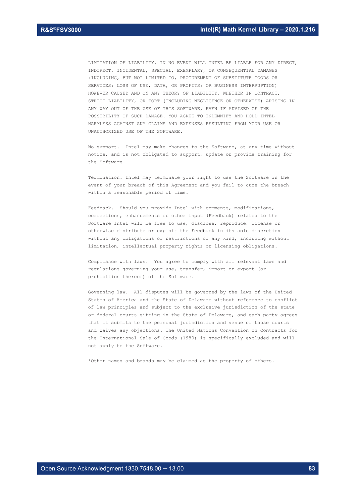LIMITATION OF LIABILITY. IN NO EVENT WILL INTEL BE LIABLE FOR ANY DIRECT, INDIRECT, INCIDENTAL, SPECIAL, EXEMPLARY, OR CONSEQUENTIAL DAMAGES (INCLUDING, BUT NOT LIMITED TO, PROCUREMENT OF SUBSTITUTE GOODS OR SERVICES; LOSS OF USE, DATA, OR PROFITS; OR BUSINESS INTERRUPTION) HOWEVER CAUSED AND ON ANY THEORY OF LIABILITY, WHETHER IN CONTRACT, STRICT LIABILITY, OR TORT (INCLUDING NEGLIGENCE OR OTHERWISE) ARISING IN ANY WAY OUT OF THE USE OF THIS SOFTWARE, EVEN IF ADVISED OF THE POSSIBILITY OF SUCH DAMAGE. YOU AGREE TO INDEMNIFY AND HOLD INTEL HARMLESS AGAINST ANY CLAIMS AND EXPENSES RESULTING FROM YOUR USE OR UNAUTHORIZED USE OF THE SOFTWARE.

No support. Intel may make changes to the Software, at any time without notice, and is not obligated to support, update or provide training for the Software.

Termination. Intel may terminate your right to use the Software in the event of your breach of this Agreement and you fail to cure the breach within a reasonable period of time.

Feedback. Should you provide Intel with comments, modifications, corrections, enhancements or other input (Feedback) related to the Software Intel will be free to use, disclose, reproduce, license or otherwise distribute or exploit the Feedback in its sole discretion without any obligations or restrictions of any kind, including without limitation, intellectual property rights or licensing obligations.

Compliance with laws. You agree to comply with all relevant laws and regulations governing your use, transfer, import or export (or prohibition thereof) of the Software.

Governing law. All disputes will be governed by the laws of the United States of America and the State of Delaware without reference to conflict of law principles and subject to the exclusive jurisdiction of the state or federal courts sitting in the State of Delaware, and each party agrees that it submits to the personal jurisdiction and venue of those courts and waives any objections. The United Nations Convention on Contracts for the International Sale of Goods (1980) is specifically excluded and will not apply to the Software.

\*Other names and brands may be claimed as the property of others.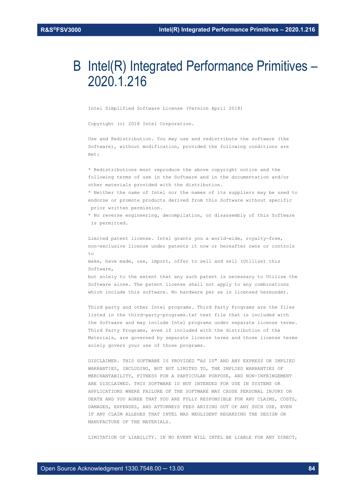### B Intel(R) Integrated Performance Primitives – 2020.1.216

Intel Simplified Software License (Version April 2018)

Copyright (c) 2018 Intel Corporation.

Use and Redistribution. You may use and redistribute the software (the Software), without modification, provided the following conditions are met:

\* Redistributions must reproduce the above copyright notice and the following terms of use in the Software and in the documentation and/or other materials provided with the distribution.

\* Neither the name of Intel nor the names of its suppliers may be used to endorse or promote products derived from this Software without specific prior written permission.

\* No reverse engineering, decompilation, or disassembly of this Software is permitted.

Limited patent license. Intel grants you a world-wide, royalty-free, non-exclusive license under patents it now or hereafter owns or controls  $t \circ$ 

make, have made, use, import, offer to sell and sell (Utilize) this Software,

but solely to the extent that any such patent is necessary to Utilize the Software alone. The patent license shall not apply to any combinations which include this software. No hardware per se is licensed hereunder.

Third party and other Intel programs. Third Party Programs are the files listed in the third-party-programs.txt text file that is included with the Software and may include Intel programs under separate license terms. Third Party Programs, even if included with the distribution of the Materials, are governed by separate license terms and those license terms solely govern your use of those programs.

DISCLAIMER. THIS SOFTWARE IS PROVIDED "AS IS" AND ANY EXPRESS OR IMPLIED WARRANTIES, INCLUDING, BUT NOT LIMITED TO, THE IMPLIED WARRANTIES OF MERCHANTABILITY, FITNESS FOR A PARTICULAR PURPOSE, AND NON-INFRINGEMENT ARE DISCLAIMED. THIS SOFTWARE IS NOT INTENDED FOR USE IN SYSTEMS OR APPLICATIONS WHERE FAILURE OF THE SOFTWARE MAY CAUSE PERSONAL INJURY OR DEATH AND YOU AGREE THAT YOU ARE FULLY RESPONSIBLE FOR ANY CLAIMS, COSTS, DAMAGES, EXPENSES, AND ATTORNEYS FEES ARISING OUT OF ANY SUCH USE, EVEN IF ANY CLAIM ALLEGES THAT INTEL WAS NEGLIGENT REGARDING THE DESIGN OR MANUFACTURE OF THE MATERIALS.

LIMITATION OF LIABILITY. IN NO EVENT WILL INTEL BE LIABLE FOR ANY DIRECT,